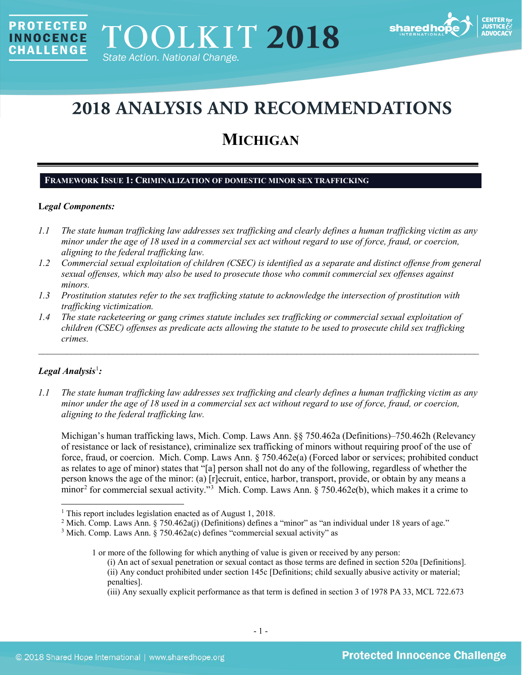

# **2018 ANALYSIS AND RECOMMENDATIONS**

## **MICHIGAN**

## **FRAMEWORK ISSUE 1: CRIMINALIZATION OF DOMESTIC MINOR SEX TRAFFICKING**

## **L***egal Components:*

**PROTECTED** 

**INNOCENCE CHALLENGE** 

- *1.1 The state human trafficking law addresses sex trafficking and clearly defines a human trafficking victim as any minor under the age of 18 used in a commercial sex act without regard to use of force, fraud, or coercion, aligning to the federal trafficking law.*
- *1.2 Commercial sexual exploitation of children (CSEC) is identified as a separate and distinct offense from general sexual offenses, which may also be used to prosecute those who commit commercial sex offenses against minors.*
- *1.3 Prostitution statutes refer to the sex trafficking statute to acknowledge the intersection of prostitution with trafficking victimization.*
- *1.4 The state racketeering or gang crimes statute includes sex trafficking or commercial sexual exploitation of children (CSEC) offenses as predicate acts allowing the statute to be used to prosecute child sex trafficking crimes.*

\_\_\_\_\_\_\_\_\_\_\_\_\_\_\_\_\_\_\_\_\_\_\_\_\_\_\_\_\_\_\_\_\_\_\_\_\_\_\_\_\_\_\_\_\_\_\_\_\_\_\_\_\_\_\_\_\_\_\_\_\_\_\_\_\_\_\_\_\_\_\_\_\_\_\_\_\_\_\_\_\_\_\_\_\_\_\_\_\_\_\_\_\_\_

## *Legal Analysis*[1](#page-0-0) *:*

*1.1 The state human trafficking law addresses sex trafficking and clearly defines a human trafficking victim as any minor under the age of 18 used in a commercial sex act without regard to use of force, fraud, or coercion, aligning to the federal trafficking law.*

Michigan's human trafficking laws, Mich. Comp. Laws Ann. §§ 750.462a (Definitions)–750.462h (Relevancy of resistance or lack of resistance), criminalize sex trafficking of minors without requiring proof of the use of force, fraud, or coercion. Mich. Comp. Laws Ann. § 750.462e(a) (Forced labor or services; prohibited conduct as relates to age of minor) states that "[a] person shall not do any of the following, regardless of whether the person knows the age of the minor: (a) [r]ecruit, entice, harbor, transport, provide, or obtain by any means a minor<sup>[2](#page-0-1)</sup> for commercial sexual activity."<sup>[3](#page-0-2)</sup> Mich. Comp. Laws Ann. § 750.462e(b), which makes it a crime to

<span id="page-0-0"></span><sup>&</sup>lt;sup>1</sup> This report includes legislation enacted as of August 1, 2018.

<span id="page-0-1"></span><sup>&</sup>lt;sup>2</sup> Mich. Comp. Laws Ann. § 750.462a(j) (Definitions) defines a "minor" as "an individual under 18 years of age."

<span id="page-0-2"></span><sup>3</sup> Mich. Comp. Laws Ann. § 750.462a(c) defines "commercial sexual activity" as

<sup>1</sup> or more of the following for which anything of value is given or received by any person:

<sup>(</sup>i) An act of sexual penetration or sexual contact as those terms are defined in section 520a [Definitions]. (ii) Any conduct prohibited under section 145c [Definitions; child sexually abusive activity or material; penalties].

<sup>(</sup>iii) Any sexually explicit performance as that term is defined in section 3 of 1978 PA 33, MCL 722.673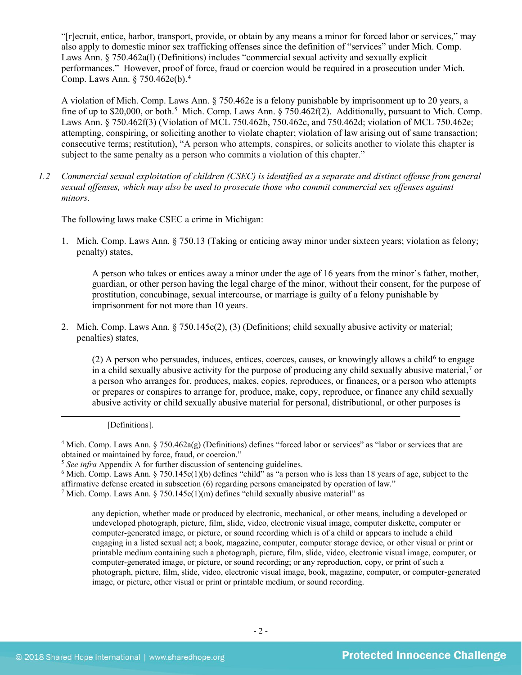"[r]ecruit, entice, harbor, transport, provide, or obtain by any means a minor for forced labor or services," may also apply to domestic minor sex trafficking offenses since the definition of "services" under Mich. Comp. Laws Ann. § 750.462a(l) (Definitions) includes "commercial sexual activity and sexually explicit performances." However, proof of force, fraud or coercion would be required in a prosecution under Mich. Comp. Laws Ann. § 750.462e(b). [4](#page-1-0)

A violation of Mich. Comp. Laws Ann. § 750.462e is a felony punishable by imprisonment up to 20 years, a fine of up to \$20,000, or both.<sup>[5](#page-1-1)</sup> Mich. Comp. Laws Ann. § 750.462f(2). Additionally, pursuant to Mich. Comp. Laws Ann. § 750.462f(3) (Violation of MCL 750.462b, 750.462c, and 750.462d; violation of MCL 750.462e; attempting, conspiring, or soliciting another to violate chapter; violation of law arising out of same transaction; consecutive terms; restitution), "A person who attempts, conspires, or solicits another to violate this chapter is subject to the same penalty as a person who commits a violation of this chapter."

*1.2 Commercial sexual exploitation of children (CSEC) is identified as a separate and distinct offense from general sexual offenses, which may also be used to prosecute those who commit commercial sex offenses against minors.*

The following laws make CSEC a crime in Michigan:

1. Mich. Comp. Laws Ann. § 750.13 (Taking or enticing away minor under sixteen years; violation as felony; penalty) states,

A person who takes or entices away a minor under the age of 16 years from the minor's father, mother, guardian, or other person having the legal charge of the minor, without their consent, for the purpose of prostitution, concubinage, sexual intercourse, or marriage is guilty of a felony punishable by imprisonment for not more than 10 years.

2. Mich. Comp. Laws Ann. § 750.145c(2), (3) (Definitions; child sexually abusive activity or material; penalties) states,

 $(2)$  A person who persuades, induces, entices, coerces, causes, or knowingly allows a child<sup>[6](#page-1-2)</sup> to engage in a child sexually abusive activity for the purpose of producing any child sexually abusive material,<sup>[7](#page-1-3)</sup> or a person who arranges for, produces, makes, copies, reproduces, or finances, or a person who attempts or prepares or conspires to arrange for, produce, make, copy, reproduce, or finance any child sexually abusive activity or child sexually abusive material for personal, distributional, or other purposes is

 $\overline{a}$ 

<span id="page-1-0"></span> $4$  Mich. Comp. Laws Ann. § 750.462a(g) (Definitions) defines "forced labor or services" as "labor or services that are obtained or maintained by force, fraud, or coercion."

<span id="page-1-3"></span><span id="page-1-2"></span> $6$  Mich. Comp. Laws Ann. § 750.145c(1)(b) defines "child" as "a person who is less than 18 years of age, subject to the affirmative defense created in subsection (6) regarding persons emancipated by operation of law." <sup>7</sup> Mich. Comp. Laws Ann. § 750.145c(1)(m) defines "child sexually abusive material" as

any depiction, whether made or produced by electronic, mechanical, or other means, including a developed or undeveloped photograph, picture, film, slide, video, electronic visual image, computer diskette, computer or computer-generated image, or picture, or sound recording which is of a child or appears to include a child engaging in a listed sexual act; a book, magazine, computer, computer storage device, or other visual or print or printable medium containing such a photograph, picture, film, slide, video, electronic visual image, computer, or computer-generated image, or picture, or sound recording; or any reproduction, copy, or print of such a photograph, picture, film, slide, video, electronic visual image, book, magazine, computer, or computer-generated image, or picture, other visual or print or printable medium, or sound recording.

<sup>[</sup>Definitions].

<span id="page-1-1"></span><sup>&</sup>lt;sup>5</sup> See infra Appendix A for further discussion of sentencing guidelines.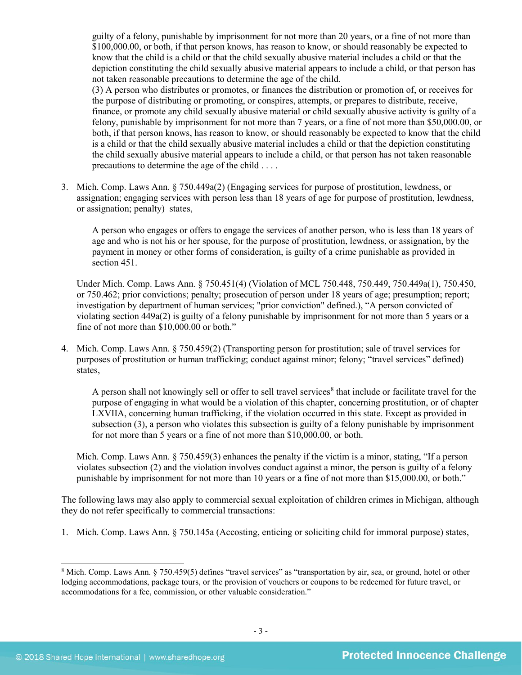guilty of a felony, punishable by imprisonment for not more than 20 years, or a fine of not more than \$100,000.00, or both, if that person knows, has reason to know, or should reasonably be expected to know that the child is a child or that the child sexually abusive material includes a child or that the depiction constituting the child sexually abusive material appears to include a child, or that person has not taken reasonable precautions to determine the age of the child.

(3) A person who distributes or promotes, or finances the distribution or promotion of, or receives for the purpose of distributing or promoting, or conspires, attempts, or prepares to distribute, receive, finance, or promote any child sexually abusive material or child sexually abusive activity is guilty of a felony, punishable by imprisonment for not more than 7 years, or a fine of not more than \$50,000.00, or both, if that person knows, has reason to know, or should reasonably be expected to know that the child is a child or that the child sexually abusive material includes a child or that the depiction constituting the child sexually abusive material appears to include a child, or that person has not taken reasonable precautions to determine the age of the child . . . .

3. Mich. Comp. Laws Ann. § 750.449a(2) (Engaging services for purpose of prostitution, lewdness, or assignation; engaging services with person less than 18 years of age for purpose of prostitution, lewdness, or assignation; penalty) states,

A person who engages or offers to engage the services of another person, who is less than 18 years of age and who is not his or her spouse, for the purpose of prostitution, lewdness, or assignation, by the payment in money or other forms of consideration, is guilty of a crime punishable as provided in section 451.

Under Mich. Comp. Laws Ann. § 750.451(4) (Violation of MCL 750.448, 750.449, 750.449a(1), 750.450, or 750.462; prior convictions; penalty; prosecution of person under 18 years of age; presumption; report; investigation by department of human services; "prior conviction" defined.), "A person convicted of violating section 449a(2) is guilty of a felony punishable by imprisonment for not more than 5 years or a fine of not more than \$10,000.00 or both."

4. Mich. Comp. Laws Ann. § 750.459(2) (Transporting person for prostitution; sale of travel services for purposes of prostitution or human trafficking; conduct against minor; felony; "travel services" defined) states,

A person shall not knowingly sell or offer to sell travel services<sup>[8](#page-2-0)</sup> that include or facilitate travel for the purpose of engaging in what would be a violation of this chapter, concerning prostitution, or of chapter LXVIIA, concerning human trafficking, if the violation occurred in this state. Except as provided in subsection (3), a person who violates this subsection is guilty of a felony punishable by imprisonment for not more than 5 years or a fine of not more than \$10,000.00, or both.

Mich. Comp. Laws Ann. § 750.459(3) enhances the penalty if the victim is a minor, stating, "If a person violates subsection (2) and the violation involves conduct against a minor, the person is guilty of a felony punishable by imprisonment for not more than 10 years or a fine of not more than \$15,000.00, or both."

The following laws may also apply to commercial sexual exploitation of children crimes in Michigan, although they do not refer specifically to commercial transactions:

1. Mich. Comp. Laws Ann. § 750.145a (Accosting, enticing or soliciting child for immoral purpose) states,

<span id="page-2-0"></span><sup>&</sup>lt;sup>8</sup> Mich. Comp. Laws Ann. § 750.459(5) defines "travel services" as "transportation by air, sea, or ground, hotel or other lodging accommodations, package tours, or the provision of vouchers or coupons to be redeemed for future travel, or accommodations for a fee, commission, or other valuable consideration."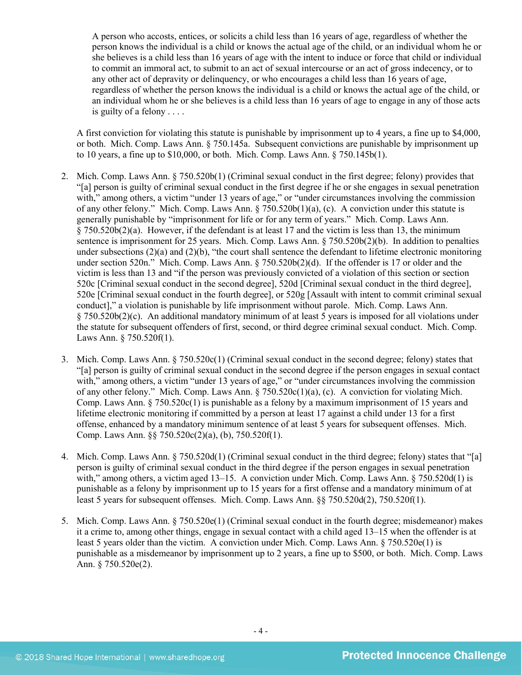A person who accosts, entices, or solicits a child less than 16 years of age, regardless of whether the person knows the individual is a child or knows the actual age of the child, or an individual whom he or she believes is a child less than 16 years of age with the intent to induce or force that child or individual to commit an immoral act, to submit to an act of sexual intercourse or an act of gross indecency, or to any other act of depravity or delinquency, or who encourages a child less than 16 years of age, regardless of whether the person knows the individual is a child or knows the actual age of the child, or an individual whom he or she believes is a child less than 16 years of age to engage in any of those acts is guilty of a felony . . . .

A first conviction for violating this statute is punishable by imprisonment up to 4 years, a fine up to \$4,000, or both. Mich. Comp. Laws Ann. § 750.145a. Subsequent convictions are punishable by imprisonment up to 10 years, a fine up to \$10,000, or both. Mich. Comp. Laws Ann. § 750.145b(1).

- 2. Mich. Comp. Laws Ann. § 750.520b(1) (Criminal sexual conduct in the first degree; felony) provides that "[a] person is guilty of criminal sexual conduct in the first degree if he or she engages in sexual penetration with," among others, a victim "under 13 years of age," or "under circumstances involving the commission of any other felony." Mich. Comp. Laws Ann. § 750.520b(1)(a), (c). A conviction under this statute is generally punishable by "imprisonment for life or for any term of years." Mich. Comp. Laws Ann. § 750.520b(2)(a). However, if the defendant is at least 17 and the victim is less than 13, the minimum sentence is imprisonment for 25 years. Mich. Comp. Laws Ann. § 750.520b(2)(b). In addition to penalties under subsections (2)(a) and (2)(b), "the court shall sentence the defendant to lifetime electronic monitoring under section 520n." Mich. Comp. Laws Ann. § 750.520b(2)(d). If the offender is 17 or older and the victim is less than 13 and "if the person was previously convicted of a violation of this section or section 520c [Criminal sexual conduct in the second degree], 520d [Criminal sexual conduct in the third degree], 520e [Criminal sexual conduct in the fourth degree], or 520g [Assault with intent to commit criminal sexual conduct]," a violation is punishable by life imprisonment without parole. Mich. Comp. Laws Ann. § 750.520b(2)(c). An additional mandatory minimum of at least 5 years is imposed for all violations under the statute for subsequent offenders of first, second, or third degree criminal sexual conduct. Mich. Comp. Laws Ann. § 750.520f(1).
- 3. Mich. Comp. Laws Ann. § 750.520c(1) (Criminal sexual conduct in the second degree; felony) states that "[a] person is guilty of criminal sexual conduct in the second degree if the person engages in sexual contact with," among others, a victim "under 13 years of age," or "under circumstances involving the commission of any other felony." Mich. Comp. Laws Ann. § 750.520c(1)(a), (c). A conviction for violating Mich. Comp. Laws Ann. § 750.520c(1) is punishable as a felony by a maximum imprisonment of 15 years and lifetime electronic monitoring if committed by a person at least 17 against a child under 13 for a first offense, enhanced by a mandatory minimum sentence of at least 5 years for subsequent offenses. Mich. Comp. Laws Ann. §§ 750.520c(2)(a), (b), 750.520f(1).
- 4. Mich. Comp. Laws Ann. § 750.520d(1) (Criminal sexual conduct in the third degree; felony) states that "[a] person is guilty of criminal sexual conduct in the third degree if the person engages in sexual penetration with," among others, a victim aged 13–15. A conviction under Mich. Comp. Laws Ann. § 750.520d(1) is punishable as a felony by imprisonment up to 15 years for a first offense and a mandatory minimum of at least 5 years for subsequent offenses. Mich. Comp. Laws Ann. §§ 750.520d(2), 750.520f(1).
- 5. Mich. Comp. Laws Ann. § 750.520e(1) (Criminal sexual conduct in the fourth degree; misdemeanor) makes it a crime to, among other things, engage in sexual contact with a child aged 13–15 when the offender is at least 5 years older than the victim. A conviction under Mich. Comp. Laws Ann. § 750.520e(1) is punishable as a misdemeanor by imprisonment up to 2 years, a fine up to \$500, or both. Mich. Comp. Laws Ann. § 750.520e(2).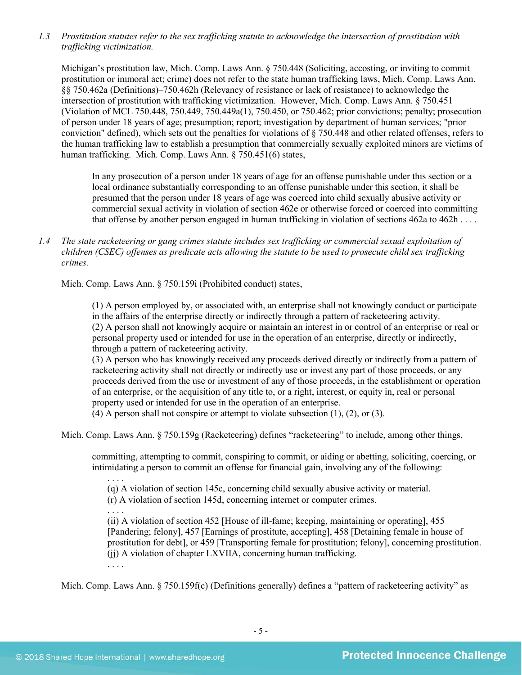*1.3 Prostitution statutes refer to the sex trafficking statute to acknowledge the intersection of prostitution with trafficking victimization.* 

Michigan's prostitution law, Mich. Comp. Laws Ann. § 750.448 (Soliciting, accosting, or inviting to commit prostitution or immoral act; crime) does not refer to the state human trafficking laws, Mich. Comp. Laws Ann. §§ 750.462a (Definitions)–750.462h (Relevancy of resistance or lack of resistance) to acknowledge the intersection of prostitution with trafficking victimization. However, Mich. Comp. Laws Ann. § 750.451 (Violation of MCL 750.448, 750.449, 750.449a(1), 750.450, or 750.462; prior convictions; penalty; prosecution of person under 18 years of age; presumption; report; investigation by department of human services; "prior conviction" defined), which sets out the penalties for violations of § 750.448 and other related offenses, refers to the human trafficking law to establish a presumption that commercially sexually exploited minors are victims of human trafficking. Mich. Comp. Laws Ann. § 750.451(6) states,

In any prosecution of a person under 18 years of age for an offense punishable under this section or a local ordinance substantially corresponding to an offense punishable under this section, it shall be presumed that the person under 18 years of age was coerced into child sexually abusive activity or commercial sexual activity in violation of section 462e or otherwise forced or coerced into committing that offense by another person engaged in human trafficking in violation of sections 462a to 462h . . . .

*1.4 The state racketeering or gang crimes statute includes sex trafficking or commercial sexual exploitation of children (CSEC) offenses as predicate acts allowing the statute to be used to prosecute child sex trafficking crimes.* 

Mich. Comp. Laws Ann. § 750.159i (Prohibited conduct) states,

(1) A person employed by, or associated with, an enterprise shall not knowingly conduct or participate in the affairs of the enterprise directly or indirectly through a pattern of racketeering activity. (2) A person shall not knowingly acquire or maintain an interest in or control of an enterprise or real or personal property used or intended for use in the operation of an enterprise, directly or indirectly, through a pattern of racketeering activity.

(3) A person who has knowingly received any proceeds derived directly or indirectly from a pattern of racketeering activity shall not directly or indirectly use or invest any part of those proceeds, or any proceeds derived from the use or investment of any of those proceeds, in the establishment or operation of an enterprise, or the acquisition of any title to, or a right, interest, or equity in, real or personal property used or intended for use in the operation of an enterprise.

(4) A person shall not conspire or attempt to violate subsection (1), (2), or (3).

Mich. Comp. Laws Ann. § 750.159g (Racketeering) defines "racketeering" to include, among other things,

committing, attempting to commit, conspiring to commit, or aiding or abetting, soliciting, coercing, or intimidating a person to commit an offense for financial gain, involving any of the following:

. . . . (q) A violation of section 145c, concerning child sexually abusive activity or material.

(r) A violation of section 145d, concerning internet or computer crimes.

. . . . (ii) A violation of section 452 [House of ill-fame; keeping, maintaining or operating], 455 [Pandering; felony], 457 [Earnings of prostitute, accepting], 458 [Detaining female in house of prostitution for debt], or 459 [Transporting female for prostitution; felony], concerning prostitution. (jj) A violation of chapter LXVIIA, concerning human trafficking.

. . . .

Mich. Comp. Laws Ann. § 750.159f(c) (Definitions generally) defines a "pattern of racketeering activity" as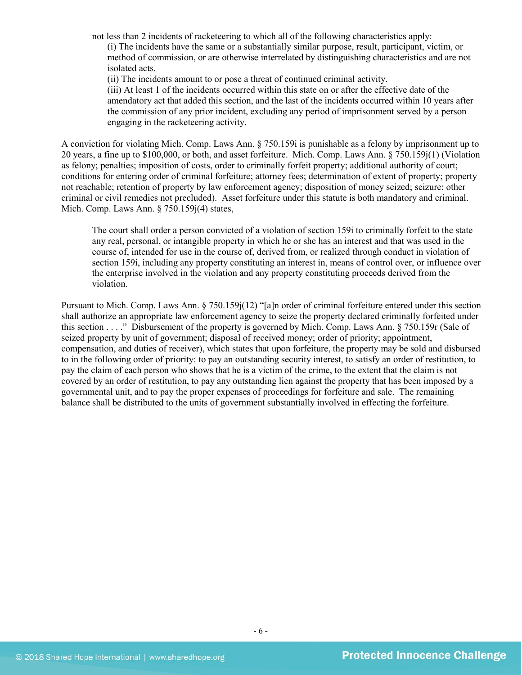not less than 2 incidents of racketeering to which all of the following characteristics apply:

(i) The incidents have the same or a substantially similar purpose, result, participant, victim, or method of commission, or are otherwise interrelated by distinguishing characteristics and are not isolated acts.

(ii) The incidents amount to or pose a threat of continued criminal activity.

(iii) At least 1 of the incidents occurred within this state on or after the effective date of the amendatory act that added this section, and the last of the incidents occurred within 10 years after the commission of any prior incident, excluding any period of imprisonment served by a person engaging in the racketeering activity.

A conviction for violating Mich. Comp. Laws Ann. § 750.159i is punishable as a felony by imprisonment up to 20 years, a fine up to \$100,000, or both, and asset forfeiture. Mich. Comp. Laws Ann. § 750.159j(1) (Violation as felony; penalties; imposition of costs, order to criminally forfeit property; additional authority of court; conditions for entering order of criminal forfeiture; attorney fees; determination of extent of property; property not reachable; retention of property by law enforcement agency; disposition of money seized; seizure; other criminal or civil remedies not precluded). Asset forfeiture under this statute is both mandatory and criminal. Mich. Comp. Laws Ann. § 750.159j(4) states,

The court shall order a person convicted of a violation of section 159i to criminally forfeit to the state any real, personal, or intangible property in which he or she has an interest and that was used in the course of, intended for use in the course of, derived from, or realized through conduct in violation of section 159i, including any property constituting an interest in, means of control over, or influence over the enterprise involved in the violation and any property constituting proceeds derived from the violation.

Pursuant to Mich. Comp. Laws Ann. § 750.159j(12) "[a]n order of criminal forfeiture entered under this section shall authorize an appropriate law enforcement agency to seize the property declared criminally forfeited under this section . . . ." Disbursement of the property is governed by Mich. Comp. Laws Ann. § 750.159r (Sale of seized property by unit of government; disposal of received money; order of priority; appointment, compensation, and duties of receiver), which states that upon forfeiture, the property may be sold and disbursed to in the following order of priority: to pay an outstanding security interest, to satisfy an order of restitution, to pay the claim of each person who shows that he is a victim of the crime, to the extent that the claim is not covered by an order of restitution, to pay any outstanding lien against the property that has been imposed by a governmental unit, and to pay the proper expenses of proceedings for forfeiture and sale. The remaining balance shall be distributed to the units of government substantially involved in effecting the forfeiture.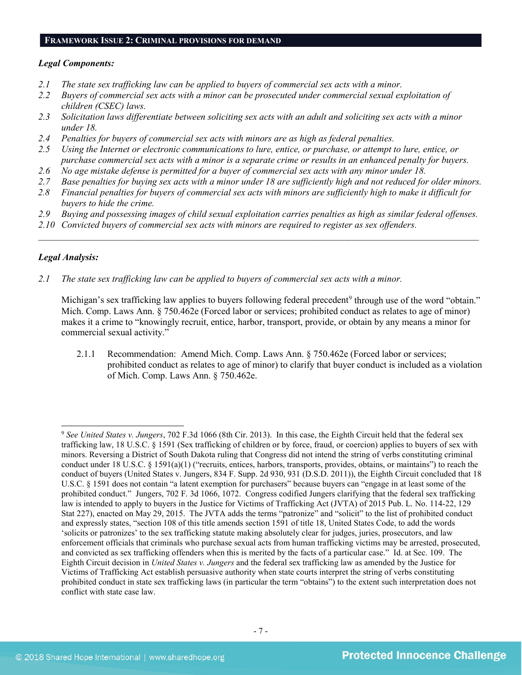#### **FRAMEWORK ISSUE 2: CRIMINAL PROVISIONS FOR DEMAND**

#### *Legal Components:*

- *2.1 The state sex trafficking law can be applied to buyers of commercial sex acts with a minor.*
- *2.2 Buyers of commercial sex acts with a minor can be prosecuted under commercial sexual exploitation of children (CSEC) laws.*
- *2.3 Solicitation laws differentiate between soliciting sex acts with an adult and soliciting sex acts with a minor under 18.*
- *2.4 Penalties for buyers of commercial sex acts with minors are as high as federal penalties.*
- *2.5 Using the Internet or electronic communications to lure, entice, or purchase, or attempt to lure, entice, or purchase commercial sex acts with a minor is a separate crime or results in an enhanced penalty for buyers.*
- *2.6 No age mistake defense is permitted for a buyer of commercial sex acts with any minor under 18.*
- *2.7 Base penalties for buying sex acts with a minor under 18 are sufficiently high and not reduced for older minors.*
- *2.8 Financial penalties for buyers of commercial sex acts with minors are sufficiently high to make it difficult for buyers to hide the crime.*
- *2.9 Buying and possessing images of child sexual exploitation carries penalties as high as similar federal offenses.*

\_\_\_\_\_\_\_\_\_\_\_\_\_\_\_\_\_\_\_\_\_\_\_\_\_\_\_\_\_\_\_\_\_\_\_\_\_\_\_\_\_\_\_\_\_\_\_\_\_\_\_\_\_\_\_\_\_\_\_\_\_\_\_\_\_\_\_\_\_\_\_\_\_\_\_\_\_\_\_\_\_\_\_\_\_\_\_\_\_\_\_\_\_\_

*2.10 Convicted buyers of commercial sex acts with minors are required to register as sex offenders.* 

## *Legal Analysis:*

*2.1 The state sex trafficking law can be applied to buyers of commercial sex acts with a minor.*

Michigan's sex trafficking law applies to buyers following federal precedent<sup>9</sup> through use of the word "obtain." Mich. Comp. Laws Ann. § 750.462e (Forced labor or services; prohibited conduct as relates to age of minor) makes it a crime to "knowingly recruit, entice, harbor, transport, provide, or obtain by any means a minor for commercial sexual activity."

2.1.1 Recommendation: Amend Mich. Comp. Laws Ann. § 750.462e (Forced labor or services; prohibited conduct as relates to age of minor) to clarify that buyer conduct is included as a violation of Mich. Comp. Laws Ann. § 750.462e.

<span id="page-6-0"></span> <sup>9</sup> *See United States v. Jungers*, 702 F.3d 1066 (8th Cir. 2013). In this case, the Eighth Circuit held that the federal sex trafficking law, 18 U.S.C. § 1591 (Sex trafficking of children or by force, fraud, or coercion) applies to buyers of sex with minors. Reversing a District of South Dakota ruling that Congress did not intend the string of verbs constituting criminal conduct under 18 U.S.C. § 1591(a)(1) ("recruits, entices, harbors, transports, provides, obtains, or maintains") to reach the conduct of buyers (United States v. Jungers, 834 F. Supp. 2d 930, 931 (D.S.D. 2011)), the Eighth Circuit concluded that 18 U.S.C. § 1591 does not contain "a latent exemption for purchasers" because buyers can "engage in at least some of the prohibited conduct." Jungers, 702 F. 3d 1066, 1072. Congress codified Jungers clarifying that the federal sex trafficking law is intended to apply to buyers in the Justice for Victims of Trafficking Act (JVTA) of 2015 Pub. L. No. 114-22, 129 Stat 227), enacted on May 29, 2015. The JVTA adds the terms "patronize" and "solicit" to the list of prohibited conduct and expressly states, "section 108 of this title amends section 1591 of title 18, United States Code, to add the words 'solicits or patronizes' to the sex trafficking statute making absolutely clear for judges, juries, prosecutors, and law enforcement officials that criminals who purchase sexual acts from human trafficking victims may be arrested, prosecuted, and convicted as sex trafficking offenders when this is merited by the facts of a particular case." Id. at Sec. 109. The Eighth Circuit decision in *United States v. Jungers* and the federal sex trafficking law as amended by the Justice for Victims of Trafficking Act establish persuasive authority when state courts interpret the string of verbs constituting prohibited conduct in state sex trafficking laws (in particular the term "obtains") to the extent such interpretation does not conflict with state case law.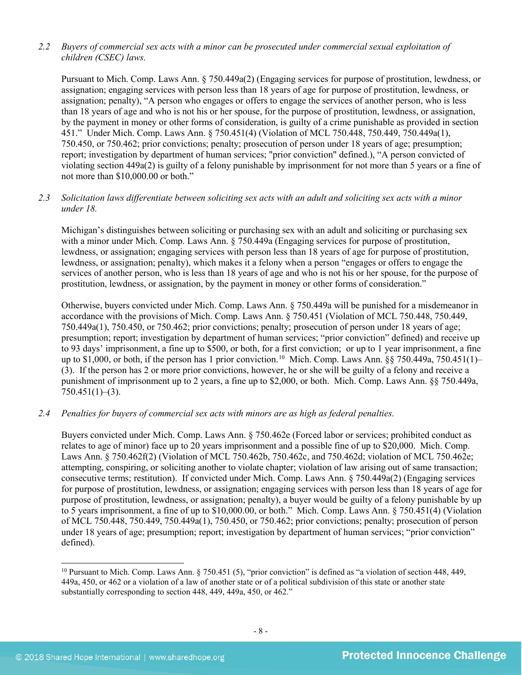## *2.2 Buyers of commercial sex acts with a minor can be prosecuted under commercial sexual exploitation of children (CSEC) laws.*

Pursuant to Mich. Comp. Laws Ann. § 750.449a(2) (Engaging services for purpose of prostitution, lewdness, or assignation; engaging services with person less than 18 years of age for purpose of prostitution, lewdness, or assignation; penalty), "A person who engages or offers to engage the services of another person, who is less than 18 years of age and who is not his or her spouse, for the purpose of prostitution, lewdness, or assignation, by the payment in money or other forms of consideration, is guilty of a crime punishable as provided in section 451." Under Mich. Comp. Laws Ann. § 750.451(4) (Violation of MCL 750.448, 750.449, 750.449a(1), 750.450, or 750.462; prior convictions; penalty; prosecution of person under 18 years of age; presumption; report; investigation by department of human services; "prior conviction" defined.), "A person convicted of violating section 449a(2) is guilty of a felony punishable by imprisonment for not more than 5 years or a fine of not more than \$10,000.00 or both."

## *2.3 Solicitation laws differentiate between soliciting sex acts with an adult and soliciting sex acts with a minor under 18.*

Michigan's distinguishes between soliciting or purchasing sex with an adult and soliciting or purchasing sex with a minor under Mich. Comp. Laws Ann. § 750.449a (Engaging services for purpose of prostitution, lewdness, or assignation; engaging services with person less than 18 years of age for purpose of prostitution, lewdness, or assignation; penalty), which makes it a felony when a person "engages or offers to engage the services of another person, who is less than 18 years of age and who is not his or her spouse, for the purpose of prostitution, lewdness, or assignation, by the payment in money or other forms of consideration."

Otherwise, buyers convicted under Mich. Comp. Laws Ann. § 750.449a will be punished for a misdemeanor in accordance with the provisions of Mich. Comp. Laws Ann. § 750.451 (Violation of MCL 750.448, 750.449, 750.449a(1), 750.450, or 750.462; prior convictions; penalty; prosecution of person under 18 years of age; presumption; report; investigation by department of human services; "prior conviction" defined) and receive up to 93 days' imprisonment, a fine up to \$500, or both, for a first conviction; or up to 1 year imprisonment, a fine up to \$1,000, or both, if the person has 1 prior conviction. [10](#page-7-0) Mich. Comp. Laws Ann. §§ 750.449a, 750.451(1)– (3). If the person has 2 or more prior convictions, however, he or she will be guilty of a felony and receive a punishment of imprisonment up to 2 years, a fine up to \$2,000, or both. Mich. Comp. Laws Ann. §§ 750.449a,  $750.451(1)–(3)$ .

## *2.4 Penalties for buyers of commercial sex acts with minors are as high as federal penalties.*

Buyers convicted under Mich. Comp. Laws Ann. § 750.462e (Forced labor or services; prohibited conduct as relates to age of minor) face up to 20 years imprisonment and a possible fine of up to \$20,000. Mich. Comp. Laws Ann. § 750.462f(2) (Violation of MCL 750.462b, 750.462c, and 750.462d; violation of MCL 750.462e; attempting, conspiring, or soliciting another to violate chapter; violation of law arising out of same transaction; consecutive terms; restitution). If convicted under Mich. Comp. Laws Ann. § 750.449a(2) (Engaging services for purpose of prostitution, lewdness, or assignation; engaging services with person less than 18 years of age for purpose of prostitution, lewdness, or assignation; penalty), a buyer would be guilty of a felony punishable by up to 5 years imprisonment, a fine of up to \$10,000.00, or both." Mich. Comp. Laws Ann. § 750.451(4) (Violation of MCL 750.448, 750.449, 750.449a(1), 750.450, or 750.462; prior convictions; penalty; prosecution of person under 18 years of age; presumption; report; investigation by department of human services; "prior conviction" defined).

<span id="page-7-0"></span><sup>&</sup>lt;sup>10</sup> Pursuant to Mich. Comp. Laws Ann. § 750.451 (5), "prior conviction" is defined as "a violation of section 448, 449, 449a, 450, or 462 or a violation of a law of another state or of a political subdivision of this state or another state substantially corresponding to section 448, 449, 449a, 450, or 462."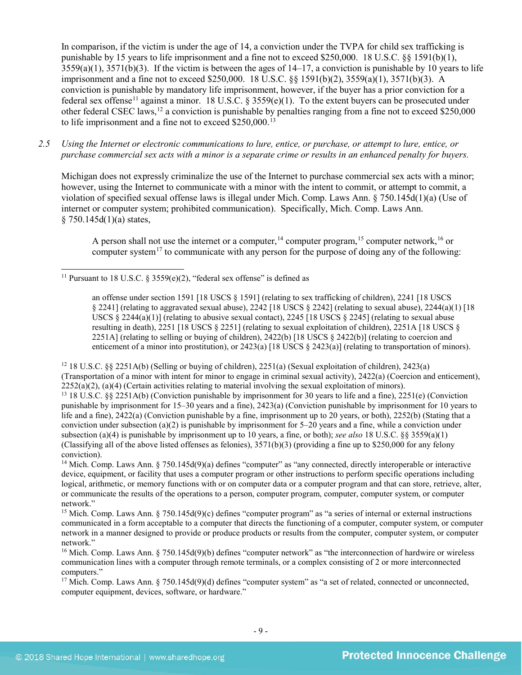<span id="page-8-7"></span>In comparison, if the victim is under the age of 14, a conviction under the TVPA for child sex trafficking is punishable by 15 years to life imprisonment and a fine not to exceed \$250,000. 18 U.S.C. §§ 1591(b)(1),  $3559(a)(1)$ ,  $3571(b)(3)$ . If the victim is between the ages of  $14-17$ , a conviction is punishable by 10 years to life imprisonment and a fine not to exceed \$250,000. 18 U.S.C. §§ 1591(b)(2), 3559(a)(1), 3571(b)(3). A conviction is punishable by mandatory life imprisonment, however, if the buyer has a prior conviction for a federal sex offense<sup>[11](#page-8-0)</sup> against a minor. 18 U.S.C. § 3559(e)(1). To the extent buyers can be prosecuted under other federal CSEC laws,  $^{12}$  $^{12}$  $^{12}$  a conviction is punishable by penalties ranging from a fine not to exceed \$250,000 to life imprisonment and a fine not to exceed \$250,000.<sup>13</sup>

*2.5 Using the Internet or electronic communications to lure, entice, or purchase, or attempt to lure, entice, or purchase commercial sex acts with a minor is a separate crime or results in an enhanced penalty for buyers.*

Michigan does not expressly criminalize the use of the Internet to purchase commercial sex acts with a minor; however, using the Internet to communicate with a minor with the intent to commit, or attempt to commit, a violation of specified sexual offense laws is illegal under Mich. Comp. Laws Ann. § 750.145d(1)(a) (Use of internet or computer system; prohibited communication). Specifically, Mich. Comp. Laws Ann.  $§ 750.145d(1)(a) states,$ 

<span id="page-8-11"></span><span id="page-8-10"></span><span id="page-8-9"></span><span id="page-8-8"></span>A person shall not use the internet or a computer,  $14$  computer program,  $15$  computer network,  $16$  or computer system<sup>[17](#page-8-6)</sup> to communicate with any person for the purpose of doing any of the following:

<span id="page-8-2"></span><span id="page-8-1"></span><sup>12</sup> 18 U.S.C. §§ 2251A(b) (Selling or buying of children), 2251(a) (Sexual exploitation of children), 2423(a) (Transportation of a minor with intent for minor to engage in criminal sexual activity), 2422(a) (Coercion and enticement),  $2252(a)(2)$ , (a)(4) (Certain activities relating to material involving the sexual exploitation of minors).<br><sup>13</sup> 18 U.S.C. §§ 2251A(b) (Conviction punishable by imprisonment for 30 years to life and a fine), 2251(e) (Convic punishable by imprisonment for 15–30 years and a fine), 2423(a) (Conviction punishable by imprisonment for 10 years to life and a fine), 2422(a) (Conviction punishable by a fine, imprisonment up to 20 years, or both), 2252(b) (Stating that a conviction under subsection (a)(2) is punishable by imprisonment for  $5-20$  years and a fine, while a conviction under subsection (a)(4) is punishable by imprisonment up to 10 years, a fine, or both); *see also* 18 U.S.C. §§ 3559(a)(1) (Classifying all of the above listed offenses as felonies),  $3571(b)(3)$  (providing a fine up to \$250,000 for any felony conviction).

<span id="page-8-3"></span><sup>14</sup> Mich. Comp. Laws Ann. § 750.145d(9)(a) defines "computer" as "any connected, directly interoperable or interactive device, equipment, or facility that uses a computer program or other instructions to perform specific operations including logical, arithmetic, or memory functions with or on computer data or a computer program and that can store, retrieve, alter, or communicate the results of the operations to a person, computer program, computer, computer system, or computer network."

<span id="page-8-4"></span><sup>15</sup> Mich. Comp. Laws Ann. § 750.145d(9)(c) defines "computer program" as "a series of internal or external instructions communicated in a form acceptable to a computer that directs the functioning of a computer, computer system, or computer network in a manner designed to provide or produce products or results from the computer, computer system, or computer network."

<span id="page-8-6"></span><sup>17</sup> Mich. Comp. Laws Ann. § 750.145d(9)(d) defines "computer system" as "a set of related, connected or unconnected, computer equipment, devices, software, or hardware."

<span id="page-8-0"></span><sup>&</sup>lt;sup>11</sup> Pursuant to 18 U.S.C. § 3559(e)(2), "federal sex offense" is defined as

an offense under section 1591 [18 USCS § 1591] (relating to sex trafficking of children), 2241 [18 USCS § 2241] (relating to aggravated sexual abuse), 2242 [18 USCS § 2242] (relating to sexual abuse), 2244(a)(1) [18 USCS  $\S$  2244(a)(1)] (relating to abusive sexual contact), 2245 [18 USCS  $\S$  2245] (relating to sexual abuse resulting in death), 2251 [18 USCS § 2251] (relating to sexual exploitation of children), 2251A [18 USCS § 2251A] (relating to selling or buying of children), 2422(b) [18 USCS  $\S$  2422(b)] (relating to coercion and enticement of a minor into prostitution), or  $2423(a)$  [18 USCS §  $2423(a)$ ] (relating to transportation of minors).

<span id="page-8-5"></span><sup>&</sup>lt;sup>16</sup> Mich. Comp. Laws Ann.  $\S 750.145d(9)$  defines "computer network" as "the interconnection of hardwire or wireless communication lines with a computer through remote terminals, or a complex consisting of 2 or more interconnected computers."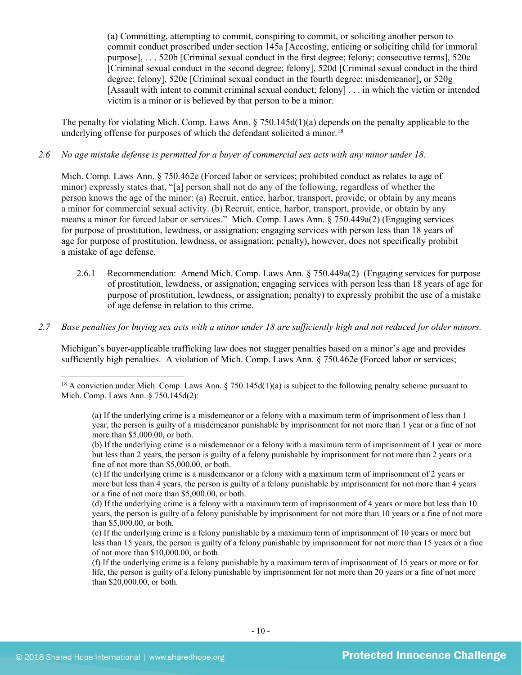<span id="page-9-1"></span>(a) Committing, attempting to commit, conspiring to commit, or soliciting another person to commit conduct proscribed under section 145a [Accosting, enticing or soliciting child for immoral purpose], . . . 520b [Criminal sexual conduct in the first degree; felony; consecutive terms], 520c [Criminal sexual conduct in the second degree; felony], 520d [Criminal sexual conduct in the third degree; felony], 520e [Criminal sexual conduct in the fourth degree; misdemeanor], or 520g [Assault with intent to commit criminal sexual conduct; felony] . . . in which the victim or intended victim is a minor or is believed by that person to be a minor.

The penalty for violating Mich. Comp. Laws Ann. § 750.145d(1)(a) depends on the penalty applicable to the underlying offense for purposes of which the defendant solicited a minor.<sup>[18](#page-9-0)</sup>

#### *2.6 No age mistake defense is permitted for a buyer of commercial sex acts with any minor under 18.*

Mich. Comp. Laws Ann. § 750.462e (Forced labor or services; prohibited conduct as relates to age of minor) expressly states that, "[a] person shall not do any of the following, regardless of whether the person knows the age of the minor: (a) Recruit, entice, harbor, transport, provide, or obtain by any means a minor for commercial sexual activity. (b) Recruit, entice, harbor, transport, provide, or obtain by any means a minor for forced labor or services." Mich. Comp. Laws Ann. § 750.449a(2) (Engaging services for purpose of prostitution, lewdness, or assignation; engaging services with person less than 18 years of age for purpose of prostitution, lewdness, or assignation; penalty), however, does not specifically prohibit a mistake of age defense.

2.6.1 Recommendation: Amend Mich. Comp. Laws Ann. § 750.449a(2) (Engaging services for purpose of prostitution, lewdness, or assignation; engaging services with person less than 18 years of age for purpose of prostitution, lewdness, or assignation; penalty) to expressly prohibit the use of a mistake of age defense in relation to this crime.

## *2.7 Base penalties for buying sex acts with a minor under 18 are sufficiently high and not reduced for older minors.*

Michigan's buyer-applicable trafficking law does not stagger penalties based on a minor's age and provides sufficiently high penalties. A violation of Mich. Comp. Laws Ann. § 750.462e (Forced labor or services;

<span id="page-9-0"></span><sup>&</sup>lt;sup>18</sup> A conviction under Mich. Comp. Laws Ann. § 750.145d(1)(a) is subject to the following penalty scheme pursuant to Mich. Comp. Laws Ann. § 750.145d(2):

<sup>(</sup>a) If the underlying crime is a misdemeanor or a felony with a maximum term of imprisonment of less than 1 year, the person is guilty of a misdemeanor punishable by imprisonment for not more than 1 year or a fine of not more than \$5,000.00, or both.

<sup>(</sup>b) If the underlying crime is a misdemeanor or a felony with a maximum term of imprisonment of 1 year or more but less than 2 years, the person is guilty of a felony punishable by imprisonment for not more than 2 years or a fine of not more than \$5,000.00, or both.

<sup>(</sup>c) If the underlying crime is a misdemeanor or a felony with a maximum term of imprisonment of 2 years or more but less than 4 years, the person is guilty of a felony punishable by imprisonment for not more than 4 years or a fine of not more than \$5,000.00, or both.

<sup>(</sup>d) If the underlying crime is a felony with a maximum term of imprisonment of 4 years or more but less than 10 years, the person is guilty of a felony punishable by imprisonment for not more than 10 years or a fine of not more than \$5,000.00, or both.

<sup>(</sup>e) If the underlying crime is a felony punishable by a maximum term of imprisonment of 10 years or more but less than 15 years, the person is guilty of a felony punishable by imprisonment for not more than 15 years or a fine of not more than \$10,000.00, or both.

<sup>(</sup>f) If the underlying crime is a felony punishable by a maximum term of imprisonment of 15 years or more or for life, the person is guilty of a felony punishable by imprisonment for not more than 20 years or a fine of not more than \$20,000.00, or both.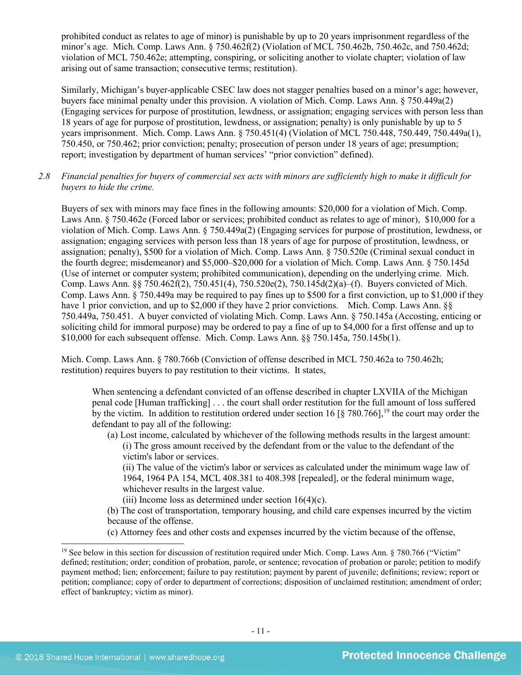prohibited conduct as relates to age of minor) is punishable by up to 20 years imprisonment regardless of the minor's age. Mich. Comp. Laws Ann. § 750.462f(2) (Violation of MCL 750.462b, 750.462c, and 750.462d; violation of MCL 750.462e; attempting, conspiring, or soliciting another to violate chapter; violation of law arising out of same transaction; consecutive terms; restitution).

Similarly, Michigan's buyer-applicable CSEC law does not stagger penalties based on a minor's age; however, buyers face minimal penalty under this provision. A violation of Mich. Comp. Laws Ann. § 750.449a(2) (Engaging services for purpose of prostitution, lewdness, or assignation; engaging services with person less than 18 years of age for purpose of prostitution, lewdness, or assignation; penalty) is only punishable by up to 5 years imprisonment. Mich. Comp. Laws Ann. § 750.451(4) (Violation of MCL 750.448, 750.449, 750.449a(1), 750.450, or 750.462; prior conviction; penalty; prosecution of person under 18 years of age; presumption; report; investigation by department of human services' "prior conviction" defined).

*2.8 Financial penalties for buyers of commercial sex acts with minors are sufficiently high to make it difficult for buyers to hide the crime.* 

Buyers of sex with minors may face fines in the following amounts: \$20,000 for a violation of Mich. Comp. Laws Ann. § 750.462e (Forced labor or services; prohibited conduct as relates to age of minor), \$10,000 for a violation of Mich. Comp. Laws Ann. § 750.449a(2) (Engaging services for purpose of prostitution, lewdness, or assignation; engaging services with person less than 18 years of age for purpose of prostitution, lewdness, or assignation; penalty), \$500 for a violation of Mich. Comp. Laws Ann. § 750.520e (Criminal sexual conduct in the fourth degree; misdemeanor) and \$5,000–\$20,000 for a violation of Mich. Comp. Laws Ann. § 750.145d (Use of internet or computer system; prohibited communication), depending on the underlying crime. Mich. Comp. Laws Ann. §§ 750.462f(2), 750.451(4), 750.520e(2), 750.145d(2)(a)–(f). Buyers convicted of Mich. Comp. Laws Ann. § 750.449a may be required to pay fines up to \$500 for a first conviction, up to \$1,000 if they have 1 prior conviction, and up to \$2,000 if they have 2 prior convictions. Mich. Comp. Laws Ann. §§ 750.449a, 750.451. A buyer convicted of violating Mich. Comp. Laws Ann. § 750.145a (Accosting, enticing or soliciting child for immoral purpose) may be ordered to pay a fine of up to \$4,000 for a first offense and up to \$10,000 for each subsequent offense. Mich. Comp. Laws Ann. §§ 750.145a, 750.145b(1).

Mich. Comp. Laws Ann. § 780.766b (Conviction of offense described in MCL 750.462a to 750.462h; restitution) requires buyers to pay restitution to their victims. It states,

When sentencing a defendant convicted of an offense described in chapter LXVIIA of the Michigan penal code [Human trafficking] . . . the court shall order restitution for the full amount of loss suffered by the victim. In addition to restitution ordered under section 16 [§ 780.766],<sup>[19](#page-10-0)</sup> the court may order the defendant to pay all of the following:

(a) Lost income, calculated by whichever of the following methods results in the largest amount: (i) The gross amount received by the defendant from or the value to the defendant of the victim's labor or services.

(ii) The value of the victim's labor or services as calculated under the minimum wage law of 1964, 1964 PA 154, MCL 408.381 to 408.398 [repealed], or the federal minimum wage, whichever results in the largest value.

(iii) Income loss as determined under section  $16(4)(c)$ .

(b) The cost of transportation, temporary housing, and child care expenses incurred by the victim because of the offense.

(c) Attorney fees and other costs and expenses incurred by the victim because of the offense,

<span id="page-10-0"></span><sup>&</sup>lt;sup>19</sup> See below in this section for discussion of restitution required under Mich. Comp. Laws Ann.  $\S 780.766$  ("Victim" defined; restitution; order; condition of probation, parole, or sentence; revocation of probation or parole; petition to modify payment method; lien; enforcement; failure to pay restitution; payment by parent of juvenile; definitions; review; report or petition; compliance; copy of order to department of corrections; disposition of unclaimed restitution; amendment of order; effect of bankruptcy; victim as minor).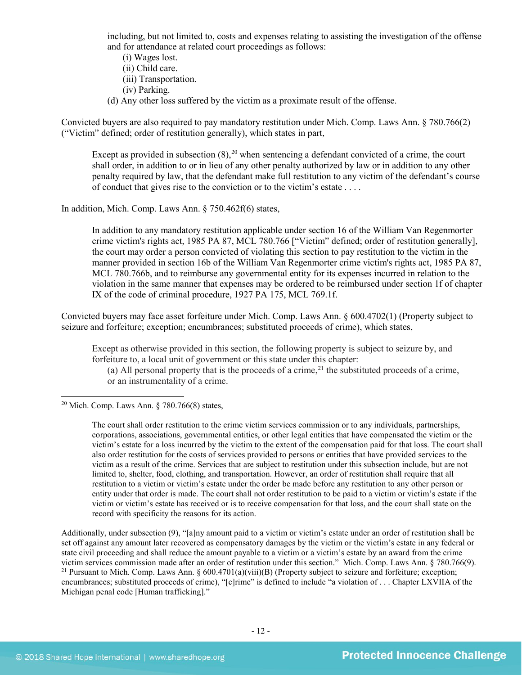including, but not limited to, costs and expenses relating to assisting the investigation of the offense and for attendance at related court proceedings as follows:

- (i) Wages lost.
- (ii) Child care.
- (iii) Transportation.
- <span id="page-11-2"></span>(iv) Parking.
- (d) Any other loss suffered by the victim as a proximate result of the offense.

Convicted buyers are also required to pay mandatory restitution under Mich. Comp. Laws Ann. § 780.766(2) ("Victim" defined; order of restitution generally), which states in part,

Except as provided in subsection  $(8)$ , <sup>[20](#page-11-0)</sup> when sentencing a defendant convicted of a crime, the court shall order, in addition to or in lieu of any other penalty authorized by law or in addition to any other penalty required by law, that the defendant make full restitution to any victim of the defendant's course of conduct that gives rise to the conviction or to the victim's estate . . . .

In addition, Mich. Comp. Laws Ann. § 750.462f(6) states,

In addition to any mandatory restitution applicable under section 16 of the William Van Regenmorter crime victim's rights act, 1985 PA 87, MCL 780.766 ["Victim" defined; order of restitution generally], the court may order a person convicted of violating this section to pay restitution to the victim in the manner provided in section 16b of the William Van Regenmorter crime victim's rights act, 1985 PA 87, MCL 780.766b, and to reimburse any governmental entity for its expenses incurred in relation to the violation in the same manner that expenses may be ordered to be reimbursed under section 1f of chapter IX of the code of criminal procedure, 1927 PA 175, MCL 769.1f.

Convicted buyers may face asset forfeiture under Mich. Comp. Laws Ann. § 600.4702(1) (Property subject to seizure and forfeiture; exception; encumbrances; substituted proceeds of crime), which states,

Except as otherwise provided in this section, the following property is subject to seizure by, and forfeiture to, a local unit of government or this state under this chapter:

<span id="page-11-3"></span>(a) All personal property that is the proceeds of a crime,<sup>[21](#page-11-1)</sup> the substituted proceeds of a crime, or an instrumentality of a crime.

<span id="page-11-0"></span><sup>20</sup> Mich. Comp. Laws Ann.  $\S$  780.766(8) states,

The court shall order restitution to the crime victim services commission or to any individuals, partnerships, corporations, associations, governmental entities, or other legal entities that have compensated the victim or the victim's estate for a loss incurred by the victim to the extent of the compensation paid for that loss. The court shall also order restitution for the costs of services provided to persons or entities that have provided services to the victim as a result of the crime. Services that are subject to restitution under this subsection include, but are not limited to, shelter, food, clothing, and transportation. However, an order of restitution shall require that all restitution to a victim or victim's estate under the order be made before any restitution to any other person or entity under that order is made. The court shall not order restitution to be paid to a victim or victim's estate if the victim or victim's estate has received or is to receive compensation for that loss, and the court shall state on the record with specificity the reasons for its action.

<span id="page-11-1"></span>Additionally, under subsection (9), "[a]ny amount paid to a victim or victim's estate under an order of restitution shall be set off against any amount later recovered as compensatory damages by the victim or the victim's estate in any federal or state civil proceeding and shall reduce the amount payable to a victim or a victim's estate by an award from the crime victim services commission made after an order of restitution under this section." Mich. Comp. Laws Ann. § 780.766(9). <sup>21</sup> Pursuant to Mich. Comp. Laws Ann. § 600.4701(a)(viii)(B) (Property subject to seizure and forfeiture; exception; encumbrances; substituted proceeds of crime), "[c]rime" is defined to include "a violation of . . . Chapter LXVIIA of the Michigan penal code [Human trafficking]."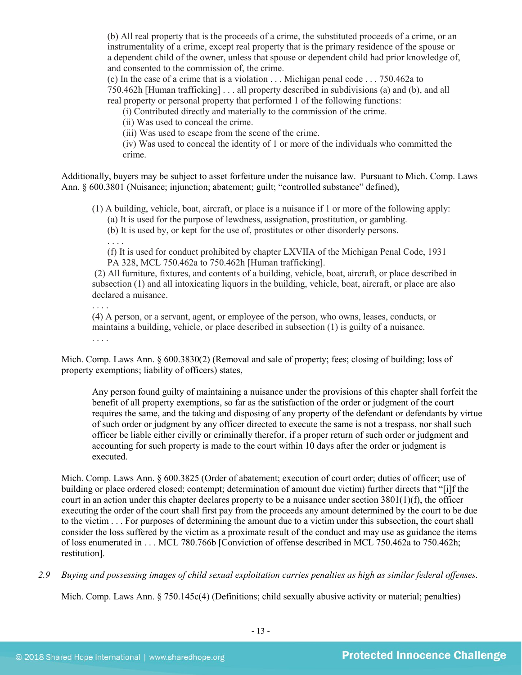(b) All real property that is the proceeds of a crime, the substituted proceeds of a crime, or an instrumentality of a crime, except real property that is the primary residence of the spouse or a dependent child of the owner, unless that spouse or dependent child had prior knowledge of, and consented to the commission of, the crime.

(c) In the case of a crime that is a violation . . . Michigan penal code . . . 750.462a to 750.462h [Human trafficking] . . . all property described in subdivisions (a) and (b), and all real property or personal property that performed 1 of the following functions:

(i) Contributed directly and materially to the commission of the crime.

(ii) Was used to conceal the crime.

(iii) Was used to escape from the scene of the crime.

(iv) Was used to conceal the identity of 1 or more of the individuals who committed the crime.

Additionally, buyers may be subject to asset forfeiture under the nuisance law. Pursuant to Mich. Comp. Laws Ann. § 600.3801 (Nuisance; injunction; abatement; guilt; "controlled substance" defined),

(1) A building, vehicle, boat, aircraft, or place is a nuisance if 1 or more of the following apply: (a) It is used for the purpose of lewdness, assignation, prostitution, or gambling.

(b) It is used by, or kept for the use of, prostitutes or other disorderly persons.

. . . .

(f) It is used for conduct prohibited by chapter LXVIIA of the Michigan Penal Code, 1931 PA 328, MCL 750.462a to 750.462h [Human trafficking].

(2) All furniture, fixtures, and contents of a building, vehicle, boat, aircraft, or place described in subsection (1) and all intoxicating liquors in the building, vehicle, boat, aircraft, or place are also declared a nuisance.

. . . . (4) A person, or a servant, agent, or employee of the person, who owns, leases, conducts, or maintains a building, vehicle, or place described in subsection (1) is guilty of a nuisance. . . . .

Mich. Comp. Laws Ann. § 600.3830(2) (Removal and sale of property; fees; closing of building; loss of property exemptions; liability of officers) states,

Any person found guilty of maintaining a nuisance under the provisions of this chapter shall forfeit the benefit of all property exemptions, so far as the satisfaction of the order or judgment of the court requires the same, and the taking and disposing of any property of the defendant or defendants by virtue of such order or judgment by any officer directed to execute the same is not a trespass, nor shall such officer be liable either civilly or criminally therefor, if a proper return of such order or judgment and accounting for such property is made to the court within 10 days after the order or judgment is executed.

Mich. Comp. Laws Ann. § 600.3825 (Order of abatement; execution of court order; duties of officer; use of building or place ordered closed; contempt; determination of amount due victim) further directs that "[i]f the court in an action under this chapter declares property to be a nuisance under section 3801(1)(f), the officer executing the order of the court shall first pay from the proceeds any amount determined by the court to be due to the victim . . . For purposes of determining the amount due to a victim under this subsection, the court shall consider the loss suffered by the victim as a proximate result of the conduct and may use as guidance the items of loss enumerated in . . . MCL 780.766b [Conviction of offense described in MCL 750.462a to 750.462h; restitution].

*2.9 Buying and possessing images of child sexual exploitation carries penalties as high as similar federal offenses.*

Mich. Comp. Laws Ann. § 750.145c(4) (Definitions; child sexually abusive activity or material; penalties)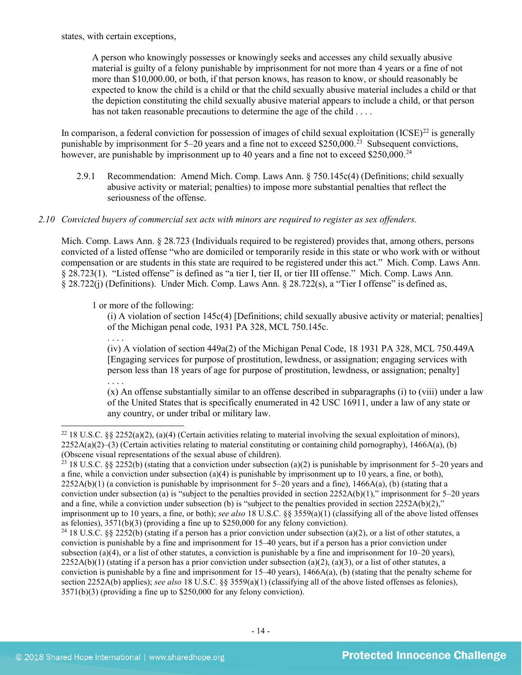states, with certain exceptions,

A person who knowingly possesses or knowingly seeks and accesses any child sexually abusive material is guilty of a felony punishable by imprisonment for not more than 4 years or a fine of not more than \$10,000.00, or both, if that person knows, has reason to know, or should reasonably be expected to know the child is a child or that the child sexually abusive material includes a child or that the depiction constituting the child sexually abusive material appears to include a child, or that person has not taken reasonable precautions to determine the age of the child . . . .

In comparison, a federal conviction for possession of images of child sexual exploitation  $(ICSE)^{22}$  $(ICSE)^{22}$  $(ICSE)^{22}$  is generally punishable by imprisonment for  $5-20$  years and a fine not to exceed \$250,000.<sup>[23](#page-13-1)</sup> Subsequent convictions, however, are punishable by imprisonment up to 40 years and a fine not to exceed \$250,000.<sup>24</sup>

2.9.1 Recommendation: Amend Mich. Comp. Laws Ann. § 750.145c(4) (Definitions; child sexually abusive activity or material; penalties) to impose more substantial penalties that reflect the seriousness of the offense.

## *2.10 Convicted buyers of commercial sex acts with minors are required to register as sex offenders.*

Mich. Comp. Laws Ann. § 28.723 (Individuals required to be registered) provides that, among others, persons convicted of a listed offense "who are domiciled or temporarily reside in this state or who work with or without compensation or are students in this state are required to be registered under this act." Mich. Comp. Laws Ann. § 28.723(1). "Listed offense" is defined as "a tier I, tier II, or tier III offense." Mich. Comp. Laws Ann. § 28.722(j) (Definitions). Under Mich. Comp. Laws Ann. § 28.722(s), a "Tier I offense" is defined as,

1 or more of the following:

. . . .

(i) A violation of section 145c(4) [Definitions; child sexually abusive activity or material; penalties] of the Michigan penal code, 1931 PA 328, MCL 750.145c.

(iv) A violation of section 449a(2) of the Michigan Penal Code, 18 1931 PA 328, MCL 750.449A [Engaging services for purpose of prostitution, lewdness, or assignation; engaging services with person less than 18 years of age for purpose of prostitution, lewdness, or assignation; penalty] . . . .

(x) An offense substantially similar to an offense described in subparagraphs (i) to (viii) under a law of the United States that is specifically enumerated in 42 USC 16911, under a law of any state or any country, or under tribal or military law.

<span id="page-13-0"></span><sup>&</sup>lt;sup>22</sup> 18 U.S.C. §§ 2252(a)(2), (a)(4) (Certain activities relating to material involving the sexual exploitation of minors),  $2252A(a)(2)$ –(3) (Certain activities relating to material constituting or containing child pornography), 1466A(a), (b) (Obscene visual representations of the sexual abuse of children).

<span id="page-13-1"></span><sup>&</sup>lt;sup>23</sup> 18 U.S.C. §§ 2252(b) (stating that a conviction under subsection (a)(2) is punishable by imprisonment for 5–20 years and a fine, while a conviction under subsection  $(a)(4)$  is punishable by imprisonment up to 10 years, a fine, or both),  $2252A(b)(1)$  (a conviction is punishable by imprisonment for 5–20 years and a fine),  $1466A(a)$ , (b) (stating that a conviction under subsection (a) is "subject to the penalties provided in section  $2252A(b)(1)$ ," imprisonment for 5–20 years and a fine, while a conviction under subsection (b) is "subject to the penalties provided in section  $2252A(b)(2)$ ," imprisonment up to 10 years, a fine, or both); *see also* 18 U.S.C. §§ 3559(a)(1) (classifying all of the above listed offenses as felonies), 3571(b)(3) (providing a fine up to \$250,000 for any felony conviction).

<span id="page-13-2"></span><sup>&</sup>lt;sup>24</sup> 18 U.S.C. §§ 2252(b) (stating if a person has a prior conviction under subsection (a)(2), or a list of other statutes, a conviction is punishable by a fine and imprisonment for 15–40 years, but if a person has a prior conviction under subsection (a)(4), or a list of other statutes, a conviction is punishable by a fine and imprisonment for  $10-20$  years),  $2252A(b)(1)$  (stating if a person has a prior conviction under subsection (a)(2), (a)(3), or a list of other statutes, a conviction is punishable by a fine and imprisonment for 15–40 years), 1466A(a), (b) (stating that the penalty scheme for section 2252A(b) applies); *see also* 18 U.S.C. §§ 3559(a)(1) (classifying all of the above listed offenses as felonies), 3571(b)(3) (providing a fine up to \$250,000 for any felony conviction).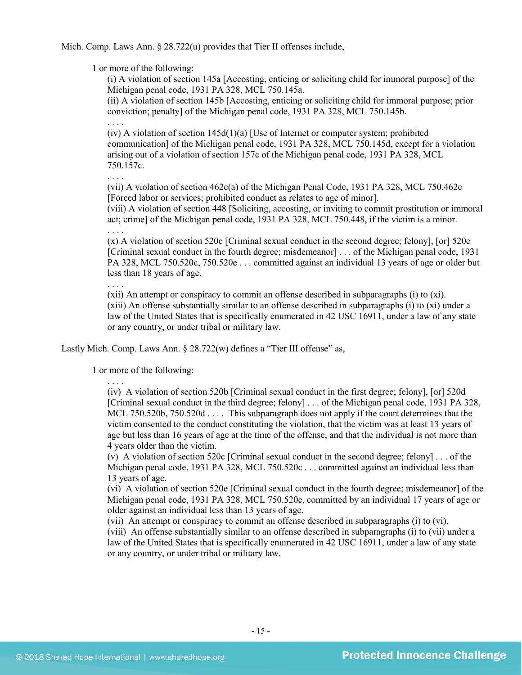Mich. Comp. Laws Ann. § 28.722(u) provides that Tier II offenses include,

1 or more of the following:

(i) A violation of section 145a [Accosting, enticing or soliciting child for immoral purpose] of the Michigan penal code, 1931 PA 328, MCL 750.145a.

(ii) A violation of section 145b [Accosting, enticing or soliciting child for immoral purpose; prior conviction; penalty] of the Michigan penal code, 1931 PA 328, MCL 750.145b.

 $(iv)$  A violation of section 145d $(1)(a)$  [Use of Internet or computer system; prohibited communication] of the Michigan penal code, 1931 PA 328, MCL 750.145d, except for a violation arising out of a violation of section 157c of the Michigan penal code, 1931 PA 328, MCL 750.157c.

. . . .

. . . .

. . . .

(vii) A violation of section 462e(a) of the Michigan Penal Code, 1931 PA 328, MCL 750.462e [Forced labor or services; prohibited conduct as relates to age of minor].

(viii) A violation of section 448 [Soliciting, accosting, or inviting to commit prostitution or immoral act; crime] of the Michigan penal code, 1931 PA 328, MCL 750.448, if the victim is a minor.

(x) A violation of section 520c [Criminal sexual conduct in the second degree; felony], [or] 520e [Criminal sexual conduct in the fourth degree; misdemeanor] . . . of the Michigan penal code, 1931 PA 328, MCL 750.520c, 750.520e . . . committed against an individual 13 years of age or older but less than 18 years of age.

. . . .

(xii) An attempt or conspiracy to commit an offense described in subparagraphs (i) to (xi). (xiii) An offense substantially similar to an offense described in subparagraphs (i) to (xi) under a law of the United States that is specifically enumerated in 42 USC 16911, under a law of any state or any country, or under tribal or military law.

Lastly Mich. Comp. Laws Ann. § 28.722(w) defines a "Tier III offense" as,

1 or more of the following:

. . . .

(iv) A violation of section 520b [Criminal sexual conduct in the first degree; felony], [or] 520d [Criminal sexual conduct in the third degree; felony] . . . of the Michigan penal code, 1931 PA 328, MCL 750.520b, 750.520d . . . . This subparagraph does not apply if the court determines that the victim consented to the conduct constituting the violation, that the victim was at least 13 years of age but less than 16 years of age at the time of the offense, and that the individual is not more than 4 years older than the victim.

(v) A violation of section 520c [Criminal sexual conduct in the second degree; felony] . . . of the Michigan penal code, 1931 PA 328, MCL 750.520c . . . committed against an individual less than 13 years of age.

(vi) A violation of section 520e [Criminal sexual conduct in the fourth degree; misdemeanor] of the Michigan penal code, 1931 PA 328, MCL 750.520e, committed by an individual 17 years of age or older against an individual less than 13 years of age.

(vii) An attempt or conspiracy to commit an offense described in subparagraphs (i) to (vi).

(viii) An offense substantially similar to an offense described in subparagraphs (i) to (vii) under a law of the United States that is specifically enumerated in 42 USC 16911, under a law of any state or any country, or under tribal or military law.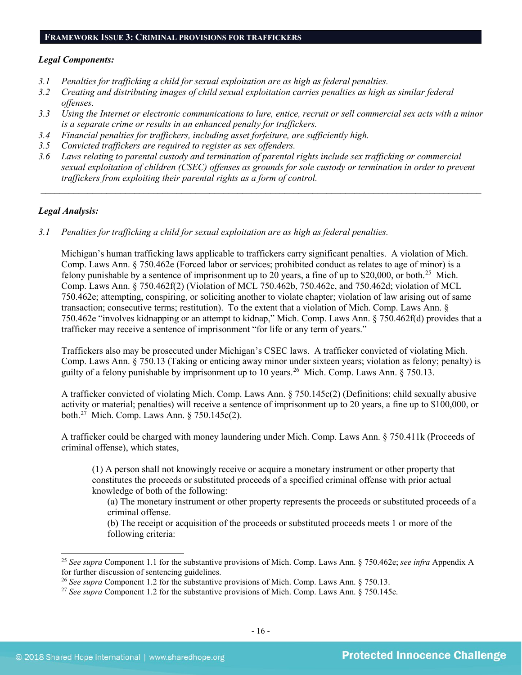#### **FRAMEWORK ISSUE 3: CRIMINAL PROVISIONS FOR TRAFFICKERS**

#### *Legal Components:*

- *3.1 Penalties for trafficking a child for sexual exploitation are as high as federal penalties.*
- *3.2 Creating and distributing images of child sexual exploitation carries penalties as high as similar federal offenses.*
- *3.3 Using the Internet or electronic communications to lure, entice, recruit or sell commercial sex acts with a minor is a separate crime or results in an enhanced penalty for traffickers.*
- *3.4 Financial penalties for traffickers, including asset forfeiture, are sufficiently high.*
- *3.5 Convicted traffickers are required to register as sex offenders.*
- *3.6 Laws relating to parental custody and termination of parental rights include sex trafficking or commercial sexual exploitation of children (CSEC) offenses as grounds for sole custody or termination in order to prevent traffickers from exploiting their parental rights as a form of control.*

*\_\_\_\_\_\_\_\_\_\_\_\_\_\_\_\_\_\_\_\_\_\_\_\_\_\_\_\_\_\_\_\_\_\_\_\_\_\_\_\_\_\_\_\_\_\_\_\_\_\_\_\_\_\_\_\_\_\_\_\_\_\_\_\_\_\_\_\_\_\_\_\_\_\_\_\_\_\_\_\_\_\_\_\_\_\_\_\_\_\_\_\_\_\_*

## *Legal Analysis:*

*3.1 Penalties for trafficking a child for sexual exploitation are as high as federal penalties.* 

Michigan's human trafficking laws applicable to traffickers carry significant penalties. A violation of Mich. Comp. Laws Ann. § 750.462e (Forced labor or services; prohibited conduct as relates to age of minor) is a felony punishable by a sentence of imprisonment up to 20 years, a fine of up to \$20,000, or both.<sup>[25](#page-15-0)</sup> Mich. Comp. Laws Ann. § 750.462f(2) (Violation of MCL 750.462b, 750.462c, and 750.462d; violation of MCL 750.462e; attempting, conspiring, or soliciting another to violate chapter; violation of law arising out of same transaction; consecutive terms; restitution). To the extent that a violation of Mich. Comp. Laws Ann. § 750.462e "involves kidnapping or an attempt to kidnap," Mich. Comp. Laws Ann. § 750.462f(d) provides that a trafficker may receive a sentence of imprisonment "for life or any term of years."

Traffickers also may be prosecuted under Michigan's CSEC laws. A trafficker convicted of violating Mich. Comp. Laws Ann. § 750.13 (Taking or enticing away minor under sixteen years; violation as felony; penalty) is guilty of a felony punishable by imprisonment up to 10 years.[26](#page-15-1) Mich. Comp. Laws Ann. § 750.13.

A trafficker convicted of violating Mich. Comp. Laws Ann. § 750.145c(2) (Definitions; child sexually abusive activity or material; penalties) will receive a sentence of imprisonment up to 20 years, a fine up to \$100,000, or both.[27](#page-15-2) Mich. Comp. Laws Ann. § 750.145c(2).

A trafficker could be charged with money laundering under Mich. Comp. Laws Ann. § 750.411k (Proceeds of criminal offense), which states,

(1) A person shall not knowingly receive or acquire a monetary instrument or other property that constitutes the proceeds or substituted proceeds of a specified criminal offense with prior actual knowledge of both of the following:

(a) The monetary instrument or other property represents the proceeds or substituted proceeds of a criminal offense.

(b) The receipt or acquisition of the proceeds or substituted proceeds meets 1 or more of the following criteria:

<span id="page-15-0"></span> <sup>25</sup> *See supra* Component 1.1 for the substantive provisions of Mich. Comp. Laws Ann. § 750.462e; *see infra* Appendix A for further discussion of sentencing guidelines.

<span id="page-15-1"></span><sup>&</sup>lt;sup>26</sup> See supra Component 1.2 for the substantive provisions of Mich. Comp. Laws Ann. § 750.13.

<span id="page-15-2"></span><sup>&</sup>lt;sup>27</sup> See supra Component 1.2 for the substantive provisions of Mich. Comp. Laws Ann. § 750.145c.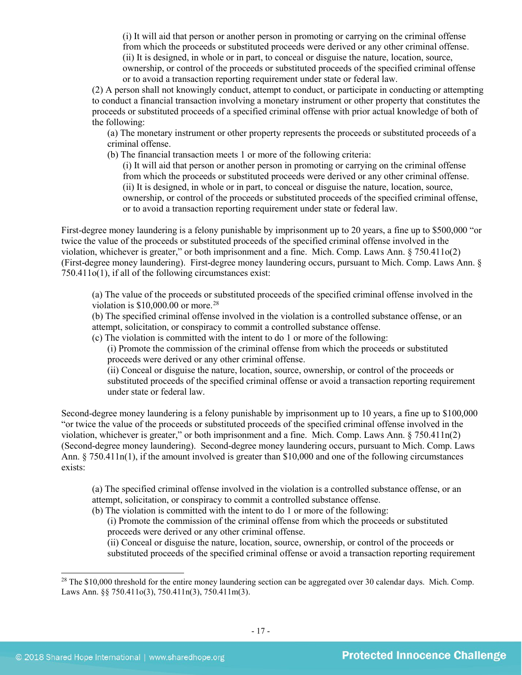(i) It will aid that person or another person in promoting or carrying on the criminal offense from which the proceeds or substituted proceeds were derived or any other criminal offense. (ii) It is designed, in whole or in part, to conceal or disguise the nature, location, source, ownership, or control of the proceeds or substituted proceeds of the specified criminal offense or to avoid a transaction reporting requirement under state or federal law.

(2) A person shall not knowingly conduct, attempt to conduct, or participate in conducting or attempting to conduct a financial transaction involving a monetary instrument or other property that constitutes the proceeds or substituted proceeds of a specified criminal offense with prior actual knowledge of both of the following:

(a) The monetary instrument or other property represents the proceeds or substituted proceeds of a criminal offense.

(b) The financial transaction meets 1 or more of the following criteria:

(i) It will aid that person or another person in promoting or carrying on the criminal offense from which the proceeds or substituted proceeds were derived or any other criminal offense. (ii) It is designed, in whole or in part, to conceal or disguise the nature, location, source, ownership, or control of the proceeds or substituted proceeds of the specified criminal offense, or to avoid a transaction reporting requirement under state or federal law.

First-degree money laundering is a felony punishable by imprisonment up to 20 years, a fine up to \$500,000 "or twice the value of the proceeds or substituted proceeds of the specified criminal offense involved in the violation, whichever is greater," or both imprisonment and a fine. Mich. Comp. Laws Ann. § 750.411o(2) (First-degree money laundering). First-degree money laundering occurs, pursuant to Mich. Comp. Laws Ann. § 750.411o(1), if all of the following circumstances exist:

(a) The value of the proceeds or substituted proceeds of the specified criminal offense involved in the violation is  $$10,000,00$  or more.<sup>[28](#page-16-0)</sup>

(b) The specified criminal offense involved in the violation is a controlled substance offense, or an attempt, solicitation, or conspiracy to commit a controlled substance offense.

(c) The violation is committed with the intent to do 1 or more of the following:

(i) Promote the commission of the criminal offense from which the proceeds or substituted proceeds were derived or any other criminal offense.

(ii) Conceal or disguise the nature, location, source, ownership, or control of the proceeds or substituted proceeds of the specified criminal offense or avoid a transaction reporting requirement under state or federal law.

Second-degree money laundering is a felony punishable by imprisonment up to 10 years, a fine up to \$100,000 "or twice the value of the proceeds or substituted proceeds of the specified criminal offense involved in the violation, whichever is greater," or both imprisonment and a fine. Mich. Comp. Laws Ann. § 750.411n(2) (Second-degree money laundering). Second-degree money laundering occurs, pursuant to Mich. Comp. Laws Ann. § 750.411n(1), if the amount involved is greater than \$10,000 and one of the following circumstances exists:

(a) The specified criminal offense involved in the violation is a controlled substance offense, or an attempt, solicitation, or conspiracy to commit a controlled substance offense.

(b) The violation is committed with the intent to do 1 or more of the following:

(i) Promote the commission of the criminal offense from which the proceeds or substituted proceeds were derived or any other criminal offense.

(ii) Conceal or disguise the nature, location, source, ownership, or control of the proceeds or substituted proceeds of the specified criminal offense or avoid a transaction reporting requirement

<span id="page-16-0"></span><sup>&</sup>lt;sup>28</sup> The \$10,000 threshold for the entire money laundering section can be aggregated over 30 calendar days. Mich. Comp. Laws Ann. §§ 750.411o(3), 750.411n(3), 750.411m(3).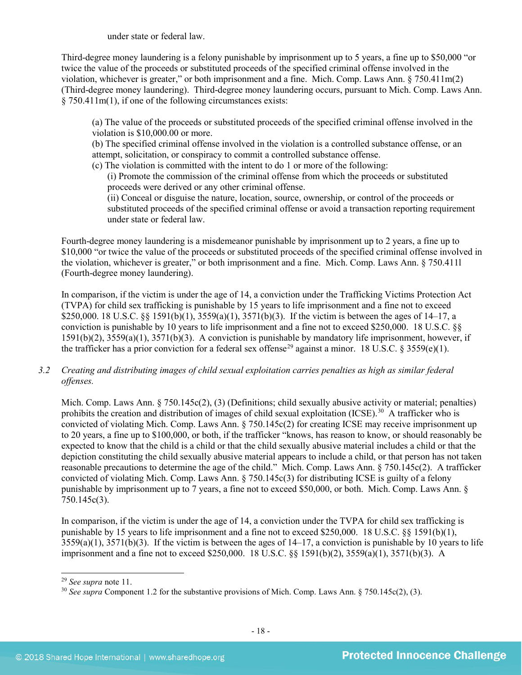under state or federal law.

Third-degree money laundering is a felony punishable by imprisonment up to 5 years, a fine up to \$50,000 "or twice the value of the proceeds or substituted proceeds of the specified criminal offense involved in the violation, whichever is greater," or both imprisonment and a fine. Mich. Comp. Laws Ann. § 750.411m(2) (Third-degree money laundering). Third-degree money laundering occurs, pursuant to Mich. Comp. Laws Ann. § 750.411m(1), if one of the following circumstances exists:

(a) The value of the proceeds or substituted proceeds of the specified criminal offense involved in the violation is \$10,000.00 or more.

(b) The specified criminal offense involved in the violation is a controlled substance offense, or an attempt, solicitation, or conspiracy to commit a controlled substance offense.

(c) The violation is committed with the intent to do 1 or more of the following:

(i) Promote the commission of the criminal offense from which the proceeds or substituted proceeds were derived or any other criminal offense.

(ii) Conceal or disguise the nature, location, source, ownership, or control of the proceeds or substituted proceeds of the specified criminal offense or avoid a transaction reporting requirement under state or federal law.

Fourth-degree money laundering is a misdemeanor punishable by imprisonment up to 2 years, a fine up to \$10,000 "or twice the value of the proceeds or substituted proceeds of the specified criminal offense involved in the violation, whichever is greater," or both imprisonment and a fine. Mich. Comp. Laws Ann. § 750.411l (Fourth-degree money laundering).

In comparison, if the victim is under the age of 14, a conviction under the Trafficking Victims Protection Act (TVPA) for child sex trafficking is punishable by 15 years to life imprisonment and a fine not to exceed \$250,000. 18 U.S.C. §§ 1591(b)(1), 3559(a)(1), 3571(b)(3). If the victim is between the ages of 14–17, a conviction is punishable by 10 years to life imprisonment and a fine not to exceed \$250,000. 18 U.S.C. §§ 1591(b)(2), 3559(a)(1), 3571(b)(3). A conviction is punishable by mandatory life imprisonment, however, if the trafficker has a prior conviction for a federal sex offense<sup>[29](#page-17-0)</sup> against a minor. 18 U.S.C. § 3559(e)(1).

*3.2 Creating and distributing images of child sexual exploitation carries penalties as high as similar federal offenses.*

Mich. Comp. Laws Ann. § 750.145c(2), (3) (Definitions; child sexually abusive activity or material; penalties) prohibits the creation and distribution of images of child sexual exploitation (ICSE).<sup>[30](#page-17-1)</sup> A trafficker who is convicted of violating Mich. Comp. Laws Ann. § 750.145c(2) for creating ICSE may receive imprisonment up to 20 years, a fine up to \$100,000, or both, if the trafficker "knows, has reason to know, or should reasonably be expected to know that the child is a child or that the child sexually abusive material includes a child or that the depiction constituting the child sexually abusive material appears to include a child, or that person has not taken reasonable precautions to determine the age of the child." Mich. Comp. Laws Ann. § 750.145c(2). A trafficker convicted of violating Mich. Comp. Laws Ann. § 750.145c(3) for distributing ICSE is guilty of a felony punishable by imprisonment up to 7 years, a fine not to exceed \$50,000, or both. Mich. Comp. Laws Ann. § 750.145c(3).

In comparison, if the victim is under the age of 14, a conviction under the TVPA for child sex trafficking is punishable by 15 years to life imprisonment and a fine not to exceed \$250,000. 18 U.S.C. §§ 1591(b)(1), 3559(a)(1), 3571(b)(3). If the victim is between the ages of 14–17, a conviction is punishable by 10 years to life imprisonment and a fine not to exceed \$250,000. 18 U.S.C. §§ 1591(b)(2), 3559(a)(1), 3571(b)(3). A

<span id="page-17-1"></span><span id="page-17-0"></span><sup>&</sup>lt;sup>29</sup> *See supra* note 11.<br><sup>30</sup> *See supra* Component 1.2 for the substantive provisions of Mich. Comp. Laws Ann. § 750.145c(2), (3).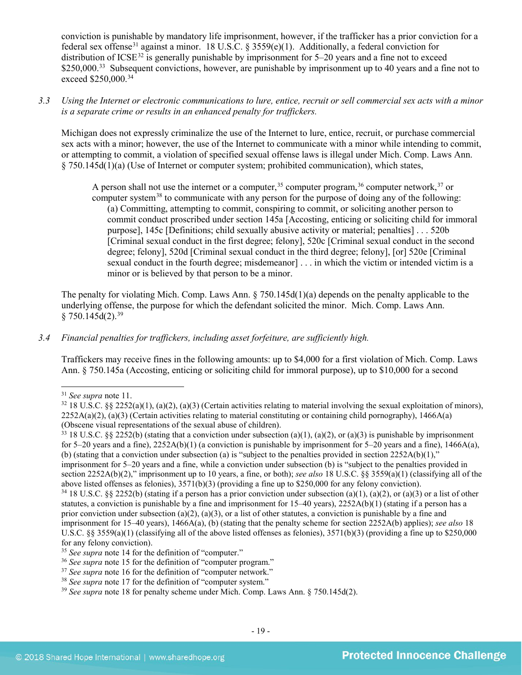conviction is punishable by mandatory life imprisonment, however, if the trafficker has a prior conviction for a federal sex offense<sup>[31](#page-18-0)</sup> against a minor. 18 U.S.C. § 3559(e)(1). Additionally, a federal conviction for distribution of ICSE<sup>[32](#page-18-1)</sup> is generally punishable by imprisonment for  $5-20$  years and a fine not to exceed \$250,000.<sup>[33](#page-18-2)</sup> Subsequent convictions, however, are punishable by imprisonment up to 40 years and a fine not to exceed \$250,000.<sup>[34](#page-18-3)</sup>

*3.3 Using the Internet or electronic communications to lure, entice, recruit or sell commercial sex acts with a minor is a separate crime or results in an enhanced penalty for traffickers.*

Michigan does not expressly criminalize the use of the Internet to lure, entice, recruit, or purchase commercial sex acts with a minor; however, the use of the Internet to communicate with a minor while intending to commit, or attempting to commit, a violation of specified sexual offense laws is illegal under Mich. Comp. Laws Ann. § 750.145d(1)(a) (Use of Internet or computer system; prohibited communication), which states,

A person shall not use the internet or a computer,  $35$  computer program,  $36$  computer network,  $37$  or computer system<sup>[38](#page-18-7)</sup> to communicate with any person for the purpose of doing any of the following: (a) Committing, attempting to commit, conspiring to commit, or soliciting another person to commit conduct proscribed under section 145a [Accosting, enticing or soliciting child for immoral purpose], 145c [Definitions; child sexually abusive activity or material; penalties] . . . 520b [Criminal sexual conduct in the first degree; felony], 520c [Criminal sexual conduct in the second degree; felony], 520d [Criminal sexual conduct in the third degree; felony], [or] 520e [Criminal sexual conduct in the fourth degree; misdemeanor] . . . in which the victim or intended victim is a minor or is believed by that person to be a minor.

The penalty for violating Mich. Comp. Laws Ann. § 750.145d(1)(a) depends on the penalty applicable to the underlying offense, the purpose for which the defendant solicited the minor. Mich. Comp. Laws Ann.  $$750.145 d(2).^{39}$ 

## *3.4 Financial penalties for traffickers, including asset forfeiture, are sufficiently high.*

Traffickers may receive fines in the following amounts: up to \$4,000 for a first violation of Mich. Comp. Laws Ann. § 750.145a (Accosting, enticing or soliciting child for immoral purpose), up to \$10,000 for a second

<span id="page-18-1"></span><span id="page-18-0"></span><sup>&</sup>lt;sup>31</sup> *See supra* note 11.<br><sup>32</sup> 18 U.S.C. §§ 2252(a)(1), (a)(2), (a)(3) (Certain activities relating to material involving the sexual exploitation of minors),  $2252A(a)(2)$ ,  $(a)(3)$  (Certain activities relating to material constituting or containing child pornography), 1466A(a) (Obscene visual representations of the sexual abuse of children).<br><sup>33</sup> 18 U.S.C. §§ 2252(b) (stating that a conviction under subsection (a)(1), (a)(2), or (a)(3) is punishable by imprisonment

<span id="page-18-2"></span>for 5–20 years and a fine),  $2252A(b)(1)$  (a conviction is punishable by imprisonment for 5–20 years and a fine), 1466A(a), (b) (stating that a conviction under subsection (a) is "subject to the penalties provided in section  $2252A(b)(1)$ ," imprisonment for 5–20 years and a fine, while a conviction under subsection (b) is "subject to the penalties provided in section 2252A(b)(2)," imprisonment up to 10 years, a fine, or both); *see also* 18 U.S.C. §§ 3559(a)(1) (classifying all of the above listed offenses as felonies), 3571(b)(3) (providing a fine up to \$250,000 for any felony conviction).

<span id="page-18-3"></span><sup>&</sup>lt;sup>34</sup> 18 U.S.C. §§ 2252(b) (stating if a person has a prior conviction under subsection (a)(1), (a)(2), or (a)(3) or a list of other statutes, a conviction is punishable by a fine and imprisonment for  $15-40$  years),  $2252A(b)(1)$  (stating if a person has a prior conviction under subsection (a)(2), (a)(3), or a list of other statutes, a conviction is punishable by a fine and imprisonment for 15–40 years), 1466A(a), (b) (stating that the penalty scheme for section 2252A(b) applies); *see also* 18 U.S.C.  $\S$ § 3559(a)(1) (classifying all of the above listed offenses as felonies), 3571(b)(3) (providing a fine up to \$250,000 for any felony conviction).

<span id="page-18-5"></span><span id="page-18-4"></span><sup>&</sup>lt;sup>35</sup> *See supra* note [14](#page-8-8) for the definition of "computer."<br><sup>36</sup> *See supra* note 15 for the definition of "computer program."

<span id="page-18-8"></span><span id="page-18-7"></span>

<span id="page-18-6"></span><sup>&</sup>lt;sup>37</sup> See supra note 16 for the definition of "computer network."<br><sup>38</sup> See supra note 17 for the definition of "computer system."<br><sup>39</sup> See supra note [18](#page-9-1) for penalty scheme under Mich. Comp. Laws Ann. § 750.145d(2).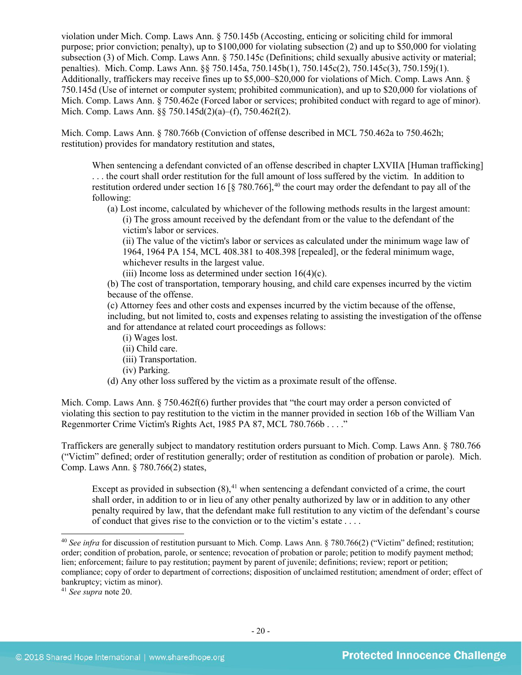violation under Mich. Comp. Laws Ann. § 750.145b (Accosting, enticing or soliciting child for immoral purpose; prior conviction; penalty), up to \$100,000 for violating subsection (2) and up to \$50,000 for violating subsection (3) of Mich. Comp. Laws Ann. § 750.145c (Definitions; child sexually abusive activity or material; penalties). Mich. Comp. Laws Ann. §§ 750.145a, 750.145b(1), 750.145c(2), 750.145c(3), 750.159j(1). Additionally, traffickers may receive fines up to \$5,000–\$20,000 for violations of Mich. Comp. Laws Ann. § 750.145d (Use of internet or computer system; prohibited communication), and up to \$20,000 for violations of Mich. Comp. Laws Ann. § 750.462e (Forced labor or services; prohibited conduct with regard to age of minor). Mich. Comp. Laws Ann. §§ 750.145d(2)(a)–(f), 750.462f(2).

Mich. Comp. Laws Ann. § 780.766b (Conviction of offense described in MCL 750.462a to 750.462h; restitution) provides for mandatory restitution and states,

When sentencing a defendant convicted of an offense described in chapter LXVIIA [Human trafficking] . . . the court shall order restitution for the full amount of loss suffered by the victim. In addition to restitution ordered under section 16 [ $\S$  780.766],<sup>[40](#page-19-0)</sup> the court may order the defendant to pay all of the following:

(a) Lost income, calculated by whichever of the following methods results in the largest amount: (i) The gross amount received by the defendant from or the value to the defendant of the victim's labor or services.

(ii) The value of the victim's labor or services as calculated under the minimum wage law of 1964, 1964 PA 154, MCL 408.381 to 408.398 [repealed], or the federal minimum wage, whichever results in the largest value.

(iii) Income loss as determined under section  $16(4)(c)$ .

(b) The cost of transportation, temporary housing, and child care expenses incurred by the victim because of the offense.

(c) Attorney fees and other costs and expenses incurred by the victim because of the offense, including, but not limited to, costs and expenses relating to assisting the investigation of the offense and for attendance at related court proceedings as follows:

- (i) Wages lost.
- (ii) Child care.
- (iii) Transportation.
- (iv) Parking.
- (d) Any other loss suffered by the victim as a proximate result of the offense.

Mich. Comp. Laws Ann. § 750.462f(6) further provides that "the court may order a person convicted of violating this section to pay restitution to the victim in the manner provided in section 16b of the William Van Regenmorter Crime Victim's Rights Act, 1985 PA 87, MCL 780.766b . . . ."

Traffickers are generally subject to mandatory restitution orders pursuant to Mich. Comp. Laws Ann. § 780.766 ("Victim" defined; order of restitution generally; order of restitution as condition of probation or parole). Mich. Comp. Laws Ann. § 780.766(2) states,

Except as provided in subsection  $(8)$ ,<sup>[41](#page-19-1)</sup> when sentencing a defendant convicted of a crime, the court shall order, in addition to or in lieu of any other penalty authorized by law or in addition to any other penalty required by law, that the defendant make full restitution to any victim of the defendant's course of conduct that gives rise to the conviction or to the victim's estate . . . .

<span id="page-19-0"></span><sup>&</sup>lt;sup>40</sup> See infra for discussion of restitution pursuant to Mich. Comp. Laws Ann. § 780.766(2) ("Victim" defined; restitution; order; condition of probation, parole, or sentence; revocation of probation or parole; petition to modify payment method; lien; enforcement; failure to pay restitution; payment by parent of juvenile; definitions; review; report or petition; compliance; copy of order to department of corrections; disposition of unclaimed restitution; amendment of order; effect of bankruptcy; victim as minor).

<span id="page-19-1"></span><sup>41</sup> *See supra* note [20.](#page-11-2)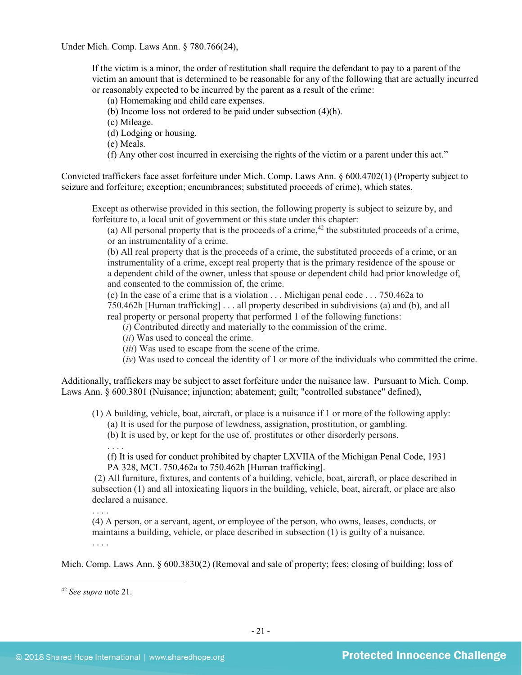Under Mich. Comp. Laws Ann. § 780.766(24),

If the victim is a minor, the order of restitution shall require the defendant to pay to a parent of the victim an amount that is determined to be reasonable for any of the following that are actually incurred or reasonably expected to be incurred by the parent as a result of the crime:

(a) Homemaking and child care expenses.

(b) Income loss not ordered to be paid under subsection (4)(h).

(c) Mileage.

(d) Lodging or housing.

(e) Meals.

(f) Any other cost incurred in exercising the rights of the victim or a parent under this act."

Convicted traffickers face asset forfeiture under Mich. Comp. Laws Ann. § 600.4702(1) (Property subject to seizure and forfeiture; exception; encumbrances; substituted proceeds of crime), which states,

Except as otherwise provided in this section, the following property is subject to seizure by, and forfeiture to, a local unit of government or this state under this chapter:

(a) All personal property that is the proceeds of a crime,  $42$  the substituted proceeds of a crime, or an instrumentality of a crime.

(b) All real property that is the proceeds of a crime, the substituted proceeds of a crime, or an instrumentality of a crime, except real property that is the primary residence of the spouse or a dependent child of the owner, unless that spouse or dependent child had prior knowledge of, and consented to the commission of, the crime.

(c) In the case of a crime that is a violation . . . Michigan penal code . . . 750.462a to

750.462h [Human trafficking] . . . all property described in subdivisions (a) and (b), and all real property or personal property that performed 1 of the following functions:

(*i*) Contributed directly and materially to the commission of the crime.

(*ii*) Was used to conceal the crime.

(*iii*) Was used to escape from the scene of the crime.

(*iv*) Was used to conceal the identity of 1 or more of the individuals who committed the crime.

Additionally, traffickers may be subject to asset forfeiture under the nuisance law. Pursuant to Mich. Comp. Laws Ann. § 600.3801 (Nuisance; injunction; abatement; guilt; "controlled substance" defined),

(1) A building, vehicle, boat, aircraft, or place is a nuisance if 1 or more of the following apply:

(a) It is used for the purpose of lewdness, assignation, prostitution, or gambling.

(b) It is used by, or kept for the use of, prostitutes or other disorderly persons.

(f) It is used for conduct prohibited by chapter LXVIIA of the Michigan Penal Code, 1931 PA 328, MCL 750.462a to 750.462h [Human trafficking].

(2) All furniture, fixtures, and contents of a building, vehicle, boat, aircraft, or place described in subsection (1) and all intoxicating liquors in the building, vehicle, boat, aircraft, or place are also declared a nuisance.

. . . .

. . . .

(4) A person, or a servant, agent, or employee of the person, who owns, leases, conducts, or maintains a building, vehicle, or place described in subsection (1) is guilty of a nuisance. . . . .

Mich. Comp. Laws Ann. § 600.3830(2) (Removal and sale of property; fees; closing of building; loss of

<span id="page-20-0"></span> <sup>42</sup> *See supra* note [21.](#page-11-3)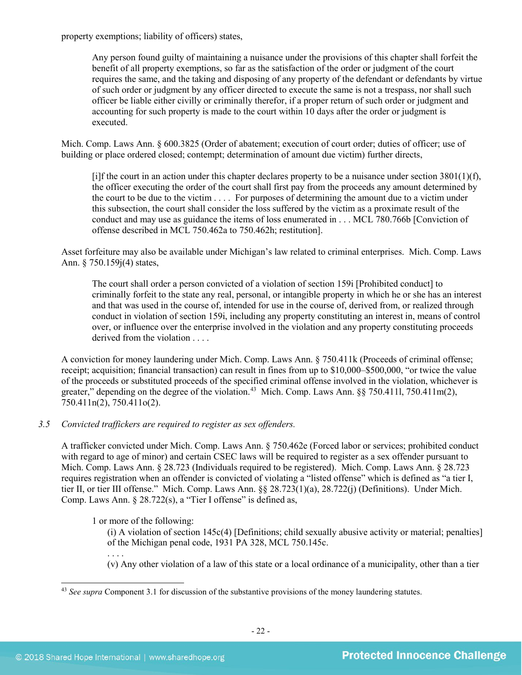property exemptions; liability of officers) states,

Any person found guilty of maintaining a nuisance under the provisions of this chapter shall forfeit the benefit of all property exemptions, so far as the satisfaction of the order or judgment of the court requires the same, and the taking and disposing of any property of the defendant or defendants by virtue of such order or judgment by any officer directed to execute the same is not a trespass, nor shall such officer be liable either civilly or criminally therefor, if a proper return of such order or judgment and accounting for such property is made to the court within 10 days after the order or judgment is executed.

Mich. Comp. Laws Ann. § 600.3825 (Order of abatement; execution of court order; duties of officer; use of building or place ordered closed; contempt; determination of amount due victim) further directs,

[i]f the court in an action under this chapter declares property to be a nuisance under section  $3801(1)(f)$ , the officer executing the order of the court shall first pay from the proceeds any amount determined by the court to be due to the victim . . . . For purposes of determining the amount due to a victim under this subsection, the court shall consider the loss suffered by the victim as a proximate result of the conduct and may use as guidance the items of loss enumerated in . . . MCL 780.766b [Conviction of offense described in MCL 750.462a to 750.462h; restitution].

Asset forfeiture may also be available under Michigan's law related to criminal enterprises. Mich. Comp. Laws Ann. § 750.159j(4) states,

The court shall order a person convicted of a violation of section 159i [Prohibited conduct] to criminally forfeit to the state any real, personal, or intangible property in which he or she has an interest and that was used in the course of, intended for use in the course of, derived from, or realized through conduct in violation of section 159i, including any property constituting an interest in, means of control over, or influence over the enterprise involved in the violation and any property constituting proceeds derived from the violation . . . .

A conviction for money laundering under Mich. Comp. Laws Ann. § 750.411k (Proceeds of criminal offense; receipt; acquisition; financial transaction) can result in fines from up to \$10,000–\$500,000, "or twice the value of the proceeds or substituted proceeds of the specified criminal offense involved in the violation, whichever is greater," depending on the degree of the violation.<sup>43</sup> Mich. Comp. Laws Ann. §§ 750.411l, 750.411m(2), 750.411n(2), 750.411o(2).

*3.5 Convicted traffickers are required to register as sex offenders.*

A trafficker convicted under Mich. Comp. Laws Ann. § 750.462e (Forced labor or services; prohibited conduct with regard to age of minor) and certain CSEC laws will be required to register as a sex offender pursuant to Mich. Comp. Laws Ann. § 28.723 (Individuals required to be registered). Mich. Comp. Laws Ann. § 28.723 requires registration when an offender is convicted of violating a "listed offense" which is defined as "a tier I, tier II, or tier III offense." Mich. Comp. Laws Ann. §§ 28.723(1)(a), 28.722(j) (Definitions). Under Mich. Comp. Laws Ann. § 28.722(s), a "Tier I offense" is defined as,

1 or more of the following:

(i) A violation of section 145c(4) [Definitions; child sexually abusive activity or material; penalties] of the Michigan penal code, 1931 PA 328, MCL 750.145c.

. . . . (v) Any other violation of a law of this state or a local ordinance of a municipality, other than a tier

<span id="page-21-0"></span> <sup>43</sup> *See supra* Component 3.1 for discussion of the substantive provisions of the money laundering statutes.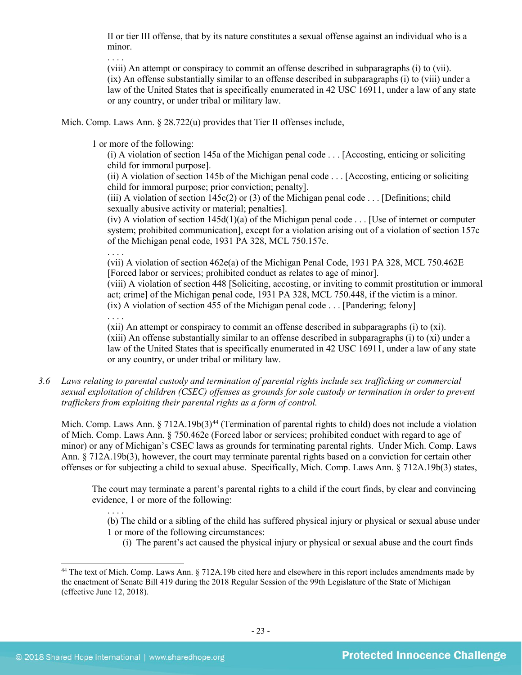II or tier III offense, that by its nature constitutes a sexual offense against an individual who is a minor.

. . . .

(viii) An attempt or conspiracy to commit an offense described in subparagraphs (i) to (vii). (ix) An offense substantially similar to an offense described in subparagraphs (i) to (viii) under a law of the United States that is specifically enumerated in 42 USC 16911, under a law of any state or any country, or under tribal or military law.

Mich. Comp. Laws Ann. § 28.722(u) provides that Tier II offenses include,

1 or more of the following:

(i) A violation of section 145a of the Michigan penal code . . . [Accosting, enticing or soliciting child for immoral purpose].

(ii) A violation of section 145b of the Michigan penal code . . . [Accosting, enticing or soliciting child for immoral purpose; prior conviction; penalty].

(iii) A violation of section  $145c(2)$  or (3) of the Michigan penal code . . . [Definitions; child sexually abusive activity or material; penalties].

(iv) A violation of section  $145d(1)(a)$  of the Michigan penal code . . . [Use of internet or computer system; prohibited communication], except for a violation arising out of a violation of section 157c of the Michigan penal code, 1931 PA 328, MCL 750.157c.

. . . .

(vii) A violation of section 462e(a) of the Michigan Penal Code, 1931 PA 328, MCL 750.462E [Forced labor or services; prohibited conduct as relates to age of minor].

(viii) A violation of section 448 [Soliciting, accosting, or inviting to commit prostitution or immoral act; crime] of the Michigan penal code, 1931 PA 328, MCL 750.448, if the victim is a minor.  $(ix)$  A violation of section 455 of the Michigan penal code . . . [Pandering: felony]

. . . .

(xii) An attempt or conspiracy to commit an offense described in subparagraphs (i) to (xi). (xiii) An offense substantially similar to an offense described in subparagraphs (i) to (xi) under a law of the United States that is specifically enumerated in 42 USC 16911, under a law of any state or any country, or under tribal or military law.

*3.6 Laws relating to parental custody and termination of parental rights include sex trafficking or commercial sexual exploitation of children (CSEC) offenses as grounds for sole custody or termination in order to prevent traffickers from exploiting their parental rights as a form of control.* 

Mich. Comp. Laws Ann.  $\S 712A.19b(3)^{44}$  $\S 712A.19b(3)^{44}$  $\S 712A.19b(3)^{44}$  (Termination of parental rights to child) does not include a violation of Mich. Comp. Laws Ann. § 750.462e (Forced labor or services; prohibited conduct with regard to age of minor) or any of Michigan's CSEC laws as grounds for terminating parental rights. Under Mich. Comp. Laws Ann. § 712A.19b(3), however, the court may terminate parental rights based on a conviction for certain other offenses or for subjecting a child to sexual abuse. Specifically, Mich. Comp. Laws Ann. § 712A.19b(3) states,

The court may terminate a parent's parental rights to a child if the court finds, by clear and convincing evidence, 1 or more of the following:

. . . . (b) The child or a sibling of the child has suffered physical injury or physical or sexual abuse under 1 or more of the following circumstances:

(i) The parent's act caused the physical injury or physical or sexual abuse and the court finds

<span id="page-22-0"></span><sup>&</sup>lt;sup>44</sup> The text of Mich. Comp. Laws Ann. § 712A.19b cited here and elsewhere in this report includes amendments made by the enactment of Senate Bill 419 during the 2018 Regular Session of the 99th Legislature of the State of Michigan (effective June 12, 2018).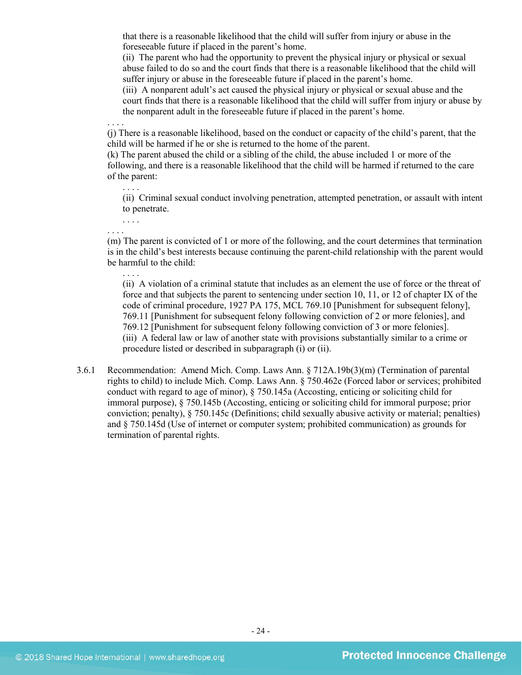that there is a reasonable likelihood that the child will suffer from injury or abuse in the foreseeable future if placed in the parent's home.

(ii) The parent who had the opportunity to prevent the physical injury or physical or sexual abuse failed to do so and the court finds that there is a reasonable likelihood that the child will suffer injury or abuse in the foreseeable future if placed in the parent's home.

(iii) A nonparent adult's act caused the physical injury or physical or sexual abuse and the court finds that there is a reasonable likelihood that the child will suffer from injury or abuse by the nonparent adult in the foreseeable future if placed in the parent's home.

(j) There is a reasonable likelihood, based on the conduct or capacity of the child's parent, that the child will be harmed if he or she is returned to the home of the parent.

(k) The parent abused the child or a sibling of the child, the abuse included 1 or more of the following, and there is a reasonable likelihood that the child will be harmed if returned to the care of the parent:

(ii) Criminal sexual conduct involving penetration, attempted penetration, or assault with intent to penetrate.

. . . . (m) The parent is convicted of 1 or more of the following, and the court determines that termination is in the child's best interests because continuing the parent-child relationship with the parent would be harmful to the child:

(ii) A violation of a criminal statute that includes as an element the use of force or the threat of force and that subjects the parent to sentencing under section 10, 11, or 12 of chapter IX of the code of criminal procedure, 1927 PA 175, MCL 769.10 [Punishment for subsequent felony], 769.11 [Punishment for subsequent felony following conviction of 2 or more felonies], and 769.12 [Punishment for subsequent felony following conviction of 3 or more felonies]. (iii) A federal law or law of another state with provisions substantially similar to a crime or procedure listed or described in subparagraph (i) or (ii).

3.6.1 Recommendation: Amend Mich. Comp. Laws Ann. § 712A.19b(3)(m) (Termination of parental rights to child) to include Mich. Comp. Laws Ann. § 750.462e (Forced labor or services; prohibited conduct with regard to age of minor), § 750.145a (Accosting, enticing or soliciting child for immoral purpose), § 750.145b (Accosting, enticing or soliciting child for immoral purpose; prior conviction; penalty), § 750.145c (Definitions; child sexually abusive activity or material; penalties) and § 750.145d (Use of internet or computer system; prohibited communication) as grounds for termination of parental rights.

. . . .

. . . .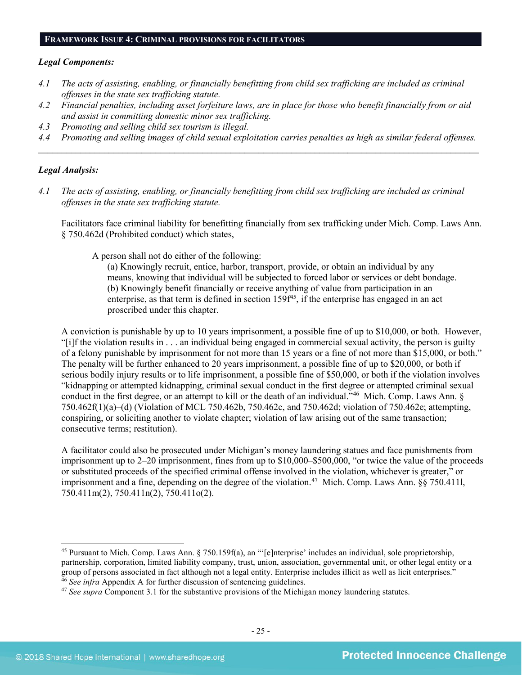#### **FRAMEWORK ISSUE 4: CRIMINAL PROVISIONS FOR FACILITATORS**

#### *Legal Components:*

- *4.1 The acts of assisting, enabling, or financially benefitting from child sex trafficking are included as criminal offenses in the state sex trafficking statute.*
- *4.2 Financial penalties, including asset forfeiture laws, are in place for those who benefit financially from or aid and assist in committing domestic minor sex trafficking.*
- *4.3 Promoting and selling child sex tourism is illegal.*
- *4.4 Promoting and selling images of child sexual exploitation carries penalties as high as similar federal offenses. \_\_\_\_\_\_\_\_\_\_\_\_\_\_\_\_\_\_\_\_\_\_\_\_\_\_\_\_\_\_\_\_\_\_\_\_\_\_\_\_\_\_\_\_\_\_\_\_\_\_\_\_\_\_\_\_\_\_\_\_\_\_\_\_\_\_\_\_\_\_\_\_\_\_\_\_\_\_\_\_\_\_\_\_\_\_\_\_\_\_\_\_\_\_*

## *Legal Analysis:*

*4.1 The acts of assisting, enabling, or financially benefitting from child sex trafficking are included as criminal offenses in the state sex trafficking statute.*

Facilitators face criminal liability for benefitting financially from sex trafficking under Mich. Comp. Laws Ann. § 750.462d (Prohibited conduct) which states,

A person shall not do either of the following:

(a) Knowingly recruit, entice, harbor, transport, provide, or obtain an individual by any means, knowing that individual will be subjected to forced labor or services or debt bondage. (b) Knowingly benefit financially or receive anything of value from participation in an enterprise, as that term is defined in section  $159f^{45}$ , if the enterprise has engaged in an act proscribed under this chapter.

A conviction is punishable by up to 10 years imprisonment, a possible fine of up to \$10,000, or both. However, "[i]f the violation results in . . . an individual being engaged in commercial sexual activity, the person is guilty of a felony punishable by imprisonment for not more than 15 years or a fine of not more than \$15,000, or both." The penalty will be further enhanced to 20 years imprisonment, a possible fine of up to \$20,000, or both if serious bodily injury results or to life imprisonment, a possible fine of \$50,000, or both if the violation involves "kidnapping or attempted kidnapping, criminal sexual conduct in the first degree or attempted criminal sexual conduct in the first degree, or an attempt to kill or the death of an individual.<sup>746</sup> Mich. Comp. Laws Ann. § 750.462f(1)(a)–(d) (Violation of MCL 750.462b, 750.462c, and 750.462d; violation of 750.462e; attempting, conspiring, or soliciting another to violate chapter; violation of law arising out of the same transaction; consecutive terms; restitution).

A facilitator could also be prosecuted under Michigan's money laundering statues and face punishments from imprisonment up to 2–20 imprisonment, fines from up to \$10,000–\$500,000, "or twice the value of the proceeds or substituted proceeds of the specified criminal offense involved in the violation, whichever is greater," or imprisonment and a fine, depending on the degree of the violation.<sup>47</sup> Mich. Comp. Laws Ann. §§ 750.411l, 750.411m(2), 750.411n(2), 750.411o(2).

<span id="page-24-0"></span> <sup>45</sup> Pursuant to Mich. Comp. Laws Ann. § 750.159f(a), an "'[e]nterprise' includes an individual, sole proprietorship, partnership, corporation, limited liability company, trust, union, association, governmental unit, or other legal entity or a group of persons associated in fact although not a legal entity. Enterprise includes illicit as well as licit enterprises." 46 *See infra* Appendix A for further discussion of sentencing guidelines.

<span id="page-24-2"></span><span id="page-24-1"></span><sup>47</sup> *See supra* Component 3.1 for the substantive provisions of the Michigan money laundering statutes.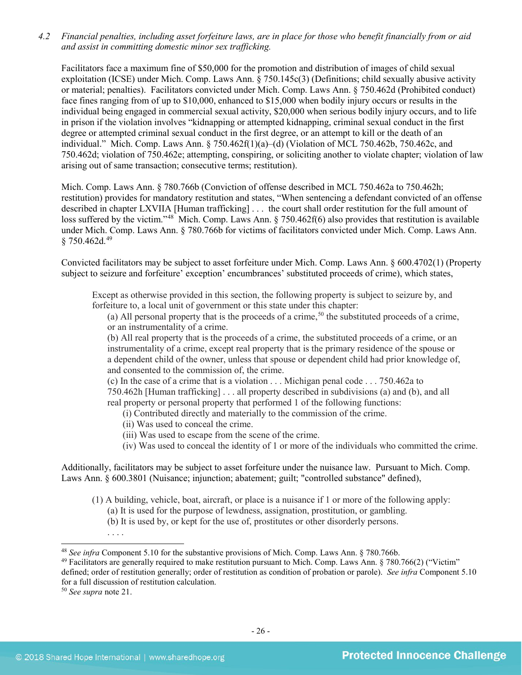*4.2 Financial penalties, including asset forfeiture laws, are in place for those who benefit financially from or aid and assist in committing domestic minor sex trafficking.*

Facilitators face a maximum fine of \$50,000 for the promotion and distribution of images of child sexual exploitation (ICSE) under Mich. Comp. Laws Ann. § 750.145c(3) (Definitions; child sexually abusive activity or material; penalties). Facilitators convicted under Mich. Comp. Laws Ann. § 750.462d (Prohibited conduct) face fines ranging from of up to \$10,000, enhanced to \$15,000 when bodily injury occurs or results in the individual being engaged in commercial sexual activity, \$20,000 when serious bodily injury occurs, and to life in prison if the violation involves "kidnapping or attempted kidnapping, criminal sexual conduct in the first degree or attempted criminal sexual conduct in the first degree, or an attempt to kill or the death of an individual." Mich. Comp. Laws Ann. § 750.462f(1)(a)–(d) (Violation of MCL 750.462b, 750.462c, and 750.462d; violation of 750.462e; attempting, conspiring, or soliciting another to violate chapter; violation of law arising out of same transaction; consecutive terms; restitution).

Mich. Comp. Laws Ann. § 780.766b (Conviction of offense described in MCL 750.462a to 750.462h; restitution) provides for mandatory restitution and states, "When sentencing a defendant convicted of an offense described in chapter LXVIIA [Human trafficking] . . . the court shall order restitution for the full amount of loss suffered by the victim."<sup>48</sup> Mich. Comp. Laws Ann. § 750.462f(6) also provides that restitution is available under Mich. Comp. Laws Ann. § 780.766b for victims of facilitators convicted under Mich. Comp. Laws Ann. § 750.462d.<sup>[49](#page-25-1)</sup>

Convicted facilitators may be subject to asset forfeiture under Mich. Comp. Laws Ann. § 600.4702(1) (Property subject to seizure and forfeiture' exception' encumbrances' substituted proceeds of crime), which states,

Except as otherwise provided in this section, the following property is subject to seizure by, and forfeiture to, a local unit of government or this state under this chapter:

(a) All personal property that is the proceeds of a crime,<sup>[50](#page-25-2)</sup> the substituted proceeds of a crime, or an instrumentality of a crime.

(b) All real property that is the proceeds of a crime, the substituted proceeds of a crime, or an instrumentality of a crime, except real property that is the primary residence of the spouse or a dependent child of the owner, unless that spouse or dependent child had prior knowledge of, and consented to the commission of, the crime.

(c) In the case of a crime that is a violation . . . Michigan penal code . . . 750.462a to 750.462h [Human trafficking] . . . all property described in subdivisions (a) and (b), and all real property or personal property that performed 1 of the following functions:

(i) Contributed directly and materially to the commission of the crime.

- (ii) Was used to conceal the crime.
- (iii) Was used to escape from the scene of the crime.
- (iv) Was used to conceal the identity of 1 or more of the individuals who committed the crime.

Additionally, facilitators may be subject to asset forfeiture under the nuisance law. Pursuant to Mich. Comp. Laws Ann. § 600.3801 (Nuisance; injunction; abatement; guilt; "controlled substance" defined),

- (1) A building, vehicle, boat, aircraft, or place is a nuisance if 1 or more of the following apply: (a) It is used for the purpose of lewdness, assignation, prostitution, or gambling.
	- (b) It is used by, or kept for the use of, prostitutes or other disorderly persons.

. . . .

 <sup>48</sup> *See infra* Component 5.10 for the substantive provisions of Mich. Comp. Laws Ann. § 780.766b.

<sup>49</sup> Facilitators are generally required to make restitution pursuant to Mich. Comp. Laws Ann. § 780.766(2) ("Victim"

<span id="page-25-2"></span><span id="page-25-1"></span><span id="page-25-0"></span>defined; order of restitution generally; order of restitution as condition of probation or parole). *See infra* Component 5.10 for a full discussion of restitution calculation.

<sup>50</sup> *See supra* note [21.](#page-11-3)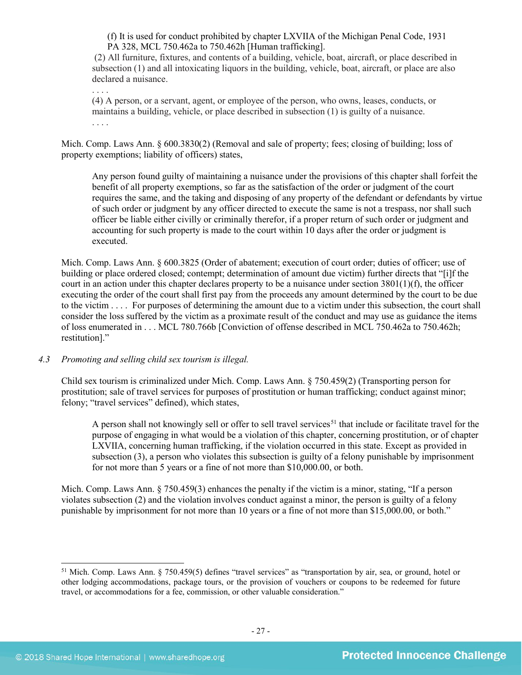(f) It is used for conduct prohibited by chapter LXVIIA of the Michigan Penal Code, 1931 PA 328, MCL 750.462a to 750.462h [Human trafficking].

(2) All furniture, fixtures, and contents of a building, vehicle, boat, aircraft, or place described in subsection (1) and all intoxicating liquors in the building, vehicle, boat, aircraft, or place are also declared a nuisance.

. . . . (4) A person, or a servant, agent, or employee of the person, who owns, leases, conducts, or maintains a building, vehicle, or place described in subsection (1) is guilty of a nuisance. . . . .

Mich. Comp. Laws Ann. § 600.3830(2) (Removal and sale of property; fees; closing of building; loss of property exemptions; liability of officers) states,

Any person found guilty of maintaining a nuisance under the provisions of this chapter shall forfeit the benefit of all property exemptions, so far as the satisfaction of the order or judgment of the court requires the same, and the taking and disposing of any property of the defendant or defendants by virtue of such order or judgment by any officer directed to execute the same is not a trespass, nor shall such officer be liable either civilly or criminally therefor, if a proper return of such order or judgment and accounting for such property is made to the court within 10 days after the order or judgment is executed.

Mich. Comp. Laws Ann. § 600.3825 (Order of abatement; execution of court order; duties of officer; use of building or place ordered closed; contempt; determination of amount due victim) further directs that "[i]f the court in an action under this chapter declares property to be a nuisance under section 3801(1)(f), the officer executing the order of the court shall first pay from the proceeds any amount determined by the court to be due to the victim . . . . For purposes of determining the amount due to a victim under this subsection, the court shall consider the loss suffered by the victim as a proximate result of the conduct and may use as guidance the items of loss enumerated in . . . MCL 780.766b [Conviction of offense described in MCL 750.462a to 750.462h; restitution]."

## *4.3 Promoting and selling child sex tourism is illegal.*

Child sex tourism is criminalized under Mich. Comp. Laws Ann. § 750.459(2) (Transporting person for prostitution; sale of travel services for purposes of prostitution or human trafficking; conduct against minor; felony; "travel services" defined), which states,

A person shall not knowingly sell or offer to sell travel services<sup>[51](#page-26-0)</sup> that include or facilitate travel for the purpose of engaging in what would be a violation of this chapter, concerning prostitution, or of chapter LXVIIA, concerning human trafficking, if the violation occurred in this state. Except as provided in subsection (3), a person who violates this subsection is guilty of a felony punishable by imprisonment for not more than 5 years or a fine of not more than \$10,000.00, or both.

Mich. Comp. Laws Ann. § 750.459(3) enhances the penalty if the victim is a minor, stating, "If a person violates subsection (2) and the violation involves conduct against a minor, the person is guilty of a felony punishable by imprisonment for not more than 10 years or a fine of not more than \$15,000.00, or both."

<span id="page-26-0"></span> <sup>51</sup> Mich. Comp. Laws Ann. § 750.459(5) defines "travel services" as "transportation by air, sea, or ground, hotel or other lodging accommodations, package tours, or the provision of vouchers or coupons to be redeemed for future travel, or accommodations for a fee, commission, or other valuable consideration."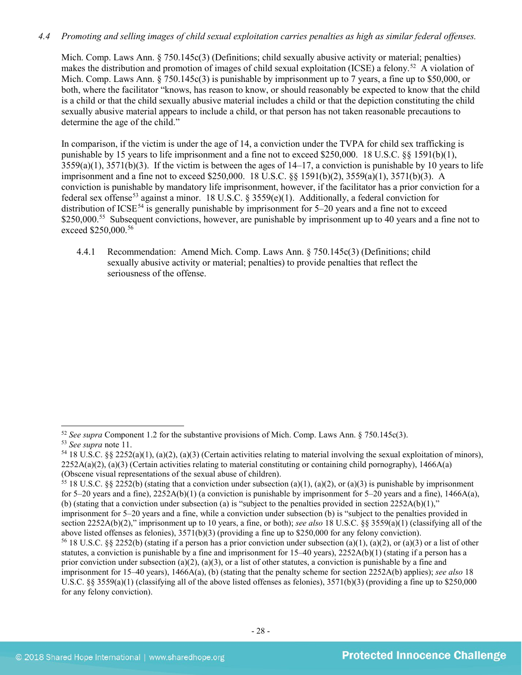## *4.4 Promoting and selling images of child sexual exploitation carries penalties as high as similar federal offenses.*

Mich. Comp. Laws Ann. § 750.145c(3) (Definitions; child sexually abusive activity or material; penalties) makes the distribution and promotion of images of child sexual exploitation (ICSE) a felony.<sup>[52](#page-27-0)</sup> A violation of Mich. Comp. Laws Ann. § 750.145c(3) is punishable by imprisonment up to 7 years, a fine up to \$50,000, or both, where the facilitator "knows, has reason to know, or should reasonably be expected to know that the child is a child or that the child sexually abusive material includes a child or that the depiction constituting the child sexually abusive material appears to include a child, or that person has not taken reasonable precautions to determine the age of the child."

In comparison, if the victim is under the age of 14, a conviction under the TVPA for child sex trafficking is punishable by 15 years to life imprisonment and a fine not to exceed \$250,000. 18 U.S.C. §§ 1591(b)(1),  $3559(a)(1)$ ,  $3571(b)(3)$ . If the victim is between the ages of  $14-17$ , a conviction is punishable by 10 years to life imprisonment and a fine not to exceed \$250,000. 18 U.S.C. §§ 1591(b)(2), 3559(a)(1), 3571(b)(3). A conviction is punishable by mandatory life imprisonment, however, if the facilitator has a prior conviction for a federal sex offense<sup>[53](#page-27-1)</sup> against a minor. 18 U.S.C. § 3559(e)(1). Additionally, a federal conviction for distribution of ICSE<sup>[54](#page-27-2)</sup> is generally punishable by imprisonment for  $5-20$  years and a fine not to exceed \$250,000.<sup>[55](#page-27-3)</sup> Subsequent convictions, however, are punishable by imprisonment up to 40 years and a fine not to exceed \$250,000.<sup>[56](#page-27-4)</sup>

4.4.1 Recommendation: Amend Mich. Comp. Laws Ann. § 750.145c(3) (Definitions; child sexually abusive activity or material; penalties) to provide penalties that reflect the seriousness of the offense.

<span id="page-27-0"></span> <sup>52</sup> *See supra* Component 1.2 for the substantive provisions of Mich. Comp. Laws Ann. § 750.145c(3).

<span id="page-27-2"></span><span id="page-27-1"></span><sup>53</sup> *See supra* note [11.](#page-8-7) 54 18 U.S.C. §§ 2252(a)(1), (a)(2), (a)(3) (Certain activities relating to material involving the sexual exploitation of minors),  $2252A(a)(2)$ ,  $(a)(3)$  (Certain activities relating to material constituting or containing child pornography), 1466A(a) (Obscene visual representations of the sexual abuse of children).

<span id="page-27-3"></span><sup>&</sup>lt;sup>55</sup> 18 U.S.C. §§ 2252(b) (stating that a conviction under subsection (a)(1), (a)(2), or (a)(3) is punishable by imprisonment for 5–20 years and a fine),  $2252A(b)(1)$  (a conviction is punishable by imprisonment for 5–20 years and a fine), 1466A(a), (b) (stating that a conviction under subsection (a) is "subject to the penalties provided in section  $2252A(b)(1)$ ," imprisonment for 5–20 years and a fine, while a conviction under subsection (b) is "subject to the penalties provided in section 2252A(b)(2)," imprisonment up to 10 years, a fine, or both); *see also* 18 U.S.C. §§ 3559(a)(1) (classifying all of the above listed offenses as felonies), 3571(b)(3) (providing a fine up to \$250,000 for any felony conviction).

<span id="page-27-4"></span><sup>&</sup>lt;sup>56</sup> 18 U.S.C. §§ 2252(b) (stating if a person has a prior conviction under subsection (a)(1), (a)(2), or (a)(3) or a list of other statutes, a conviction is punishable by a fine and imprisonment for  $15-40$  years),  $2252A(b)(1)$  (stating if a person has a prior conviction under subsection (a)(2), (a)(3), or a list of other statutes, a conviction is punishable by a fine and imprisonment for 15–40 years), 1466A(a), (b) (stating that the penalty scheme for section 2252A(b) applies); *see also* 18 U.S.C. §§ 3559(a)(1) (classifying all of the above listed offenses as felonies),  $3571(b)(3)$  (providing a fine up to \$250,000 for any felony conviction).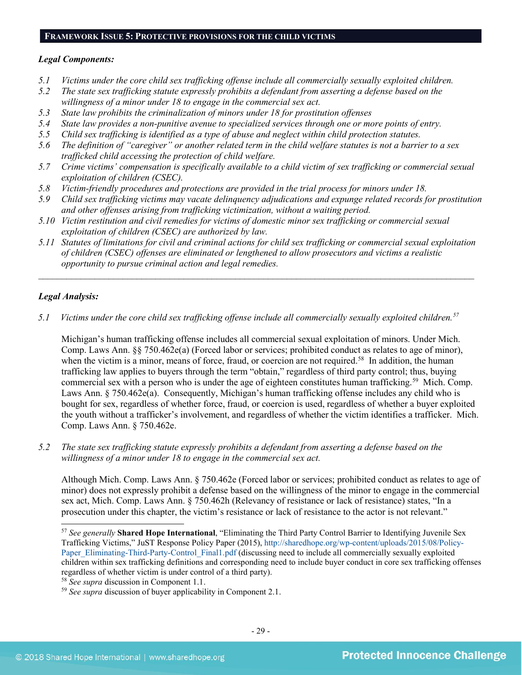#### **FRAMEWORK ISSUE 5: PROTECTIVE PROVISIONS FOR THE CHILD VICTIMS**

#### *Legal Components:*

- *5.1 Victims under the core child sex trafficking offense include all commercially sexually exploited children.*
- *5.2 The state sex trafficking statute expressly prohibits a defendant from asserting a defense based on the willingness of a minor under 18 to engage in the commercial sex act.*
- *5.3 State law prohibits the criminalization of minors under 18 for prostitution offenses*
- *5.4 State law provides a non-punitive avenue to specialized services through one or more points of entry.*
- *5.5 Child sex trafficking is identified as a type of abuse and neglect within child protection statutes.*
- *5.6 The definition of "caregiver" or another related term in the child welfare statutes is not a barrier to a sex trafficked child accessing the protection of child welfare.*
- *5.7 Crime victims' compensation is specifically available to a child victim of sex trafficking or commercial sexual exploitation of children (CSEC).*
- *5.8 Victim-friendly procedures and protections are provided in the trial process for minors under 18.*
- *5.9 Child sex trafficking victims may vacate delinquency adjudications and expunge related records for prostitution and other offenses arising from trafficking victimization, without a waiting period.*
- *5.10 Victim restitution and civil remedies for victims of domestic minor sex trafficking or commercial sexual exploitation of children (CSEC) are authorized by law.*
- *5.11 Statutes of limitations for civil and criminal actions for child sex trafficking or commercial sexual exploitation of children (CSEC) offenses are eliminated or lengthened to allow prosecutors and victims a realistic opportunity to pursue criminal action and legal remedies.*

*\_\_\_\_\_\_\_\_\_\_\_\_\_\_\_\_\_\_\_\_\_\_\_\_\_\_\_\_\_\_\_\_\_\_\_\_\_\_\_\_\_\_\_\_\_\_\_\_\_\_\_\_\_\_\_\_\_\_\_\_\_\_\_\_\_\_\_\_\_\_\_\_\_\_\_\_\_\_\_\_\_\_\_\_\_\_\_\_\_\_\_\_\_*

## *Legal Analysis:*

*5.1 Victims under the core child sex trafficking offense include all commercially sexually exploited children. [57](#page-28-0)*

Michigan's human trafficking offense includes all commercial sexual exploitation of minors. Under Mich. Comp. Laws Ann. §§ 750.462e(a) (Forced labor or services; prohibited conduct as relates to age of minor), when the victim is a minor, means of force, fraud, or coercion are not required.<sup>[58](#page-28-1)</sup> In addition, the human trafficking law applies to buyers through the term "obtain," regardless of third party control; thus, buying commercial sex with a person who is under the age of eighteen constitutes human trafficking.<sup>[59](#page-28-2)</sup> Mich. Comp. Laws Ann. § 750.462e(a). Consequently, Michigan's human trafficking offense includes any child who is bought for sex, regardless of whether force, fraud, or coercion is used, regardless of whether a buyer exploited the youth without a trafficker's involvement, and regardless of whether the victim identifies a trafficker. Mich. Comp. Laws Ann. § 750.462e.

*5.2 The state sex trafficking statute expressly prohibits a defendant from asserting a defense based on the willingness of a minor under 18 to engage in the commercial sex act.*

Although Mich. Comp. Laws Ann. § 750.462e (Forced labor or services; prohibited conduct as relates to age of minor) does not expressly prohibit a defense based on the willingness of the minor to engage in the commercial sex act, Mich. Comp. Laws Ann. § 750.462h (Relevancy of resistance or lack of resistance) states, "In a prosecution under this chapter, the victim's resistance or lack of resistance to the actor is not relevant."

<span id="page-28-0"></span> <sup>57</sup> *See generally* **Shared Hope International**, "Eliminating the Third Party Control Barrier to Identifying Juvenile Sex Trafficking Victims," JuST Response Policy Paper (2015), [http://sharedhope.org/wp-content/uploads/2015/08/Policy-](http://sharedhope.org/wp-content/uploads/2015/08/Policy-Paper_Eliminating-Third-Party-Control_Final1.pdf)[Paper\\_Eliminating-Third-Party-Control\\_Final1.pdf](http://sharedhope.org/wp-content/uploads/2015/08/Policy-Paper_Eliminating-Third-Party-Control_Final1.pdf) (discussing need to include all commercially sexually exploited children within sex trafficking definitions and corresponding need to include buyer conduct in core sex trafficking offenses regardless of whether victim is under control of a third party).<br><sup>58</sup> See supra discussion in Component 1.1.

<span id="page-28-1"></span>

<span id="page-28-2"></span><sup>&</sup>lt;sup>59</sup> *See supra* discussion of buyer applicability in Component 2.1.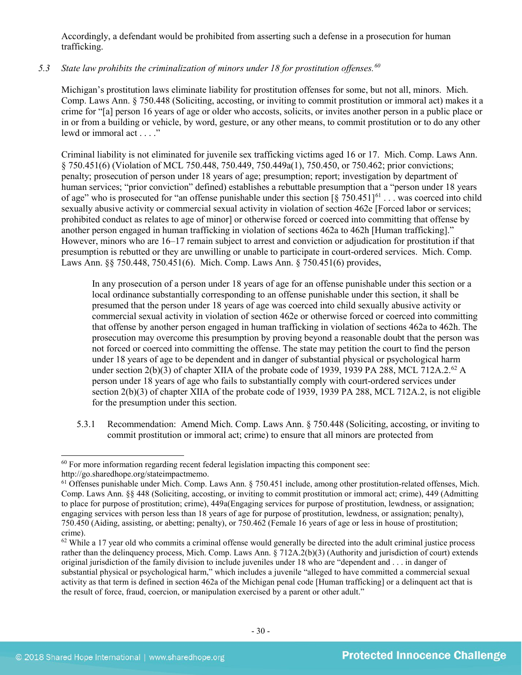Accordingly, a defendant would be prohibited from asserting such a defense in a prosecution for human trafficking.

## *5.3 State law prohibits the criminalization of minors under 18 for prostitution offenses.[60](#page-29-0)*

Michigan's prostitution laws eliminate liability for prostitution offenses for some, but not all, minors. Mich. Comp. Laws Ann. § 750.448 (Soliciting, accosting, or inviting to commit prostitution or immoral act) makes it a crime for "[a] person 16 years of age or older who accosts, solicits, or invites another person in a public place or in or from a building or vehicle, by word, gesture, or any other means, to commit prostitution or to do any other lewd or immoral act . . . ."

Criminal liability is not eliminated for juvenile sex trafficking victims aged 16 or 17. Mich. Comp. Laws Ann. § 750.451(6) (Violation of MCL 750.448, 750.449, 750.449a(1), 750.450, or 750.462; prior convictions; penalty; prosecution of person under 18 years of age; presumption; report; investigation by department of human services; "prior conviction" defined) establishes a rebuttable presumption that a "person under 18 years of age" who is prosecuted for "an offense punishable under this section  $\lceil \frac{8}{5} \rceil$  750.451]<sup>[61](#page-29-1)</sup> . . . was coerced into child sexually abusive activity or commercial sexual activity in violation of section 462e [Forced labor or services; prohibited conduct as relates to age of minor] or otherwise forced or coerced into committing that offense by another person engaged in human trafficking in violation of sections 462a to 462h [Human trafficking]." However, minors who are 16–17 remain subject to arrest and conviction or adjudication for prostitution if that presumption is rebutted or they are unwilling or unable to participate in court-ordered services. Mich. Comp. Laws Ann. §§ 750.448, 750.451(6). Mich. Comp. Laws Ann. § 750.451(6) provides,

In any prosecution of a person under 18 years of age for an offense punishable under this section or a local ordinance substantially corresponding to an offense punishable under this section, it shall be presumed that the person under 18 years of age was coerced into child sexually abusive activity or commercial sexual activity in violation of section 462e or otherwise forced or coerced into committing that offense by another person engaged in human trafficking in violation of sections 462a to 462h. The prosecution may overcome this presumption by proving beyond a reasonable doubt that the person was not forced or coerced into committing the offense. The state may petition the court to find the person under 18 years of age to be dependent and in danger of substantial physical or psychological harm under section 2(b)(3) of chapter XIIA of the probate code of 1939, 1939 PA 288, MCL 712A.2.<sup>62</sup> A person under 18 years of age who fails to substantially comply with court-ordered services under section 2(b)(3) of chapter XIIA of the probate code of 1939, 1939 PA 288, MCL 712A.2, is not eligible for the presumption under this section.

5.3.1 Recommendation: Amend Mich. Comp. Laws Ann. § 750.448 (Soliciting, accosting, or inviting to commit prostitution or immoral act; crime) to ensure that all minors are protected from

<sup>&</sup>lt;sup>60</sup> For more information regarding recent federal legislation impacting this component see: http://go.sharedhope.org/stateimpactmemo.

<span id="page-29-1"></span><span id="page-29-0"></span> $<sup>61</sup>$  Offenses punishable under Mich. Comp. Laws Ann.  $§$  750.451 include, among other prostitution-related offenses, Mich.</sup>

Comp. Laws Ann. §§ 448 (Soliciting, accosting, or inviting to commit prostitution or immoral act; crime), 449 (Admitting to place for purpose of prostitution; crime), 449a(Engaging services for purpose of prostitution, lewdness, or assignation; engaging services with person less than 18 years of age for purpose of prostitution, lewdness, or assignation; penalty), 750.450 (Aiding, assisting, or abetting; penalty), or 750.462 (Female 16 years of age or less in house of prostitution; crime).

<span id="page-29-2"></span> $62$  While a 17 year old who commits a criminal offense would generally be directed into the adult criminal justice process rather than the delinquency process, Mich. Comp. Laws Ann. § 712A.2(b)(3) (Authority and jurisdiction of court) extends original jurisdiction of the family division to include juveniles under 18 who are "dependent and . . . in danger of substantial physical or psychological harm," which includes a juvenile "alleged to have committed a commercial sexual activity as that term is defined in section 462a of the Michigan penal code [Human trafficking] or a delinquent act that is the result of force, fraud, coercion, or manipulation exercised by a parent or other adult."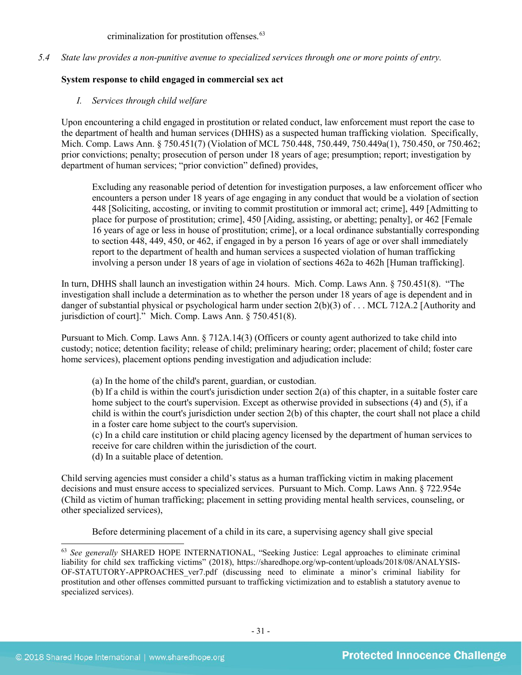criminalization for prostitution offenses.<sup>[63](#page-30-0)</sup>

*5.4 State law provides a non-punitive avenue to specialized services through one or more points of entry.*

## **System response to child engaged in commercial sex act**

*I. Services through child welfare*

Upon encountering a child engaged in prostitution or related conduct, law enforcement must report the case to the department of health and human services (DHHS) as a suspected human trafficking violation. Specifically, Mich. Comp. Laws Ann. § 750.451(7) (Violation of MCL 750.448, 750.449, 750.449a(1), 750.450, or 750.462; prior convictions; penalty; prosecution of person under 18 years of age; presumption; report; investigation by department of human services; "prior conviction" defined) provides,

Excluding any reasonable period of detention for investigation purposes, a law enforcement officer who encounters a person under 18 years of age engaging in any conduct that would be a violation of section 448 [Soliciting, accosting, or inviting to commit prostitution or immoral act; crime], 449 [Admitting to place for purpose of prostitution; crime], 450 [Aiding, assisting, or abetting; penalty], or 462 [Female 16 years of age or less in house of prostitution; crime], or a local ordinance substantially corresponding to section 448, 449, 450, or 462, if engaged in by a person 16 years of age or over shall immediately report to the department of health and human services a suspected violation of human trafficking involving a person under 18 years of age in violation of sections 462a to 462h [Human trafficking].

In turn, DHHS shall launch an investigation within 24 hours. Mich. Comp. Laws Ann. § 750.451(8). "The investigation shall include a determination as to whether the person under 18 years of age is dependent and in danger of substantial physical or psychological harm under section 2(b)(3) of . . . MCL 712A.2 [Authority and jurisdiction of court]." Mich. Comp. Laws Ann. § 750.451(8).

Pursuant to Mich. Comp. Laws Ann. § 712A.14(3) (Officers or county agent authorized to take child into custody; notice; detention facility; release of child; preliminary hearing; order; placement of child; foster care home services), placement options pending investigation and adjudication include:

(a) In the home of the child's parent, guardian, or custodian.

(b) If a child is within the court's jurisdiction under section 2(a) of this chapter, in a suitable foster care home subject to the court's supervision. Except as otherwise provided in subsections (4) and (5), if a child is within the court's jurisdiction under section 2(b) of this chapter, the court shall not place a child in a foster care home subject to the court's supervision.

(c) In a child care institution or child placing agency licensed by the department of human services to receive for care children within the jurisdiction of the court.

(d) In a suitable place of detention.

Child serving agencies must consider a child's status as a human trafficking victim in making placement decisions and must ensure access to specialized services. Pursuant to Mich. Comp. Laws Ann. § 722.954e (Child as victim of human trafficking; placement in setting providing mental health services, counseling, or other specialized services),

Before determining placement of a child in its care, a supervising agency shall give special

<span id="page-30-0"></span> <sup>63</sup> *See generally* SHARED HOPE INTERNATIONAL, "Seeking Justice: Legal approaches to eliminate criminal liability for child sex trafficking victims" (2018), https://sharedhope.org/wp-content/uploads/2018/08/ANALYSIS-OF-STATUTORY-APPROACHES\_ver7.pdf (discussing need to eliminate a minor's criminal liability for prostitution and other offenses committed pursuant to trafficking victimization and to establish a statutory avenue to specialized services).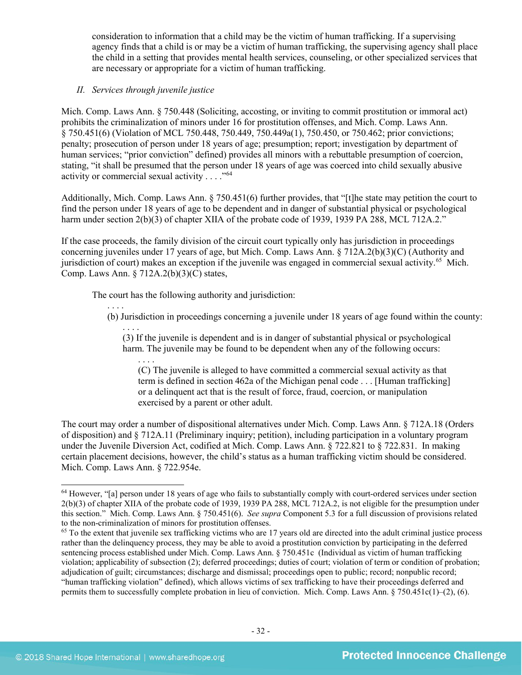consideration to information that a child may be the victim of human trafficking. If a supervising agency finds that a child is or may be a victim of human trafficking, the supervising agency shall place the child in a setting that provides mental health services, counseling, or other specialized services that are necessary or appropriate for a victim of human trafficking.

## *II. Services through juvenile justice*

Mich. Comp. Laws Ann. § 750.448 (Soliciting, accosting, or inviting to commit prostitution or immoral act) prohibits the criminalization of minors under 16 for prostitution offenses, and Mich. Comp. Laws Ann. § 750.451(6) (Violation of MCL 750.448, 750.449, 750.449a(1), 750.450, or 750.462; prior convictions; penalty; prosecution of person under 18 years of age; presumption; report; investigation by department of human services; "prior conviction" defined) provides all minors with a rebuttable presumption of coercion, stating, "it shall be presumed that the person under 18 years of age was coerced into child sexually abusive activity or commercial sexual activity  $\ldots$ ."<sup>[64](#page-31-0)</sup>

Additionally, Mich. Comp. Laws Ann. § 750.451(6) further provides, that "[t]he state may petition the court to find the person under 18 years of age to be dependent and in danger of substantial physical or psychological harm under section 2(b)(3) of chapter XIIA of the probate code of 1939, 1939 PA 288, MCL 712A.2."

If the case proceeds, the family division of the circuit court typically only has jurisdiction in proceedings concerning juveniles under 17 years of age, but Mich. Comp. Laws Ann. § 712A.2(b)(3)(C) (Authority and jurisdiction of court) makes an exception if the juvenile was engaged in commercial sexual activity.<sup>65</sup> Mich. Comp. Laws Ann. § 712A.2(b)(3)(C) states,

The court has the following authority and jurisdiction:

. . . . (b) Jurisdiction in proceedings concerning a juvenile under 18 years of age found within the county:

. . . . (3) If the juvenile is dependent and is in danger of substantial physical or psychological harm. The juvenile may be found to be dependent when any of the following occurs:

. . . . (C) The juvenile is alleged to have committed a commercial sexual activity as that term is defined in section 462a of the Michigan penal code . . . [Human trafficking] or a delinquent act that is the result of force, fraud, coercion, or manipulation exercised by a parent or other adult.

The court may order a number of dispositional alternatives under Mich. Comp. Laws Ann. § 712A.18 (Orders of disposition) and § 712A.11 (Preliminary inquiry; petition), including participation in a voluntary program under the Juvenile Diversion Act, codified at Mich. Comp. Laws Ann. § 722.821 to § 722.831. In making certain placement decisions, however, the child's status as a human trafficking victim should be considered. Mich. Comp. Laws Ann. § 722.954e.

<span id="page-31-0"></span> $64$  However, "[a] person under 18 years of age who fails to substantially comply with court-ordered services under section 2(b)(3) of chapter XIIA of the probate code of 1939, 1939 PA 288, MCL 712A.2, is not eligible for the presumption under this section." Mich. Comp. Laws Ann. § 750.451(6). *See supra* Component 5.3 for a full discussion of provisions related to the non-criminalization of minors for prostitution offenses.

<span id="page-31-1"></span><sup>&</sup>lt;sup>65</sup> To the extent that juvenile sex trafficking victims who are 17 years old are directed into the adult criminal justice process rather than the delinquency process, they may be able to avoid a prostitution conviction by participating in the deferred sentencing process established under Mich. Comp. Laws Ann. § 750.451c (Individual as victim of human trafficking violation; applicability of subsection (2); deferred proceedings; duties of court; violation of term or condition of probation; adjudication of guilt; circumstances; discharge and dismissal; proceedings open to public; record; nonpublic record; "human trafficking violation" defined), which allows victims of sex trafficking to have their proceedings deferred and permits them to successfully complete probation in lieu of conviction. Mich. Comp. Laws Ann.  $\S 750.451c(1)–(2)$ , (6).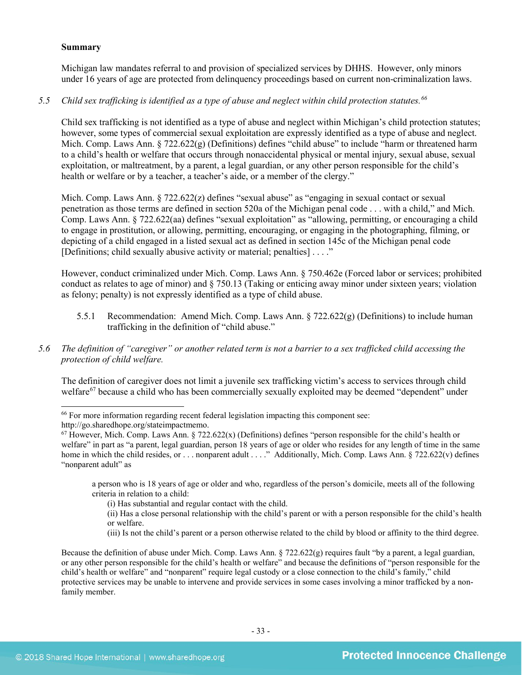#### **Summary**

Michigan law mandates referral to and provision of specialized services by DHHS. However, only minors under 16 years of age are protected from delinquency proceedings based on current non-criminalization laws.

## *5.5 Child sex trafficking is identified as a type of abuse and neglect within child protection statutes. [66](#page-32-0)*

Child sex trafficking is not identified as a type of abuse and neglect within Michigan's child protection statutes; however, some types of commercial sexual exploitation are expressly identified as a type of abuse and neglect. Mich. Comp. Laws Ann. § 722.622(g) (Definitions) defines "child abuse" to include "harm or threatened harm to a child's health or welfare that occurs through nonaccidental physical or mental injury, sexual abuse, sexual exploitation, or maltreatment, by a parent, a legal guardian, or any other person responsible for the child's health or welfare or by a teacher, a teacher's aide, or a member of the clergy."

Mich. Comp. Laws Ann.  $\S 722.622(z)$  defines "sexual abuse" as "engaging in sexual contact or sexual penetration as those terms are defined in section 520a of the Michigan penal code . . . with a child," and Mich. Comp. Laws Ann. § 722.622(aa) defines "sexual exploitation" as "allowing, permitting, or encouraging a child to engage in prostitution, or allowing, permitting, encouraging, or engaging in the photographing, filming, or depicting of a child engaged in a listed sexual act as defined in section 145c of the Michigan penal code [Definitions; child sexually abusive activity or material; penalties] . . . ."

However, conduct criminalized under Mich. Comp. Laws Ann. § 750.462e (Forced labor or services; prohibited conduct as relates to age of minor) and § 750.13 (Taking or enticing away minor under sixteen years; violation as felony; penalty) is not expressly identified as a type of child abuse.

- 5.5.1 Recommendation: Amend Mich. Comp. Laws Ann.  $\S 722.622(g)$  (Definitions) to include human trafficking in the definition of "child abuse."
- *5.6 The definition of "caregiver" or another related term is not a barrier to a sex trafficked child accessing the protection of child welfare.*

The definition of caregiver does not limit a juvenile sex trafficking victim's access to services through child welfare<sup>67</sup> because a child who has been commercially sexually exploited may be deemed "dependent" under

a person who is 18 years of age or older and who, regardless of the person's domicile, meets all of the following criteria in relation to a child:

(iii) Is not the child's parent or a person otherwise related to the child by blood or affinity to the third degree.

Because the definition of abuse under Mich. Comp. Laws Ann. § 722.622(g) requires fault "by a parent, a legal guardian, or any other person responsible for the child's health or welfare" and because the definitions of "person responsible for the child's health or welfare" and "nonparent" require legal custody or a close connection to the child's family," child protective services may be unable to intervene and provide services in some cases involving a minor trafficked by a nonfamily member.

<span id="page-32-0"></span> <sup>66</sup> For more information regarding recent federal legislation impacting this component see:

http://go.sharedhope.org/stateimpactmemo.

<span id="page-32-1"></span> $67$  However, Mich. Comp. Laws Ann. § 722.622(x) (Definitions) defines "person responsible for the child's health or welfare" in part as "a parent, legal guardian, person 18 years of age or older who resides for any length of time in the same home in which the child resides, or . . . nonparent adult . . . ." Additionally, Mich. Comp. Laws Ann. § 722.622(v) defines "nonparent adult" as

<sup>(</sup>i) Has substantial and regular contact with the child.

<sup>(</sup>ii) Has a close personal relationship with the child's parent or with a person responsible for the child's health or welfare.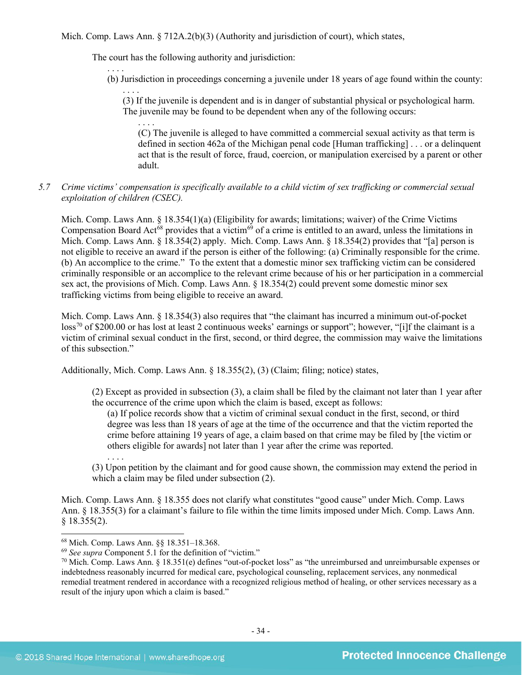Mich. Comp. Laws Ann.  $\S 712A.2(b)(3)$  (Authority and jurisdiction of court), which states,

The court has the following authority and jurisdiction:

. . . . (b) Jurisdiction in proceedings concerning a juvenile under 18 years of age found within the county:

. . . . (3) If the juvenile is dependent and is in danger of substantial physical or psychological harm. The juvenile may be found to be dependent when any of the following occurs:

. . . . (C) The juvenile is alleged to have committed a commercial sexual activity as that term is defined in section 462a of the Michigan penal code [Human trafficking] . . . or a delinquent act that is the result of force, fraud, coercion, or manipulation exercised by a parent or other adult.

## *5.7 Crime victims' compensation is specifically available to a child victim of sex trafficking or commercial sexual exploitation of children (CSEC).*

Mich. Comp. Laws Ann. § 18.354(1)(a) (Eligibility for awards; limitations; waiver) of the Crime Victims Compensation Board Act<sup>[68](#page-33-0)</sup> provides that a victim<sup>[69](#page-33-1)</sup> of a crime is entitled to an award, unless the limitations in Mich. Comp. Laws Ann. § 18.354(2) apply. Mich. Comp. Laws Ann. § 18.354(2) provides that "[a] person is not eligible to receive an award if the person is either of the following: (a) Criminally responsible for the crime. (b) An accomplice to the crime." To the extent that a domestic minor sex trafficking victim can be considered criminally responsible or an accomplice to the relevant crime because of his or her participation in a commercial sex act, the provisions of Mich. Comp. Laws Ann. § 18.354(2) could prevent some domestic minor sex trafficking victims from being eligible to receive an award.

Mich. Comp. Laws Ann. § 18.354(3) also requires that "the claimant has incurred a minimum out-of-pocket  $\cos^{70}$  $\cos^{70}$  $\cos^{70}$  of \$200.00 or has lost at least 2 continuous weeks' earnings or support"; however, "[i]f the claimant is a victim of criminal sexual conduct in the first, second, or third degree, the commission may waive the limitations of this subsection."

Additionally, Mich. Comp. Laws Ann. § 18.355(2), (3) (Claim; filing; notice) states,

(2) Except as provided in subsection (3), a claim shall be filed by the claimant not later than 1 year after the occurrence of the crime upon which the claim is based, except as follows:

(a) If police records show that a victim of criminal sexual conduct in the first, second, or third degree was less than 18 years of age at the time of the occurrence and that the victim reported the crime before attaining 19 years of age, a claim based on that crime may be filed by [the victim or others eligible for awards] not later than 1 year after the crime was reported.

. . . . (3) Upon petition by the claimant and for good cause shown, the commission may extend the period in which a claim may be filed under subsection (2).

Mich. Comp. Laws Ann. § 18.355 does not clarify what constitutes "good cause" under Mich. Comp. Laws Ann. § 18.355(3) for a claimant's failure to file within the time limits imposed under Mich. Comp. Laws Ann.  $§$  18.355(2).

<span id="page-33-0"></span> <sup>68</sup> Mich. Comp. Laws Ann. §§ 18.351–18.368.

<span id="page-33-1"></span><sup>69</sup> *See supra* Component 5.1 for the definition of "victim."

<span id="page-33-2"></span> $70$  Mich. Comp. Laws Ann. § 18.351(e) defines "out-of-pocket loss" as "the unreimbursed and unreimbursable expenses or indebtedness reasonably incurred for medical care, psychological counseling, replacement services, any nonmedical remedial treatment rendered in accordance with a recognized religious method of healing, or other services necessary as a result of the injury upon which a claim is based."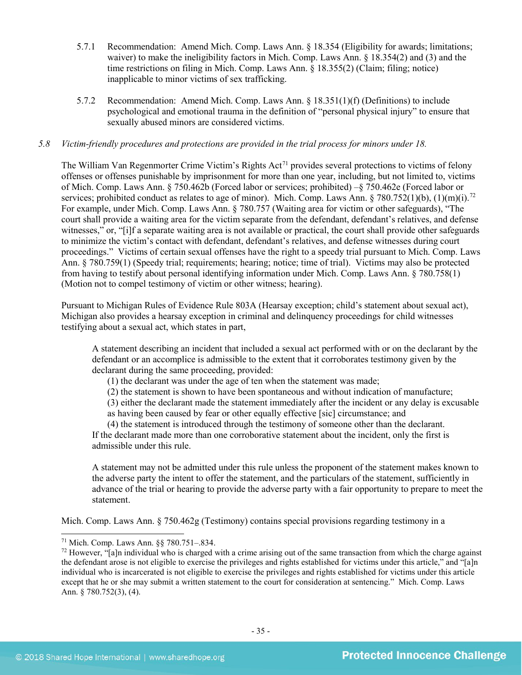- 5.7.1 Recommendation: Amend Mich. Comp. Laws Ann. § 18.354 (Eligibility for awards; limitations; waiver) to make the ineligibility factors in Mich. Comp. Laws Ann. § 18.354(2) and (3) and the time restrictions on filing in Mich. Comp. Laws Ann. § 18.355(2) (Claim; filing; notice) inapplicable to minor victims of sex trafficking.
- 5.7.2 Recommendation: Amend Mich. Comp. Laws Ann. § 18.351(1)(f) (Definitions) to include psychological and emotional trauma in the definition of "personal physical injury" to ensure that sexually abused minors are considered victims.

#### *5.8 Victim-friendly procedures and protections are provided in the trial process for minors under 18.*

The William Van Regenmorter Crime Victim's Rights Act<sup>[71](#page-34-0)</sup> provides several protections to victims of felony offenses or offenses punishable by imprisonment for more than one year, including, but not limited to, victims of Mich. Comp. Laws Ann. § 750.462b (Forced labor or services; prohibited) –§ 750.462e (Forced labor or services; prohibited conduct as relates to age of minor). Mich. Comp. Laws Ann.  $\S 780.752(1)(b)$ ,  $(1)(m)(i)$ .<sup>[72](#page-34-1)</sup> For example, under Mich. Comp. Laws Ann. § 780.757 (Waiting area for victim or other safeguards), "The court shall provide a waiting area for the victim separate from the defendant, defendant's relatives, and defense witnesses," or, "[i]f a separate waiting area is not available or practical, the court shall provide other safeguards to minimize the victim's contact with defendant, defendant's relatives, and defense witnesses during court proceedings." Victims of certain sexual offenses have the right to a speedy trial pursuant to Mich. Comp. Laws Ann. § 780.759(1) (Speedy trial; requirements; hearing; notice; time of trial). Victims may also be protected from having to testify about personal identifying information under Mich. Comp. Laws Ann. § 780.758(1) (Motion not to compel testimony of victim or other witness; hearing).

Pursuant to Michigan Rules of Evidence Rule 803A (Hearsay exception; child's statement about sexual act), Michigan also provides a hearsay exception in criminal and delinquency proceedings for child witnesses testifying about a sexual act, which states in part,

A statement describing an incident that included a sexual act performed with or on the declarant by the defendant or an accomplice is admissible to the extent that it corroborates testimony given by the declarant during the same proceeding, provided:

(1) the declarant was under the age of ten when the statement was made;

(2) the statement is shown to have been spontaneous and without indication of manufacture;

(3) either the declarant made the statement immediately after the incident or any delay is excusable as having been caused by fear or other equally effective [sic] circumstance; and

(4) the statement is introduced through the testimony of someone other than the declarant. If the declarant made more than one corroborative statement about the incident, only the first is admissible under this rule.

A statement may not be admitted under this rule unless the proponent of the statement makes known to the adverse party the intent to offer the statement, and the particulars of the statement, sufficiently in advance of the trial or hearing to provide the adverse party with a fair opportunity to prepare to meet the statement.

Mich. Comp. Laws Ann. § 750.462g (Testimony) contains special provisions regarding testimony in a

<span id="page-34-0"></span> <sup>71</sup> Mich. Comp. Laws Ann. §§ 780.751–.834.

<span id="page-34-1"></span> $<sup>72</sup>$  However, "[a]n individual who is charged with a crime arising out of the same transaction from which the charge against</sup> the defendant arose is not eligible to exercise the privileges and rights established for victims under this article," and "[a]n individual who is incarcerated is not eligible to exercise the privileges and rights established for victims under this article except that he or she may submit a written statement to the court for consideration at sentencing." Mich. Comp. Laws Ann. § 780.752(3), (4).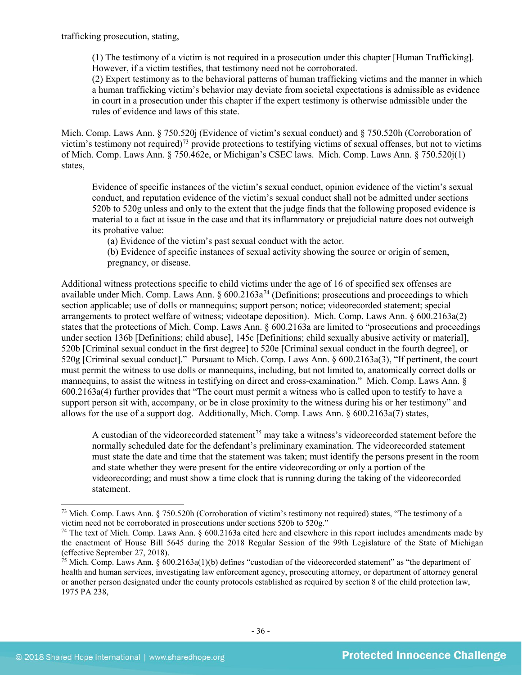trafficking prosecution, stating,

(1) The testimony of a victim is not required in a prosecution under this chapter [Human Trafficking]. However, if a victim testifies, that testimony need not be corroborated.

(2) Expert testimony as to the behavioral patterns of human trafficking victims and the manner in which a human trafficking victim's behavior may deviate from societal expectations is admissible as evidence in court in a prosecution under this chapter if the expert testimony is otherwise admissible under the rules of evidence and laws of this state.

Mich. Comp. Laws Ann. § 750.520j (Evidence of victim's sexual conduct) and § 750.520h (Corroboration of victim's testimony not required)[73](#page-35-0) provide protections to testifying victims of sexual offenses, but not to victims of Mich. Comp. Laws Ann. § 750.462e, or Michigan's CSEC laws. Mich. Comp. Laws Ann. § 750.520j(1) states,

Evidence of specific instances of the victim's sexual conduct, opinion evidence of the victim's sexual conduct, and reputation evidence of the victim's sexual conduct shall not be admitted under sections 520b to 520g unless and only to the extent that the judge finds that the following proposed evidence is material to a fact at issue in the case and that its inflammatory or prejudicial nature does not outweigh its probative value:

(a) Evidence of the victim's past sexual conduct with the actor.

(b) Evidence of specific instances of sexual activity showing the source or origin of semen, pregnancy, or disease.

Additional witness protections specific to child victims under the age of 16 of specified sex offenses are available under Mich. Comp. Laws Ann.  $\S 600.2163a^{74}$  $\S 600.2163a^{74}$  $\S 600.2163a^{74}$  (Definitions; prosecutions and proceedings to which section applicable; use of dolls or mannequins; support person; notice; videorecorded statement; special arrangements to protect welfare of witness; videotape deposition). Mich. Comp. Laws Ann. § 600.2163a(2) states that the protections of Mich. Comp. Laws Ann. § 600.2163a are limited to "prosecutions and proceedings under section 136b [Definitions; child abuse], 145c [Definitions; child sexually abusive activity or material], 520b [Criminal sexual conduct in the first degree] to 520e [Criminal sexual conduct in the fourth degree], or 520g [Criminal sexual conduct]." Pursuant to Mich. Comp. Laws Ann. § 600.2163a(3), "If pertinent, the court must permit the witness to use dolls or mannequins, including, but not limited to, anatomically correct dolls or mannequins, to assist the witness in testifying on direct and cross-examination." Mich. Comp. Laws Ann. § 600.2163a(4) further provides that "The court must permit a witness who is called upon to testify to have a support person sit with, accompany, or be in close proximity to the witness during his or her testimony" and allows for the use of a support dog. Additionally, Mich. Comp. Laws Ann. § 600.2163a(7) states,

A custodian of the videorecorded statement<sup>[75](#page-35-2)</sup> may take a witness's videorecorded statement before the normally scheduled date for the defendant's preliminary examination. The videorecorded statement must state the date and time that the statement was taken; must identify the persons present in the room and state whether they were present for the entire videorecording or only a portion of the videorecording; and must show a time clock that is running during the taking of the videorecorded statement.

<span id="page-35-0"></span> <sup>73</sup> Mich. Comp. Laws Ann. § 750.520h (Corroboration of victim's testimony not required) states, "The testimony of a victim need not be corroborated in prosecutions under sections 520b to 520g."

<span id="page-35-1"></span> $74$  The text of Mich. Comp. Laws Ann. § 600.2163a cited here and elsewhere in this report includes amendments made by the enactment of House Bill 5645 during the 2018 Regular Session of the 99th Legislature of the State of Michigan (effective September 27, 2018).

<span id="page-35-2"></span> $75$  Mich. Comp. Laws Ann. § 600.2163a(1)(b) defines "custodian of the videorecorded statement" as "the department of health and human services, investigating law enforcement agency, prosecuting attorney, or department of attorney general or another person designated under the county protocols established as required by section 8 of the child protection law, 1975 PA 238,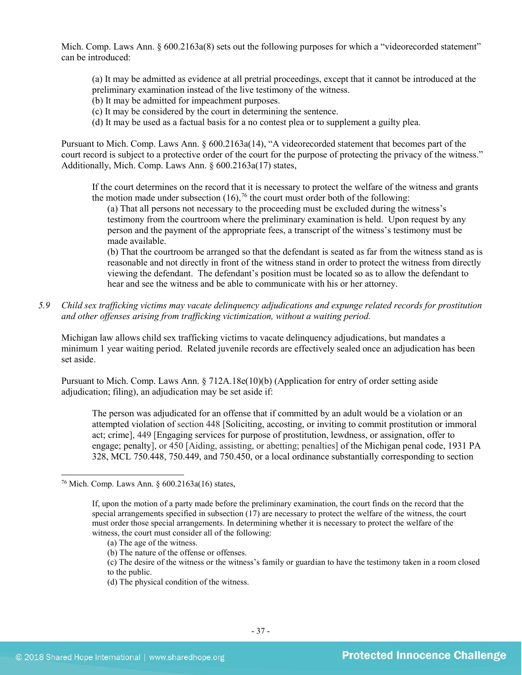Mich. Comp. Laws Ann. § 600.2163a(8) sets out the following purposes for which a "videorecorded statement" can be introduced:

(a) It may be admitted as evidence at all pretrial proceedings, except that it cannot be introduced at the preliminary examination instead of the live testimony of the witness.

- (b) It may be admitted for impeachment purposes.
- (c) It may be considered by the court in determining the sentence.
- (d) It may be used as a factual basis for a no contest plea or to supplement a guilty plea.

Pursuant to Mich. Comp. Laws Ann. § 600.2163a(14), "A videorecorded statement that becomes part of the court record is subject to a protective order of the court for the purpose of protecting the privacy of the witness." Additionally, Mich. Comp. Laws Ann. § 600.2163a(17) states,

If the court determines on the record that it is necessary to protect the welfare of the witness and grants the motion made under subsection  $(16)$ ,<sup>[76](#page-36-0)</sup> the court must order both of the following:

(a) That all persons not necessary to the proceeding must be excluded during the witness's testimony from the courtroom where the preliminary examination is held. Upon request by any person and the payment of the appropriate fees, a transcript of the witness's testimony must be made available.

(b) That the courtroom be arranged so that the defendant is seated as far from the witness stand as is reasonable and not directly in front of the witness stand in order to protect the witness from directly viewing the defendant. The defendant's position must be located so as to allow the defendant to hear and see the witness and be able to communicate with his or her attorney.

*5.9 Child sex trafficking victims may vacate delinquency adjudications and expunge related records for prostitution and other offenses arising from trafficking victimization, without a waiting period.*

Michigan law allows child sex trafficking victims to vacate delinquency adjudications, but mandates a minimum 1 year waiting period. Related juvenile records are effectively sealed once an adjudication has been set aside.

Pursuant to Mich. Comp. Laws Ann. § 712A.18e(10)(b) (Application for entry of order setting aside adjudication; filing), an adjudication may be set aside if:

The person was adjudicated for an offense that if committed by an adult would be a violation or an attempted violation of section 448 [Soliciting, accosting, or inviting to commit prostitution or immoral act; crime], 449 [Engaging services for purpose of prostitution, lewdness, or assignation, offer to engage; penalty], or 450 [Aiding, assisting, or abetting; penalties] of the Michigan penal code, 1931 PA 328, MCL 750.448, 750.449, and 750.450, or a local ordinance substantially corresponding to section

(d) The physical condition of the witness.

<span id="page-36-0"></span> <sup>76</sup> Mich. Comp. Laws Ann. § 600.2163a(16) states,

If, upon the motion of a party made before the preliminary examination, the court finds on the record that the special arrangements specified in subsection (17) are necessary to protect the welfare of the witness, the court must order those special arrangements. In determining whether it is necessary to protect the welfare of the witness, the court must consider all of the following:

<sup>(</sup>a) The age of the witness.

<sup>(</sup>b) The nature of the offense or offenses.

<sup>(</sup>c) The desire of the witness or the witness's family or guardian to have the testimony taken in a room closed to the public.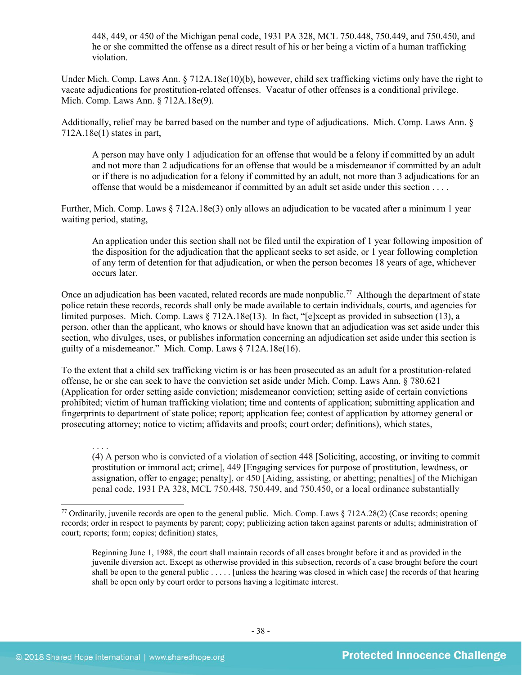448, 449, or 450 of the Michigan penal code, 1931 PA 328, MCL 750.448, 750.449, and 750.450, and he or she committed the offense as a direct result of his or her being a victim of a human trafficking violation.

Under Mich. Comp. Laws Ann. § 712A.18e(10)(b), however, child sex trafficking victims only have the right to vacate adjudications for prostitution-related offenses. Vacatur of other offenses is a conditional privilege. Mich. Comp. Laws Ann. § 712A.18e(9).

Additionally, relief may be barred based on the number and type of adjudications. Mich. Comp. Laws Ann. § 712A.18e(1) states in part,

A person may have only 1 adjudication for an offense that would be a felony if committed by an adult and not more than 2 adjudications for an offense that would be a misdemeanor if committed by an adult or if there is no adjudication for a felony if committed by an adult, not more than 3 adjudications for an offense that would be a misdemeanor if committed by an adult set aside under this section . . . .

Further, Mich. Comp. Laws § 712A.18e(3) only allows an adjudication to be vacated after a minimum 1 year waiting period, stating,

An application under this section shall not be filed until the expiration of 1 year following imposition of the disposition for the adjudication that the applicant seeks to set aside, or 1 year following completion of any term of detention for that adjudication, or when the person becomes 18 years of age, whichever occurs later.

Once an adjudication has been vacated, related records are made nonpublic.<sup>[77](#page-37-0)</sup> Although the department of state police retain these records, records shall only be made available to certain individuals, courts, and agencies for limited purposes. Mich. Comp. Laws § 712A.18e(13). In fact, "[e]xcept as provided in subsection (13), a person, other than the applicant, who knows or should have known that an adjudication was set aside under this section, who divulges, uses, or publishes information concerning an adjudication set aside under this section is guilty of a misdemeanor." Mich. Comp. Laws § 712A.18e(16).

To the extent that a child sex trafficking victim is or has been prosecuted as an adult for a prostitution-related offense, he or she can seek to have the conviction set aside under Mich. Comp. Laws Ann. § 780.621 (Application for order setting aside conviction; misdemeanor conviction; setting aside of certain convictions prohibited; victim of human trafficking violation; time and contents of application; submitting application and fingerprints to department of state police; report; application fee; contest of application by attorney general or prosecuting attorney; notice to victim; affidavits and proofs; court order; definitions), which states,

. . . . (4) A person who is convicted of a violation of section 448 [Soliciting, accosting, or inviting to commit prostitution or immoral act; crime], 449 [Engaging services for purpose of prostitution, lewdness, or assignation, offer to engage; penalty], or 450 [Aiding, assisting, or abetting; penalties] of the Michigan penal code, 1931 PA 328, MCL 750.448, 750.449, and 750.450, or a local ordinance substantially

<span id="page-37-0"></span><sup>77</sup> Ordinarily, juvenile records are open to the general public. Mich. Comp. Laws  $\S 712A.28(2)$  (Case records; opening records; order in respect to payments by parent; copy; publicizing action taken against parents or adults; administration of court; reports; form; copies; definition) states,

Beginning June 1, 1988, the court shall maintain records of all cases brought before it and as provided in the juvenile diversion act. Except as otherwise provided in this subsection, records of a case brought before the court shall be open to the general public . . . . . [unless the hearing was closed in which case] the records of that hearing shall be open only by court order to persons having a legitimate interest.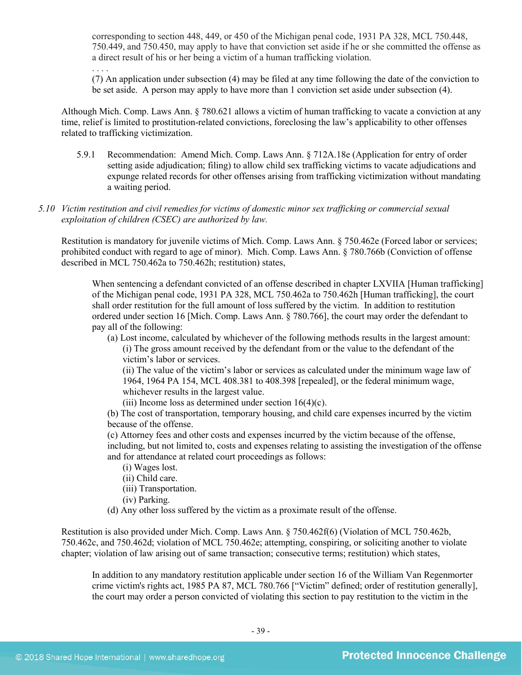corresponding to section 448, 449, or 450 of the Michigan penal code, 1931 PA 328, MCL 750.448, 750.449, and 750.450, may apply to have that conviction set aside if he or she committed the offense as a direct result of his or her being a victim of a human trafficking violation.

. . . . (7) An application under subsection (4) may be filed at any time following the date of the conviction to be set aside. A person may apply to have more than 1 conviction set aside under subsection (4).

Although Mich. Comp. Laws Ann. § 780.621 allows a victim of human trafficking to vacate a conviction at any time, relief is limited to prostitution-related convictions, foreclosing the law's applicability to other offenses related to trafficking victimization.

- 5.9.1 Recommendation: Amend Mich. Comp. Laws Ann. § 712A.18e (Application for entry of order setting aside adjudication; filing) to allow child sex trafficking victims to vacate adjudications and expunge related records for other offenses arising from trafficking victimization without mandating a waiting period.
- *5.10 Victim restitution and civil remedies for victims of domestic minor sex trafficking or commercial sexual exploitation of children (CSEC) are authorized by law.*

Restitution is mandatory for juvenile victims of Mich. Comp. Laws Ann. § 750.462e (Forced labor or services; prohibited conduct with regard to age of minor). Mich. Comp. Laws Ann. § 780.766b (Conviction of offense described in MCL 750.462a to 750.462h; restitution) states,

When sentencing a defendant convicted of an offense described in chapter LXVIIA [Human trafficking] of the Michigan penal code, 1931 PA 328, MCL 750.462a to 750.462h [Human trafficking], the court shall order restitution for the full amount of loss suffered by the victim. In addition to restitution ordered under section 16 [Mich. Comp. Laws Ann. § 780.766], the court may order the defendant to pay all of the following:

(a) Lost income, calculated by whichever of the following methods results in the largest amount: (i) The gross amount received by the defendant from or the value to the defendant of the victim's labor or services.

(ii) The value of the victim's labor or services as calculated under the minimum wage law of 1964, 1964 PA 154, MCL 408.381 to 408.398 [repealed], or the federal minimum wage, whichever results in the largest value.

(iii) Income loss as determined under section  $16(4)(c)$ .

(b) The cost of transportation, temporary housing, and child care expenses incurred by the victim because of the offense.

(c) Attorney fees and other costs and expenses incurred by the victim because of the offense, including, but not limited to, costs and expenses relating to assisting the investigation of the offense and for attendance at related court proceedings as follows:

- (i) Wages lost.
- (ii) Child care.
- (iii) Transportation.
- (iv) Parking.
- (d) Any other loss suffered by the victim as a proximate result of the offense.

Restitution is also provided under Mich. Comp. Laws Ann. § 750.462f(6) (Violation of MCL 750.462b, 750.462c, and 750.462d; violation of MCL 750.462e; attempting, conspiring, or soliciting another to violate chapter; violation of law arising out of same transaction; consecutive terms; restitution) which states,

In addition to any mandatory restitution applicable under section 16 of the William Van Regenmorter crime victim's rights act, 1985 PA 87, MCL 780.766 ["Victim" defined; order of restitution generally], the court may order a person convicted of violating this section to pay restitution to the victim in the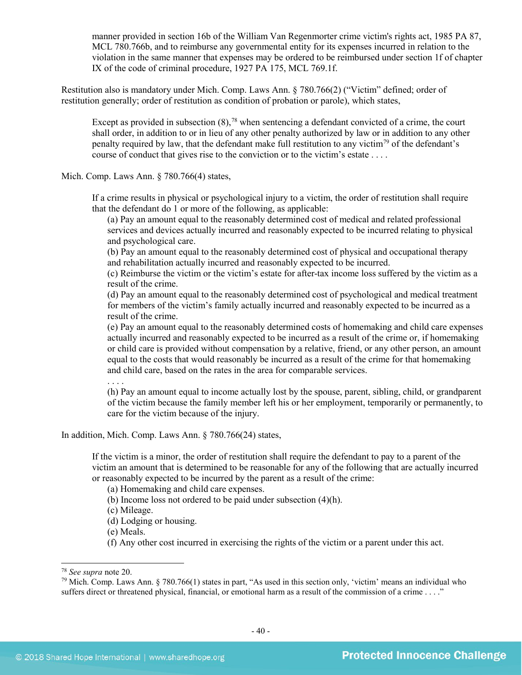manner provided in section 16b of the William Van Regenmorter crime victim's rights act, 1985 PA 87, MCL 780.766b, and to reimburse any governmental entity for its expenses incurred in relation to the violation in the same manner that expenses may be ordered to be reimbursed under section 1f of chapter IX of the code of criminal procedure, 1927 PA 175, MCL 769.1f.

Restitution also is mandatory under Mich. Comp. Laws Ann. § 780.766(2) ("Victim" defined; order of restitution generally; order of restitution as condition of probation or parole), which states,

Except as provided in subsection  $(8)$ ,<sup>[78](#page-39-0)</sup> when sentencing a defendant convicted of a crime, the court shall order, in addition to or in lieu of any other penalty authorized by law or in addition to any other penalty required by law, that the defendant make full restitution to any victim<sup>[79](#page-39-1)</sup> of the defendant's course of conduct that gives rise to the conviction or to the victim's estate . . . .

Mich. Comp. Laws Ann. § 780.766(4) states,

If a crime results in physical or psychological injury to a victim, the order of restitution shall require that the defendant do 1 or more of the following, as applicable:

(a) Pay an amount equal to the reasonably determined cost of medical and related professional services and devices actually incurred and reasonably expected to be incurred relating to physical and psychological care.

(b) Pay an amount equal to the reasonably determined cost of physical and occupational therapy and rehabilitation actually incurred and reasonably expected to be incurred.

(c) Reimburse the victim or the victim's estate for after-tax income loss suffered by the victim as a result of the crime.

(d) Pay an amount equal to the reasonably determined cost of psychological and medical treatment for members of the victim's family actually incurred and reasonably expected to be incurred as a result of the crime.

(e) Pay an amount equal to the reasonably determined costs of homemaking and child care expenses actually incurred and reasonably expected to be incurred as a result of the crime or, if homemaking or child care is provided without compensation by a relative, friend, or any other person, an amount equal to the costs that would reasonably be incurred as a result of the crime for that homemaking and child care, based on the rates in the area for comparable services.

. . . .

(h) Pay an amount equal to income actually lost by the spouse, parent, sibling, child, or grandparent of the victim because the family member left his or her employment, temporarily or permanently, to care for the victim because of the injury.

In addition, Mich. Comp. Laws Ann. § 780.766(24) states,

If the victim is a minor, the order of restitution shall require the defendant to pay to a parent of the victim an amount that is determined to be reasonable for any of the following that are actually incurred or reasonably expected to be incurred by the parent as a result of the crime:

(a) Homemaking and child care expenses.

(b) Income loss not ordered to be paid under subsection (4)(h).

(c) Mileage.

(d) Lodging or housing.

(e) Meals.

(f) Any other cost incurred in exercising the rights of the victim or a parent under this act.

<span id="page-39-0"></span> <sup>78</sup> *See supra* note [20.](#page-11-2)

<span id="page-39-1"></span><sup>&</sup>lt;sup>79</sup> Mich. Comp. Laws Ann. § 780.766(1) states in part, "As used in this section only, 'victim' means an individual who suffers direct or threatened physical, financial, or emotional harm as a result of the commission of a crime . . . ."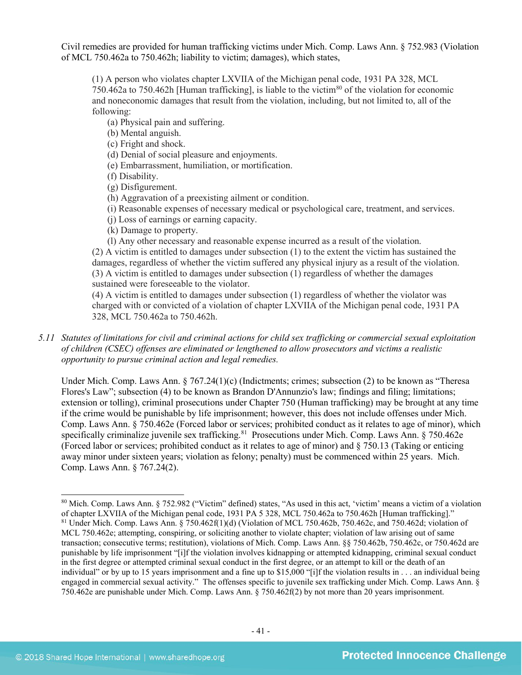Civil remedies are provided for human trafficking victims under Mich. Comp. Laws Ann. § 752.983 (Violation of MCL 750.462a to 750.462h; liability to victim; damages), which states,

(1) A person who violates chapter LXVIIA of the Michigan penal code, 1931 PA 328, MCL 750.462a to 750.462h [Human trafficking], is liable to the victim<sup>80</sup> of the violation for economic and noneconomic damages that result from the violation, including, but not limited to, all of the following:

(a) Physical pain and suffering.

(b) Mental anguish.

(c) Fright and shock.

(d) Denial of social pleasure and enjoyments.

(e) Embarrassment, humiliation, or mortification.

(f) Disability.

(g) Disfigurement.

(h) Aggravation of a preexisting ailment or condition.

(i) Reasonable expenses of necessary medical or psychological care, treatment, and services.

(j) Loss of earnings or earning capacity.

(k) Damage to property.

(l) Any other necessary and reasonable expense incurred as a result of the violation. (2) A victim is entitled to damages under subsection (1) to the extent the victim has sustained the damages, regardless of whether the victim suffered any physical injury as a result of the violation. (3) A victim is entitled to damages under subsection (1) regardless of whether the damages sustained were foreseeable to the violator.

(4) A victim is entitled to damages under subsection (1) regardless of whether the violator was charged with or convicted of a violation of chapter LXVIIA of the Michigan penal code, 1931 PA 328, MCL 750.462a to 750.462h.

*5.11 Statutes of limitations for civil and criminal actions for child sex trafficking or commercial sexual exploitation of children (CSEC) offenses are eliminated or lengthened to allow prosecutors and victims a realistic opportunity to pursue criminal action and legal remedies.*

Under Mich. Comp. Laws Ann. § 767.24(1)(c) (Indictments; crimes; subsection (2) to be known as "Theresa Flores's Law"; subsection (4) to be known as Brandon D'Annunzio's law; findings and filing; limitations; extension or tolling), criminal prosecutions under Chapter 750 (Human trafficking) may be brought at any time if the crime would be punishable by life imprisonment; however, this does not include offenses under Mich. Comp. Laws Ann. § 750.462e (Forced labor or services; prohibited conduct as it relates to age of minor), which specifically criminalize juvenile sex trafficking.<sup>81</sup> Prosecutions under Mich. Comp. Laws Ann. § 750.462e (Forced labor or services; prohibited conduct as it relates to age of minor) and § 750.13 (Taking or enticing away minor under sixteen years; violation as felony; penalty) must be commenced within 25 years. Mich. Comp. Laws Ann. § 767.24(2).

<span id="page-40-1"></span><span id="page-40-0"></span> <sup>80</sup> Mich. Comp. Laws Ann. § 752.982 ("Victim" defined) states, "As used in this act, 'victim' means a victim of a violation of chapter LXVIIA of the Michigan penal code, 1931 PA 5 328, MCL 750.462a to 750.462h [Human trafficking]." <sup>81</sup> Under Mich. Comp. Laws Ann. § 750.462f(1)(d) (Violation of MCL 750.462b, 750.462c, and 750.462d; violation of MCL 750.462e; attempting, conspiring, or soliciting another to violate chapter; violation of law arising out of same transaction; consecutive terms; restitution), violations of Mich. Comp. Laws Ann. §§ 750.462b, 750.462c, or 750.462d are punishable by life imprisonment "[i]f the violation involves kidnapping or attempted kidnapping, criminal sexual conduct in the first degree or attempted criminal sexual conduct in the first degree, or an attempt to kill or the death of an individual" or by up to 15 years imprisonment and a fine up to \$15,000 "[i]f the violation results in . . . an individual being engaged in commercial sexual activity." The offenses specific to juvenile sex trafficking under Mich. Comp. Laws Ann. § 750.462e are punishable under Mich. Comp. Laws Ann. § 750.462f(2) by not more than 20 years imprisonment.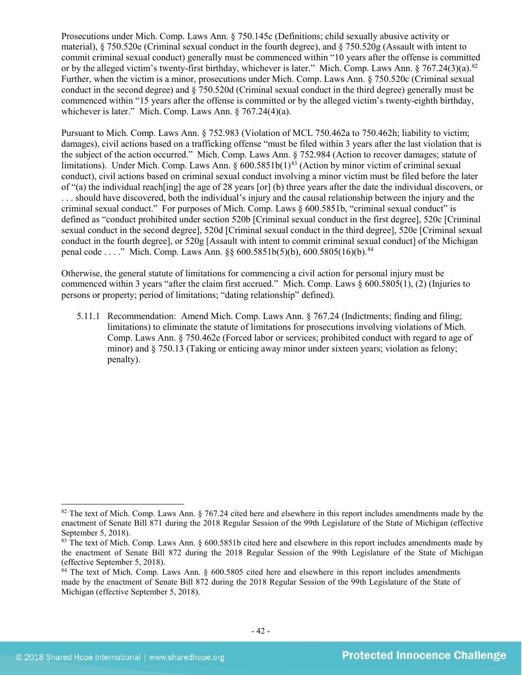Prosecutions under Mich. Comp. Laws Ann. § 750.145c (Definitions; child sexually abusive activity or material), § 750.520e (Criminal sexual conduct in the fourth degree), and § 750.520g (Assault with intent to commit criminal sexual conduct) generally must be commenced within "10 years after the offense is committed or by the alleged victim's twenty-first birthday, whichever is later." Mich. Comp. Laws Ann.  $\S 767.24(3)(a)$ .<sup>82</sup> Further, when the victim is a minor, prosecutions under Mich. Comp. Laws Ann. § 750.520c (Criminal sexual conduct in the second degree) and § 750.520d (Criminal sexual conduct in the third degree) generally must be commenced within "15 years after the offense is committed or by the alleged victim's twenty-eighth birthday, whichever is later." Mich. Comp. Laws Ann. § 767.24(4)(a).

Pursuant to Mich. Comp. Laws Ann. § 752.983 (Violation of MCL 750.462a to 750.462h; liability to victim; damages), civil actions based on a trafficking offense "must be filed within 3 years after the last violation that is the subject of the action occurred." Mich. Comp. Laws Ann. § 752.984 (Action to recover damages; statute of limitations). Under Mich. Comp. Laws Ann. § 600.5851b(1)<sup>[83](#page-41-1)</sup> (Action by minor victim of criminal sexual conduct), civil actions based on criminal sexual conduct involving a minor victim must be filed before the later of "(a) the individual reach[ing] the age of 28 years [or] (b) three years after the date the individual discovers, or . . . should have discovered, both the individual's injury and the causal relationship between the injury and the criminal sexual conduct." For purposes of Mich. Comp. Laws § 600.5851b, "criminal sexual conduct" is defined as "conduct prohibited under section 520b [Criminal sexual conduct in the first degree], 520c [Criminal sexual conduct in the second degree], 520d [Criminal sexual conduct in the third degree], 520e [Criminal sexual conduct in the fourth degree], or 520g [Assault with intent to commit criminal sexual conduct] of the Michigan penal code . . . ." Mich. Comp. Laws Ann. §§ 600.5851b(5)(b), 600.5805(16)(b).<sup>[84](#page-41-2)</sup>

Otherwise, the general statute of limitations for commencing a civil action for personal injury must be commenced within 3 years "after the claim first accrued." Mich. Comp. Laws § 600.5805(1), (2) (Injuries to persons or property; period of limitations; "dating relationship" defined).

5.11.1 Recommendation: Amend Mich. Comp. Laws Ann. § 767.24 (Indictments; finding and filing; limitations) to eliminate the statute of limitations for prosecutions involving violations of Mich. Comp. Laws Ann. § 750.462e (Forced labor or services; prohibited conduct with regard to age of minor) and § 750.13 (Taking or enticing away minor under sixteen years; violation as felony; penalty).

<span id="page-41-0"></span><sup>82</sup> The text of Mich. Comp. Laws Ann. § 767.24 cited here and elsewhere in this report includes amendments made by the enactment of Senate Bill 871 during the 2018 Regular Session of the 99th Legislature of the State of Michigan (effective September 5, 2018).

<span id="page-41-1"></span><sup>83</sup> The text of Mich. Comp. Laws Ann. § 600.5851b cited here and elsewhere in this report includes amendments made by the enactment of Senate Bill 872 during the 2018 Regular Session of the 99th Legislature of the State of Michigan (effective September 5, 2018).

<span id="page-41-2"></span><sup>&</sup>lt;sup>84</sup> The text of Mich. Comp. Laws Ann. § 600.5805 cited here and elsewhere in this report includes amendments made by the enactment of Senate Bill 872 during the 2018 Regular Session of the 99th Legislature of the State of Michigan (effective September 5, 2018).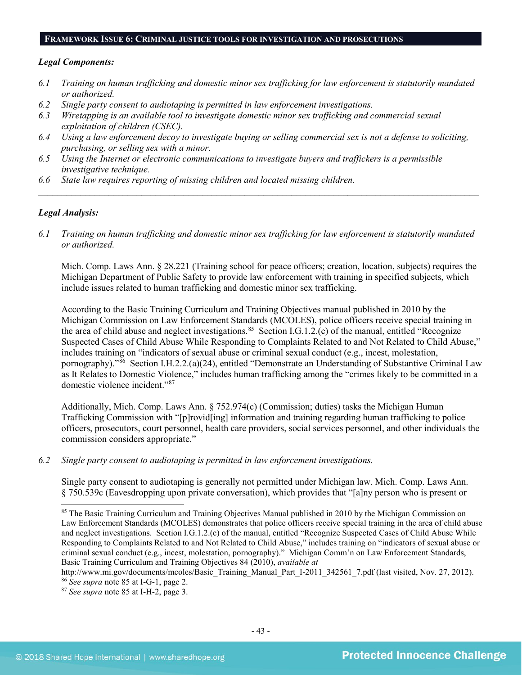#### **FRAMEWORK ISSUE 6: CRIMINAL JUSTICE TOOLS FOR INVESTIGATION AND PROSECUTIONS**

#### *Legal Components:*

- *6.1 Training on human trafficking and domestic minor sex trafficking for law enforcement is statutorily mandated or authorized.*
- *6.2 Single party consent to audiotaping is permitted in law enforcement investigations.*
- *6.3 Wiretapping is an available tool to investigate domestic minor sex trafficking and commercial sexual exploitation of children (CSEC).*
- *6.4 Using a law enforcement decoy to investigate buying or selling commercial sex is not a defense to soliciting, purchasing, or selling sex with a minor.*
- *6.5 Using the Internet or electronic communications to investigate buyers and traffickers is a permissible investigative technique.*
- *6.6 State law requires reporting of missing children and located missing children.*

#### *Legal Analysis:*

*6.1 Training on human trafficking and domestic minor sex trafficking for law enforcement is statutorily mandated or authorized.*

*\_\_\_\_\_\_\_\_\_\_\_\_\_\_\_\_\_\_\_\_\_\_\_\_\_\_\_\_\_\_\_\_\_\_\_\_\_\_\_\_\_\_\_\_\_\_\_\_\_\_\_\_\_\_\_\_\_\_\_\_\_\_\_\_\_\_\_\_\_\_\_\_\_\_\_\_\_\_\_\_\_\_\_\_\_\_\_\_\_\_\_\_\_\_*

Mich. Comp. Laws Ann. § 28.221 (Training school for peace officers; creation, location, subjects) requires the Michigan Department of Public Safety to provide law enforcement with training in specified subjects, which include issues related to human trafficking and domestic minor sex trafficking.

<span id="page-42-0"></span>According to the Basic Training Curriculum and Training Objectives manual published in 2010 by the Michigan Commission on Law Enforcement Standards (MCOLES), police officers receive special training in the area of child abuse and neglect investigations.<sup>[85](#page-42-1)</sup> Section I.G.1.2.(c) of the manual, entitled "Recognize" Suspected Cases of Child Abuse While Responding to Complaints Related to and Not Related to Child Abuse," includes training on "indicators of sexual abuse or criminal sexual conduct (e.g., incest, molestation, pornography)."[86](#page-42-2) Section I.H.2.2.(a)(24), entitled "Demonstrate an Understanding of Substantive Criminal Law as It Relates to Domestic Violence," includes human trafficking among the "crimes likely to be committed in a domestic violence incident."[87](#page-42-3)

Additionally, Mich. Comp. Laws Ann. § 752.974(c) (Commission; duties) tasks the Michigan Human Trafficking Commission with "[p]rovid[ing] information and training regarding human trafficking to police officers, prosecutors, court personnel, health care providers, social services personnel, and other individuals the commission considers appropriate."

*6.2 Single party consent to audiotaping is permitted in law enforcement investigations.*

Single party consent to audiotaping is generally not permitted under Michigan law. Mich. Comp. Laws Ann. § 750.539c (Eavesdropping upon private conversation), which provides that "[a]ny person who is present or

<span id="page-42-1"></span><sup>&</sup>lt;sup>85</sup> The Basic Training Curriculum and Training Objectives Manual published in 2010 by the Michigan Commission on Law Enforcement Standards (MCOLES) demonstrates that police officers receive special training in the area of child abuse and neglect investigations. Section I.G.1.2.(c) of the manual, entitled "Recognize Suspected Cases of Child Abuse While Responding to Complaints Related to and Not Related to Child Abuse," includes training on "indicators of sexual abuse or criminal sexual conduct (e.g., incest, molestation, pornography)." Michigan Comm'n on Law Enforcement Standards, Basic Training Curriculum and Training Objectives 84 (2010), *available at*

[http://www.mi.gov/documents/mcoles/Basic\\_Training\\_Manual\\_Part\\_I-2011\\_342561\\_7.pdf](http://www.mi.gov/documents/mcoles/Basic_Training_Manual_Part_I-2011_342561_7.pdf) (last visited, Nov. 27, 2012). <sup>86</sup> *See supra* note [85](#page-42-0) at I-G-1, page 2.

<span id="page-42-3"></span><span id="page-42-2"></span><sup>87</sup> *See supra* note [85](#page-42-0) at I-H-2, page 3.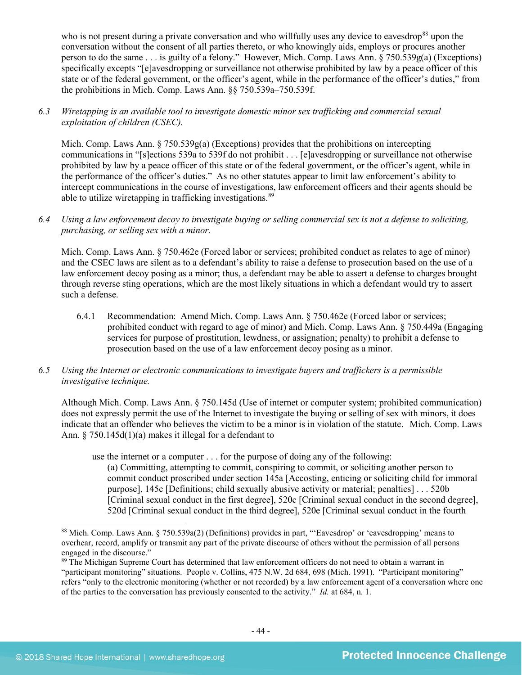who is not present during a private conversation and who willfully uses any device to eavesdrop<sup>[88](#page-43-0)</sup> upon the conversation without the consent of all parties thereto, or who knowingly aids, employs or procures another person to do the same . . . is guilty of a felony." However, Mich. Comp. Laws Ann. § 750.539g(a) (Exceptions) specifically excepts "[e]avesdropping or surveillance not otherwise prohibited by law by a peace officer of this state or of the federal government, or the officer's agent, while in the performance of the officer's duties," from the prohibitions in Mich. Comp. Laws Ann. §§ 750.539a–750.539f.

## *6.3 Wiretapping is an available tool to investigate domestic minor sex trafficking and commercial sexual exploitation of children (CSEC).*

Mich. Comp. Laws Ann.  $\S 750.539g(a)$  (Exceptions) provides that the prohibitions on intercepting communications in "[s]ections 539a to 539f do not prohibit . . . [e]avesdropping or surveillance not otherwise prohibited by law by a peace officer of this state or of the federal government, or the officer's agent, while in the performance of the officer's duties." As no other statutes appear to limit law enforcement's ability to intercept communications in the course of investigations, law enforcement officers and their agents should be able to utilize wiretapping in trafficking investigations.<sup>89</sup>

*6.4 Using a law enforcement decoy to investigate buying or selling commercial sex is not a defense to soliciting, purchasing, or selling sex with a minor.*

Mich. Comp. Laws Ann. § 750.462e (Forced labor or services; prohibited conduct as relates to age of minor) and the CSEC laws are silent as to a defendant's ability to raise a defense to prosecution based on the use of a law enforcement decoy posing as a minor; thus, a defendant may be able to assert a defense to charges brought through reverse sting operations, which are the most likely situations in which a defendant would try to assert such a defense.

6.4.1 Recommendation: Amend Mich. Comp. Laws Ann. § 750.462e (Forced labor or services; prohibited conduct with regard to age of minor) and Mich. Comp. Laws Ann. § 750.449a (Engaging services for purpose of prostitution, lewdness, or assignation; penalty) to prohibit a defense to prosecution based on the use of a law enforcement decoy posing as a minor.

## *6.5 Using the Internet or electronic communications to investigate buyers and traffickers is a permissible investigative technique.*

Although Mich. Comp. Laws Ann. § 750.145d (Use of internet or computer system; prohibited communication) does not expressly permit the use of the Internet to investigate the buying or selling of sex with minors, it does indicate that an offender who believes the victim to be a minor is in violation of the statute. Mich. Comp. Laws Ann. § 750.145d(1)(a) makes it illegal for a defendant to

use the internet or a computer . . . for the purpose of doing any of the following:

(a) Committing, attempting to commit, conspiring to commit, or soliciting another person to commit conduct proscribed under section 145a [Accosting, enticing or soliciting child for immoral purpose], 145c [Definitions; child sexually abusive activity or material; penalties] . . . 520b [Criminal sexual conduct in the first degree], 520c [Criminal sexual conduct in the second degree], 520d [Criminal sexual conduct in the third degree], 520e [Criminal sexual conduct in the fourth

<span id="page-43-0"></span> <sup>88</sup> Mich. Comp. Laws Ann. § 750.539a(2) (Definitions) provides in part, "'Eavesdrop' or 'eavesdropping' means to overhear, record, amplify or transmit any part of the private discourse of others without the permission of all persons engaged in the discourse."

<span id="page-43-1"></span><sup>89</sup> The Michigan Supreme Court has determined that law enforcement officers do not need to obtain a warrant in "participant monitoring" situations. People v. Collins, 475 N.W. 2d 684, 698 (Mich. 1991). "Participant monitoring" refers "only to the electronic monitoring (whether or not recorded) by a law enforcement agent of a conversation where one of the parties to the conversation has previously consented to the activity." *Id.* at 684, n. 1.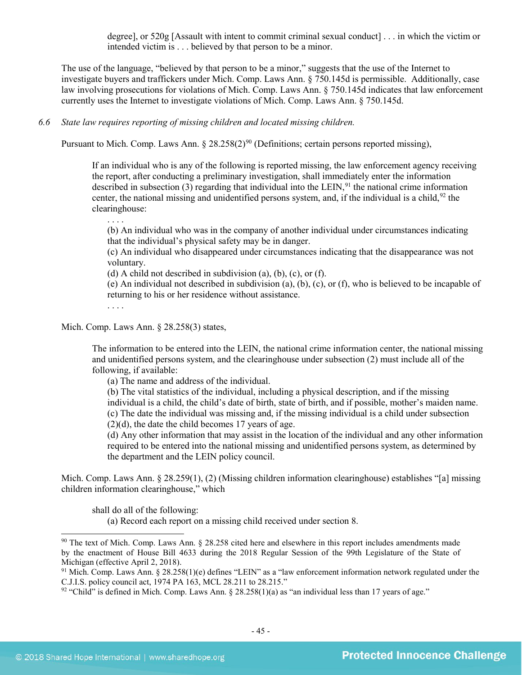degree], or 520g [Assault with intent to commit criminal sexual conduct] . . . in which the victim or intended victim is . . . believed by that person to be a minor.

The use of the language, "believed by that person to be a minor," suggests that the use of the Internet to investigate buyers and traffickers under Mich. Comp. Laws Ann. § 750.145d is permissible. Additionally, case law involving prosecutions for violations of Mich. Comp. Laws Ann. § 750.145d indicates that law enforcement currently uses the Internet to investigate violations of Mich. Comp. Laws Ann. § 750.145d.

*6.6 State law requires reporting of missing children and located missing children.* 

Pursuant to Mich. Comp. Laws Ann.  $\S 28.258(2)^{90}$  (Definitions; certain persons reported missing),

If an individual who is any of the following is reported missing, the law enforcement agency receiving the report, after conducting a preliminary investigation, shall immediately enter the information described in subsection  $(3)$  regarding that individual into the LEIN, <sup>[91](#page-44-1)</sup> the national crime information center, the national missing and unidentified persons system, and, if the individual is a child,  $92$  the clearinghouse:

(b) An individual who was in the company of another individual under circumstances indicating that the individual's physical safety may be in danger.

(c) An individual who disappeared under circumstances indicating that the disappearance was not voluntary.

(d) A child not described in subdivision (a), (b), (c), or (f).

(e) An individual not described in subdivision (a), (b), (c), or (f), who is believed to be incapable of returning to his or her residence without assistance.

. . . .

. . . .

Mich. Comp. Laws Ann. § 28.258(3) states,

The information to be entered into the LEIN, the national crime information center, the national missing and unidentified persons system, and the clearinghouse under subsection (2) must include all of the following, if available:

(a) The name and address of the individual.

(b) The vital statistics of the individual, including a physical description, and if the missing individual is a child, the child's date of birth, state of birth, and if possible, mother's maiden name. (c) The date the individual was missing and, if the missing individual is a child under subsection  $(2)(d)$ , the date the child becomes 17 years of age.

(d) Any other information that may assist in the location of the individual and any other information required to be entered into the national missing and unidentified persons system, as determined by the department and the LEIN policy council.

Mich. Comp. Laws Ann. § 28.259(1), (2) (Missing children information clearinghouse) establishes "[a] missing children information clearinghouse," which

shall do all of the following:

(a) Record each report on a missing child received under section 8.

<span id="page-44-0"></span> <sup>90</sup> The text of Mich. Comp. Laws Ann. § 28.258 cited here and elsewhere in this report includes amendments made by the enactment of House Bill 4633 during the 2018 Regular Session of the 99th Legislature of the State of Michigan (effective April 2, 2018).

<span id="page-44-1"></span> $91$  Mich. Comp. Laws Ann. § 28.258(1)(e) defines "LEIN" as a "law enforcement information network regulated under the C.J.I.S. policy council act, 1974 PA 163, MCL 28.211 to 28.215."

<span id="page-44-2"></span> $92$  "Child" is defined in Mich. Comp. Laws Ann. § 28.258(1)(a) as "an individual less than 17 years of age."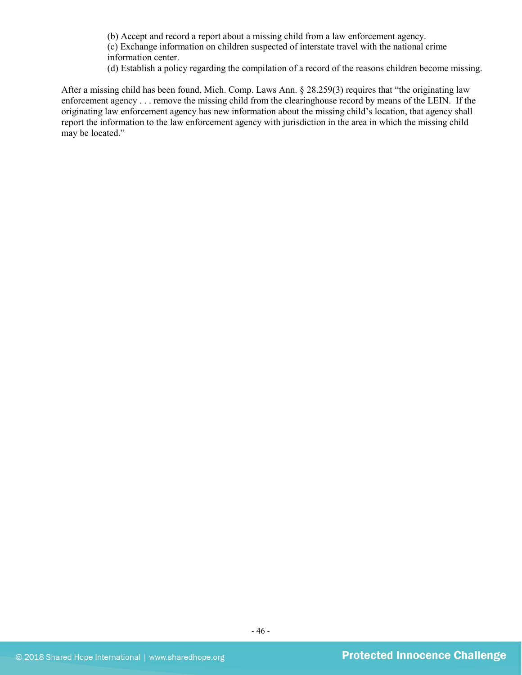(b) Accept and record a report about a missing child from a law enforcement agency.

(c) Exchange information on children suspected of interstate travel with the national crime information center.

(d) Establish a policy regarding the compilation of a record of the reasons children become missing.

After a missing child has been found, Mich. Comp. Laws Ann. § 28.259(3) requires that "the originating law enforcement agency . . . remove the missing child from the clearinghouse record by means of the LEIN. If the originating law enforcement agency has new information about the missing child's location, that agency shall report the information to the law enforcement agency with jurisdiction in the area in which the missing child may be located."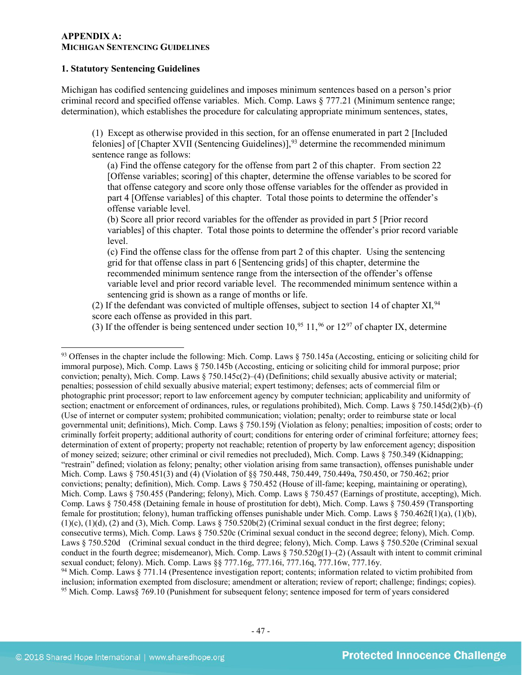#### **APPENDIX A: MICHIGAN SENTENCING GUIDELINES**

#### **1. Statutory Sentencing Guidelines**

Michigan has codified sentencing guidelines and imposes minimum sentences based on a person's prior criminal record and specified offense variables. Mich. Comp. Laws § 777.21 (Minimum sentence range; determination), which establishes the procedure for calculating appropriate minimum sentences, states,

(1) Except as otherwise provided in this section, for an offense enumerated in part 2 [Included felonies] of  $[Chapter XVII$  (Sentencing Guidelines)],<sup>[93](#page-46-0)</sup> determine the recommended minimum sentence range as follows:

(a) Find the offense category for the offense from part 2 of this chapter. From section 22 [Offense variables; scoring] of this chapter, determine the offense variables to be scored for that offense category and score only those offense variables for the offender as provided in part 4 [Offense variables] of this chapter. Total those points to determine the offender's offense variable level.

(b) Score all prior record variables for the offender as provided in part 5 [Prior record variables] of this chapter. Total those points to determine the offender's prior record variable level.

(c) Find the offense class for the offense from part 2 of this chapter. Using the sentencing grid for that offense class in part 6 [Sentencing grids] of this chapter, determine the recommended minimum sentence range from the intersection of the offender's offense variable level and prior record variable level. The recommended minimum sentence within a sentencing grid is shown as a range of months or life.

(2) If the defendant was convicted of multiple offenses, subject to section 14 of chapter XI,  $94$ score each offense as provided in this part.

(3) If the offender is being sentenced under section  $10^{95}$  $10^{95}$  $10^{95}$ ,  $11^{96}$  $11^{96}$  $11^{96}$  or  $12^{97}$  $12^{97}$  $12^{97}$  of chapter IX, determine

<span id="page-46-0"></span><sup>93</sup> Offenses in the chapter include the following: Mich. Comp. Laws § 750.145a (Accosting, enticing or soliciting child for immoral purpose), Mich. Comp. Laws § 750.145b (Accosting, enticing or soliciting child for immoral purpose; prior conviction; penalty), Mich. Comp. Laws  $\S 750.145c(2)$ –(4) (Definitions; child sexually abusive activity or material; penalties; possession of child sexually abusive material; expert testimony; defenses; acts of commercial film or photographic print processor; report to law enforcement agency by computer technician; applicability and uniformity of section; enactment or enforcement of ordinances, rules, or regulations prohibited), Mich. Comp. Laws § 750.145d(2)(b)–(f) (Use of internet or computer system; prohibited communication; violation; penalty; order to reimburse state or local governmental unit; definitions), Mich. Comp. Laws § 750.159j (Violation as felony; penalties; imposition of costs; order to criminally forfeit property; additional authority of court; conditions for entering order of criminal forfeiture; attorney fees; determination of extent of property; property not reachable; retention of property by law enforcement agency; disposition of money seized; seizure; other criminal or civil remedies not precluded), Mich. Comp. Laws § 750.349 (Kidnapping; "restrain" defined; violation as felony; penalty; other violation arising from same transaction), offenses punishable under Mich. Comp. Laws § 750.451(3) and (4) (Violation of §§ 750.448, 750.449, 750.449a, 750.450, or 750.462; prior convictions; penalty; definition), Mich. Comp. Laws § 750.452 (House of ill-fame; keeping, maintaining or operating), Mich. Comp. Laws § 750.455 (Pandering; felony), Mich. Comp. Laws § 750.457 (Earnings of prostitute, accepting), Mich. Comp. Laws § 750.458 (Detaining female in house of prostitution for debt), Mich. Comp. Laws § 750.459 (Transporting female for prostitution; felony), human trafficking offenses punishable under Mich. Comp. Laws § 750.462f(1)(a), (1)(b),  $(1)(c)$ ,  $(1)(d)$ ,  $(2)$  and  $(3)$ , Mich. Comp. Laws § 750.520b $(2)$  (Criminal sexual conduct in the first degree; felony; consecutive terms), Mich. Comp. Laws § 750.520c (Criminal sexual conduct in the second degree; felony), Mich. Comp. Laws § 750.520d (Criminal sexual conduct in the third degree; felony), Mich. Comp. Laws § 750.520e (Criminal sexual conduct in the fourth degree; misdemeanor), Mich. Comp. Laws  $\S 750.520g(1)$ –(2) (Assault with intent to commit criminal sexual conduct; felony). Mich. Comp. Laws §§ 777.16g, 777.16i, 777.16q, 777.16w, 777.16y. <sup>94</sup> Mich. Comp. Laws § 771.14 (Presentence investigation report; contents; information related to victim prohibited from

<span id="page-46-4"></span><span id="page-46-3"></span><span id="page-46-2"></span><span id="page-46-1"></span>inclusion; information exempted from disclosure; amendment or alteration; review of report; challenge; findings; copies). <sup>95</sup> Mich. Comp. Laws§ 769.10 (Punishment for subsequent felony; sentence imposed for term of years considered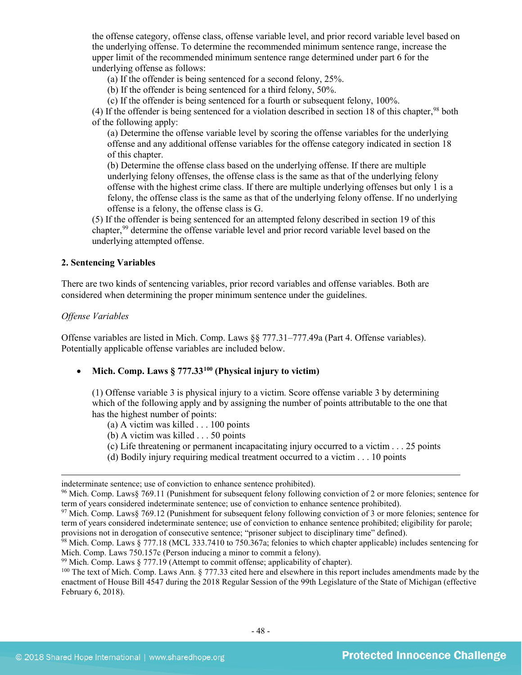the offense category, offense class, offense variable level, and prior record variable level based on the underlying offense. To determine the recommended minimum sentence range, increase the upper limit of the recommended minimum sentence range determined under part 6 for the underlying offense as follows:

(a) If the offender is being sentenced for a second felony, 25%.

(b) If the offender is being sentenced for a third felony, 50%.

(c) If the offender is being sentenced for a fourth or subsequent felony, 100%.

(4) If the offender is being sentenced for a violation described in section 18 of this chapter,  $98$  both of the following apply:

(a) Determine the offense variable level by scoring the offense variables for the underlying offense and any additional offense variables for the offense category indicated in section 18 of this chapter.

(b) Determine the offense class based on the underlying offense. If there are multiple underlying felony offenses, the offense class is the same as that of the underlying felony offense with the highest crime class. If there are multiple underlying offenses but only 1 is a felony, the offense class is the same as that of the underlying felony offense. If no underlying offense is a felony, the offense class is G.

(5) If the offender is being sentenced for an attempted felony described in section 19 of this chapter,<sup>[99](#page-47-1)</sup> determine the offense variable level and prior record variable level based on the underlying attempted offense.

## **2. Sentencing Variables**

There are two kinds of sentencing variables, prior record variables and offense variables. Both are considered when determining the proper minimum sentence under the guidelines.

#### *Offense Variables*

 $\overline{a}$ 

Offense variables are listed in Mich. Comp. Laws §§ 777.31–777.49a (Part 4. Offense variables). Potentially applicable offense variables are included below.

• **Mich. Comp. Laws § 777.33[100](#page-47-2) (Physical injury to victim)** 

(1) Offense variable 3 is physical injury to a victim. Score offense variable 3 by determining which of the following apply and by assigning the number of points attributable to the one that has the highest number of points:

- (a) A victim was killed . . . 100 points
- (b) A victim was killed . . . 50 points
- (c) Life threatening or permanent incapacitating injury occurred to a victim . . . 25 points
- (d) Bodily injury requiring medical treatment occurred to a victim . . . 10 points

indeterminate sentence; use of conviction to enhance sentence prohibited).

<sup>96</sup> Mich. Comp. Laws§ 769.11 (Punishment for subsequent felony following conviction of 2 or more felonies; sentence for term of years considered indeterminate sentence; use of conviction to enhance sentence prohibited).

<sup>97</sup> Mich. Comp. Laws§ 769.12 (Punishment for subsequent felony following conviction of 3 or more felonies; sentence for term of years considered indeterminate sentence; use of conviction to enhance sentence prohibited; eligibility for parole; provisions not in derogation of consecutive sentence; "prisoner subject to disciplinary time" defined).

<span id="page-47-0"></span><sup>98</sup> Mich. Comp. Laws § 777.18 (MCL 333.7410 to 750.367a; felonies to which chapter applicable) includes sentencing for Mich. Comp. Laws 750.157c (Person inducing a minor to commit a felony).

<span id="page-47-1"></span> $99$  Mich. Comp. Laws  $§$  777.19 (Attempt to commit offense; applicability of chapter).

<span id="page-47-2"></span><sup>&</sup>lt;sup>100</sup> The text of Mich. Comp. Laws Ann. § 777.33 cited here and elsewhere in this report includes amendments made by the enactment of House Bill 4547 during the 2018 Regular Session of the 99th Legislature of the State of Michigan (effective February 6, 2018).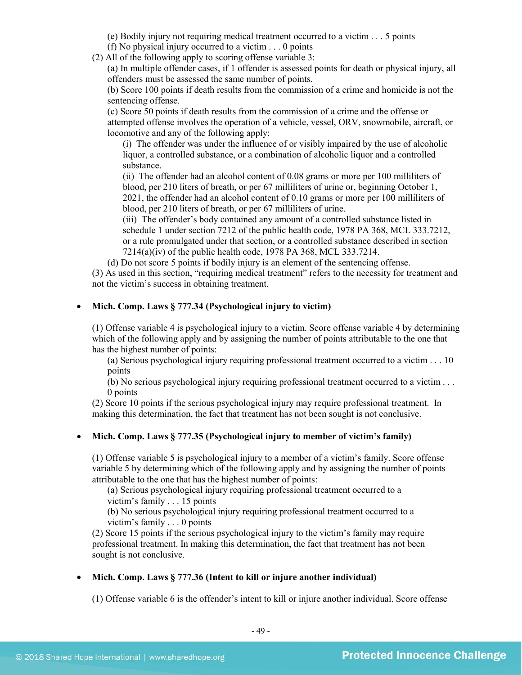- (e) Bodily injury not requiring medical treatment occurred to a victim . . . 5 points
- (f) No physical injury occurred to a victim . . . 0 points
- (2) All of the following apply to scoring offense variable 3:

(a) In multiple offender cases, if 1 offender is assessed points for death or physical injury, all offenders must be assessed the same number of points.

(b) Score 100 points if death results from the commission of a crime and homicide is not the sentencing offense.

(c) Score 50 points if death results from the commission of a crime and the offense or attempted offense involves the operation of a vehicle, vessel, ORV, snowmobile, aircraft, or locomotive and any of the following apply:

(i) The offender was under the influence of or visibly impaired by the use of alcoholic liquor, a controlled substance, or a combination of alcoholic liquor and a controlled substance.

(ii) The offender had an alcohol content of 0.08 grams or more per 100 milliliters of blood, per 210 liters of breath, or per 67 milliliters of urine or, beginning October 1, 2021, the offender had an alcohol content of 0.10 grams or more per 100 milliliters of blood, per 210 liters of breath, or per 67 milliliters of urine.

(iii) The offender's body contained any amount of a controlled substance listed in schedule 1 under section 7212 of the public health code, 1978 PA 368, MCL 333.7212, or a rule promulgated under that section, or a controlled substance described in section 7214(a)(iv) of the public health code, 1978 PA 368, MCL 333.7214.

(d) Do not score 5 points if bodily injury is an element of the sentencing offense.

(3) As used in this section, "requiring medical treatment" refers to the necessity for treatment and not the victim's success in obtaining treatment.

## • **Mich. Comp. Laws § 777.34 (Psychological injury to victim)**

(1) Offense variable 4 is psychological injury to a victim. Score offense variable 4 by determining which of the following apply and by assigning the number of points attributable to the one that has the highest number of points:

(a) Serious psychological injury requiring professional treatment occurred to a victim . . . 10 points

(b) No serious psychological injury requiring professional treatment occurred to a victim . . . 0 points

(2) Score 10 points if the serious psychological injury may require professional treatment. In making this determination, the fact that treatment has not been sought is not conclusive.

## • **Mich. Comp. Laws § 777.35 (Psychological injury to member of victim's family)**

(1) Offense variable 5 is psychological injury to a member of a victim's family. Score offense variable 5 by determining which of the following apply and by assigning the number of points attributable to the one that has the highest number of points:

(a) Serious psychological injury requiring professional treatment occurred to a victim's family . . . 15 points

(b) No serious psychological injury requiring professional treatment occurred to a victim's family . . . 0 points

(2) Score 15 points if the serious psychological injury to the victim's family may require professional treatment. In making this determination, the fact that treatment has not been sought is not conclusive.

## • **Mich. Comp. Laws § 777.36 (Intent to kill or injure another individual)**

(1) Offense variable 6 is the offender's intent to kill or injure another individual. Score offense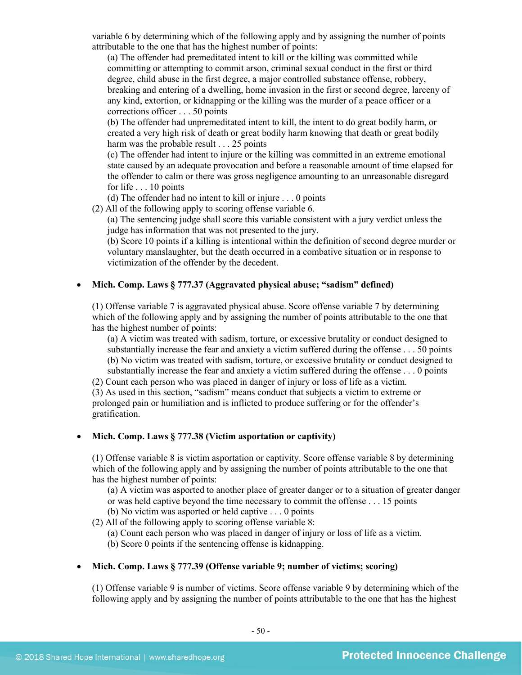variable 6 by determining which of the following apply and by assigning the number of points attributable to the one that has the highest number of points:

(a) The offender had premeditated intent to kill or the killing was committed while committing or attempting to commit arson, criminal sexual conduct in the first or third degree, child abuse in the first degree, a major controlled substance offense, robbery, breaking and entering of a dwelling, home invasion in the first or second degree, larceny of any kind, extortion, or kidnapping or the killing was the murder of a peace officer or a corrections officer . . . 50 points

(b) The offender had unpremeditated intent to kill, the intent to do great bodily harm, or created a very high risk of death or great bodily harm knowing that death or great bodily harm was the probable result . . . 25 points

(c) The offender had intent to injure or the killing was committed in an extreme emotional state caused by an adequate provocation and before a reasonable amount of time elapsed for the offender to calm or there was gross negligence amounting to an unreasonable disregard for life . . . 10 points

(d) The offender had no intent to kill or injure . . . 0 points

(2) All of the following apply to scoring offense variable 6.

(a) The sentencing judge shall score this variable consistent with a jury verdict unless the judge has information that was not presented to the jury.

(b) Score 10 points if a killing is intentional within the definition of second degree murder or voluntary manslaughter, but the death occurred in a combative situation or in response to victimization of the offender by the decedent.

## • **Mich. Comp. Laws § 777.37 (Aggravated physical abuse; "sadism" defined)**

(1) Offense variable 7 is aggravated physical abuse. Score offense variable 7 by determining which of the following apply and by assigning the number of points attributable to the one that has the highest number of points:

(a) A victim was treated with sadism, torture, or excessive brutality or conduct designed to substantially increase the fear and anxiety a victim suffered during the offense . . . 50 points (b) No victim was treated with sadism, torture, or excessive brutality or conduct designed to substantially increase the fear and anxiety a victim suffered during the offense . . . 0 points

(2) Count each person who was placed in danger of injury or loss of life as a victim.

(3) As used in this section, "sadism" means conduct that subjects a victim to extreme or prolonged pain or humiliation and is inflicted to produce suffering or for the offender's gratification.

## • **Mich. Comp. Laws § 777.38 (Victim asportation or captivity)**

(1) Offense variable 8 is victim asportation or captivity. Score offense variable 8 by determining which of the following apply and by assigning the number of points attributable to the one that has the highest number of points:

(a) A victim was asported to another place of greater danger or to a situation of greater danger or was held captive beyond the time necessary to commit the offense . . . 15 points

(b) No victim was asported or held captive . . . 0 points

(2) All of the following apply to scoring offense variable 8:

(a) Count each person who was placed in danger of injury or loss of life as a victim.

(b) Score 0 points if the sentencing offense is kidnapping.

## • **Mich. Comp. Laws § 777.39 (Offense variable 9; number of victims; scoring)**

(1) Offense variable 9 is number of victims. Score offense variable 9 by determining which of the following apply and by assigning the number of points attributable to the one that has the highest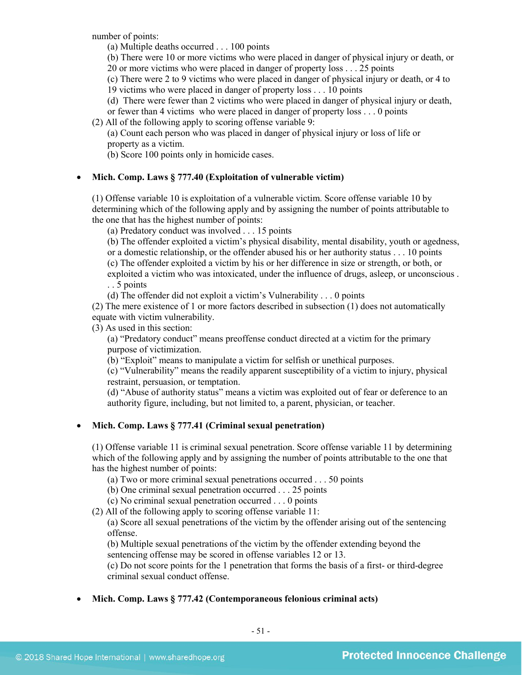number of points:

(a) Multiple deaths occurred . . . 100 points

(b) There were 10 or more victims who were placed in danger of physical injury or death, or 20 or more victims who were placed in danger of property loss . . . 25 points

(c) There were 2 to 9 victims who were placed in danger of physical injury or death, or 4 to

19 victims who were placed in danger of property loss . . . 10 points

(d) There were fewer than 2 victims who were placed in danger of physical injury or death,

or fewer than 4 victims who were placed in danger of property loss . . . 0 points

(2) All of the following apply to scoring offense variable 9:

(a) Count each person who was placed in danger of physical injury or loss of life or property as a victim.

(b) Score 100 points only in homicide cases.

## • **Mich. Comp. Laws § 777.40 (Exploitation of vulnerable victim)**

(1) Offense variable 10 is exploitation of a vulnerable victim. Score offense variable 10 by determining which of the following apply and by assigning the number of points attributable to the one that has the highest number of points:

(a) Predatory conduct was involved . . . 15 points

(b) The offender exploited a victim's physical disability, mental disability, youth or agedness, or a domestic relationship, or the offender abused his or her authority status . . . 10 points (c) The offender exploited a victim by his or her difference in size or strength, or both, or exploited a victim who was intoxicated, under the influence of drugs, asleep, or unconscious . . . 5 points

(d) The offender did not exploit a victim's Vulnerability . . . 0 points

(2) The mere existence of 1 or more factors described in subsection (1) does not automatically equate with victim vulnerability.

(3) As used in this section:

(a) "Predatory conduct" means preoffense conduct directed at a victim for the primary purpose of victimization.

(b) "Exploit" means to manipulate a victim for selfish or unethical purposes.

(c) "Vulnerability" means the readily apparent susceptibility of a victim to injury, physical restraint, persuasion, or temptation.

(d) "Abuse of authority status" means a victim was exploited out of fear or deference to an authority figure, including, but not limited to, a parent, physician, or teacher.

## • **Mich. Comp. Laws § 777.41 (Criminal sexual penetration)**

(1) Offense variable 11 is criminal sexual penetration. Score offense variable 11 by determining which of the following apply and by assigning the number of points attributable to the one that has the highest number of points:

(a) Two or more criminal sexual penetrations occurred . . . 50 points

(b) One criminal sexual penetration occurred . . . 25 points

(c) No criminal sexual penetration occurred . . . 0 points

(2) All of the following apply to scoring offense variable 11:

(a) Score all sexual penetrations of the victim by the offender arising out of the sentencing offense.

(b) Multiple sexual penetrations of the victim by the offender extending beyond the sentencing offense may be scored in offense variables 12 or 13.

(c) Do not score points for the 1 penetration that forms the basis of a first- or third-degree criminal sexual conduct offense.

## • **Mich. Comp. Laws § 777.42 (Contemporaneous felonious criminal acts)**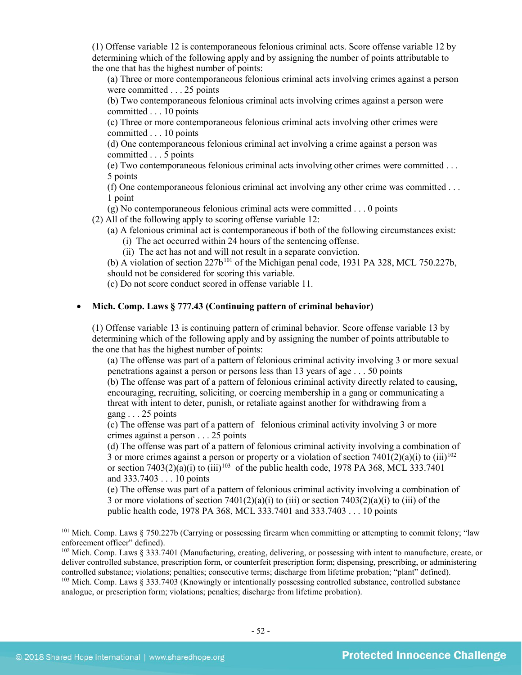(1) Offense variable 12 is contemporaneous felonious criminal acts. Score offense variable 12 by determining which of the following apply and by assigning the number of points attributable to the one that has the highest number of points:

(a) Three or more contemporaneous felonious criminal acts involving crimes against a person were committed . . . 25 points

(b) Two contemporaneous felonious criminal acts involving crimes against a person were committed . . . 10 points

(c) Three or more contemporaneous felonious criminal acts involving other crimes were committed . . . 10 points

(d) One contemporaneous felonious criminal act involving a crime against a person was committed . . . 5 points

(e) Two contemporaneous felonious criminal acts involving other crimes were committed . . . 5 points

(f) One contemporaneous felonious criminal act involving any other crime was committed . . . 1 point

(g) No contemporaneous felonious criminal acts were committed . . . 0 points

(2) All of the following apply to scoring offense variable 12:

(a) A felonious criminal act is contemporaneous if both of the following circumstances exist:

(i) The act occurred within 24 hours of the sentencing offense.

(ii) The act has not and will not result in a separate conviction.

(b) A violation of section  $227b^{101}$  $227b^{101}$  $227b^{101}$  of the Michigan penal code, 1931 PA 328, MCL 750.227b, should not be considered for scoring this variable.

(c) Do not score conduct scored in offense variable 11.

## • **Mich. Comp. Laws § 777.43 (Continuing pattern of criminal behavior)**

(1) Offense variable 13 is continuing pattern of criminal behavior. Score offense variable 13 by determining which of the following apply and by assigning the number of points attributable to the one that has the highest number of points:

(a) The offense was part of a pattern of felonious criminal activity involving 3 or more sexual penetrations against a person or persons less than 13 years of age . . . 50 points

(b) The offense was part of a pattern of felonious criminal activity directly related to causing, encouraging, recruiting, soliciting, or coercing membership in a gang or communicating a threat with intent to deter, punish, or retaliate against another for withdrawing from a gang . . . 25 points

(c) The offense was part of a pattern of felonious criminal activity involving 3 or more crimes against a person . . . 25 points

(d) The offense was part of a pattern of felonious criminal activity involving a combination of 3 or more crimes against a person or property or a violation of section  $7401(2)(a)(i)$  to (iii)<sup>[102](#page-51-1)</sup> or section  $7403(2)(a)(i)$  to  $(iii)^{103}$  of the public health code, 1978 PA 368, MCL 333.7401 and 333.7403 . . . 10 points

(e) The offense was part of a pattern of felonious criminal activity involving a combination of 3 or more violations of section  $7401(2)(a)(i)$  to (iii) or section  $7403(2)(a)(i)$  to (iii) of the public health code, 1978 PA 368, MCL 333.7401 and 333.7403 . . . 10 points

<span id="page-51-0"></span> $101$  Mich. Comp. Laws § 750.227b (Carrying or possessing firearm when committing or attempting to commit felony; "law enforcement officer" defined).

<span id="page-51-1"></span><sup>102</sup> Mich. Comp. Laws § 333.7401 (Manufacturing, creating, delivering, or possessing with intent to manufacture, create, or deliver controlled substance, prescription form, or counterfeit prescription form; dispensing, prescribing, or administering controlled substance; violations; penalties; consecutive terms; discharge from lifetime probation; "plant" defined).

<span id="page-51-2"></span><sup>&</sup>lt;sup>103</sup> Mich. Comp. Laws § 333.7403 (Knowingly or intentionally possessing controlled substance, controlled substance analogue, or prescription form; violations; penalties; discharge from lifetime probation).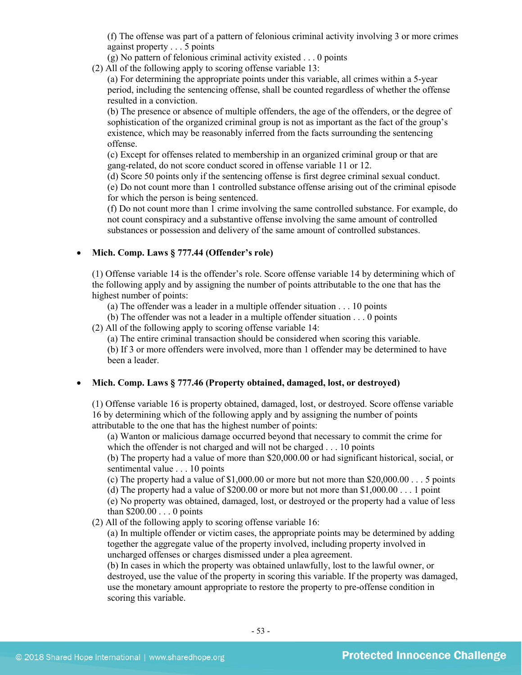(f) The offense was part of a pattern of felonious criminal activity involving 3 or more crimes against property . . . 5 points

(g) No pattern of felonious criminal activity existed . . . 0 points

(2) All of the following apply to scoring offense variable 13:

(a) For determining the appropriate points under this variable, all crimes within a 5-year period, including the sentencing offense, shall be counted regardless of whether the offense resulted in a conviction.

(b) The presence or absence of multiple offenders, the age of the offenders, or the degree of sophistication of the organized criminal group is not as important as the fact of the group's existence, which may be reasonably inferred from the facts surrounding the sentencing offense.

(c) Except for offenses related to membership in an organized criminal group or that are gang-related, do not score conduct scored in offense variable 11 or 12.

(d) Score 50 points only if the sentencing offense is first degree criminal sexual conduct.

(e) Do not count more than 1 controlled substance offense arising out of the criminal episode for which the person is being sentenced.

(f) Do not count more than 1 crime involving the same controlled substance. For example, do not count conspiracy and a substantive offense involving the same amount of controlled substances or possession and delivery of the same amount of controlled substances.

## • **Mich. Comp. Laws § 777.44 (Offender's role)**

(1) Offense variable 14 is the offender's role. Score offense variable 14 by determining which of the following apply and by assigning the number of points attributable to the one that has the highest number of points:

(a) The offender was a leader in a multiple offender situation . . . 10 points

(b) The offender was not a leader in a multiple offender situation . . . 0 points

(2) All of the following apply to scoring offense variable 14:

(a) The entire criminal transaction should be considered when scoring this variable.

(b) If 3 or more offenders were involved, more than 1 offender may be determined to have been a leader.

## • **Mich. Comp. Laws § 777.46 (Property obtained, damaged, lost, or destroyed)**

(1) Offense variable 16 is property obtained, damaged, lost, or destroyed. Score offense variable 16 by determining which of the following apply and by assigning the number of points attributable to the one that has the highest number of points:

(a) Wanton or malicious damage occurred beyond that necessary to commit the crime for which the offender is not charged and will not be charged . . . 10 points

(b) The property had a value of more than \$20,000.00 or had significant historical, social, or sentimental value . . . 10 points

(c) The property had a value of  $$1,000.00$  or more but not more than  $$20,000.00...$  5 points (d) The property had a value of \$200.00 or more but not more than \$1,000.00 . . . 1 point

(e) No property was obtained, damaged, lost, or destroyed or the property had a value of less than \$200.00 . . . 0 points

(2) All of the following apply to scoring offense variable 16:

(a) In multiple offender or victim cases, the appropriate points may be determined by adding together the aggregate value of the property involved, including property involved in uncharged offenses or charges dismissed under a plea agreement.

(b) In cases in which the property was obtained unlawfully, lost to the lawful owner, or destroyed, use the value of the property in scoring this variable. If the property was damaged, use the monetary amount appropriate to restore the property to pre-offense condition in scoring this variable.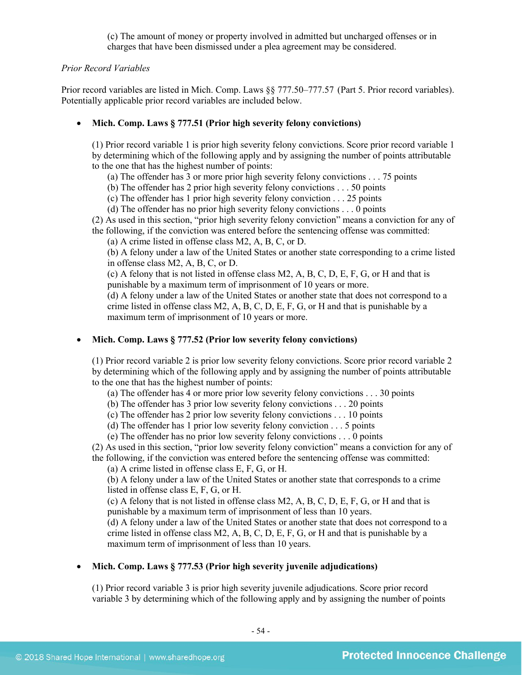(c) The amount of money or property involved in admitted but uncharged offenses or in charges that have been dismissed under a plea agreement may be considered.

## *Prior Record Variables*

Prior record variables are listed in Mich. Comp. Laws §§ 777.50–777.57 (Part 5. Prior record variables). Potentially applicable prior record variables are included below.

## • **Mich. Comp. Laws § 777.51 (Prior high severity felony convictions)**

(1) Prior record variable 1 is prior high severity felony convictions. Score prior record variable 1 by determining which of the following apply and by assigning the number of points attributable to the one that has the highest number of points:

(a) The offender has 3 or more prior high severity felony convictions . . . 75 points

(b) The offender has 2 prior high severity felony convictions . . . 50 points

(c) The offender has 1 prior high severity felony conviction . . . 25 points

(d) The offender has no prior high severity felony convictions . . . 0 points

(2) As used in this section, "prior high severity felony conviction" means a conviction for any of the following, if the conviction was entered before the sentencing offense was committed:

(a) A crime listed in offense class M2, A, B, C, or D.

(b) A felony under a law of the United States or another state corresponding to a crime listed in offense class M2, A, B, C, or D.

(c) A felony that is not listed in offense class M2, A, B, C, D, E, F, G, or H and that is punishable by a maximum term of imprisonment of 10 years or more.

(d) A felony under a law of the United States or another state that does not correspond to a crime listed in offense class M2, A, B, C, D, E, F, G, or H and that is punishable by a maximum term of imprisonment of 10 years or more.

## • **Mich. Comp. Laws § 777.52 (Prior low severity felony convictions)**

(1) Prior record variable 2 is prior low severity felony convictions. Score prior record variable 2 by determining which of the following apply and by assigning the number of points attributable to the one that has the highest number of points:

(a) The offender has 4 or more prior low severity felony convictions . . . 30 points

(b) The offender has 3 prior low severity felony convictions . . . 20 points

(c) The offender has 2 prior low severity felony convictions . . . 10 points

(d) The offender has 1 prior low severity felony conviction . . . 5 points

(e) The offender has no prior low severity felony convictions . . . 0 points

(2) As used in this section, "prior low severity felony conviction" means a conviction for any of the following, if the conviction was entered before the sentencing offense was committed:

(a) A crime listed in offense class E, F, G, or H.

(b) A felony under a law of the United States or another state that corresponds to a crime listed in offense class E, F, G, or H.

(c) A felony that is not listed in offense class M2, A, B, C, D, E, F, G, or H and that is punishable by a maximum term of imprisonment of less than 10 years.

(d) A felony under a law of the United States or another state that does not correspond to a crime listed in offense class M2, A, B, C, D, E, F, G, or H and that is punishable by a maximum term of imprisonment of less than 10 years.

## • **Mich. Comp. Laws § 777.53 (Prior high severity juvenile adjudications)**

(1) Prior record variable 3 is prior high severity juvenile adjudications. Score prior record variable 3 by determining which of the following apply and by assigning the number of points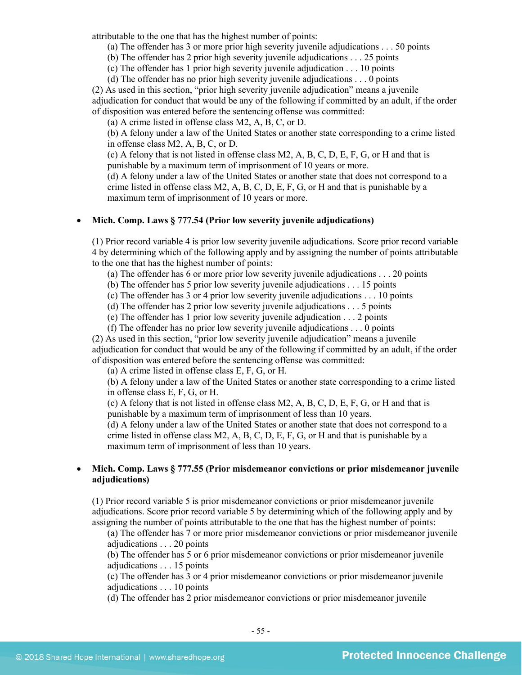attributable to the one that has the highest number of points:

(a) The offender has 3 or more prior high severity juvenile adjudications . . . 50 points

(b) The offender has 2 prior high severity juvenile adjudications . . . 25 points

(c) The offender has 1 prior high severity juvenile adjudication . . . 10 points

(d) The offender has no prior high severity juvenile adjudications . . . 0 points

(2) As used in this section, "prior high severity juvenile adjudication" means a juvenile adjudication for conduct that would be any of the following if committed by an adult, if the order of disposition was entered before the sentencing offense was committed:

(a) A crime listed in offense class M2, A, B, C, or D.

(b) A felony under a law of the United States or another state corresponding to a crime listed in offense class M2, A, B, C, or D.

(c) A felony that is not listed in offense class M2, A, B, C, D, E, F, G, or H and that is punishable by a maximum term of imprisonment of 10 years or more.

(d) A felony under a law of the United States or another state that does not correspond to a crime listed in offense class  $M2$ , A, B, C, D, E, F, G, or H and that is punishable by a maximum term of imprisonment of 10 years or more.

## • **Mich. Comp. Laws § 777.54 (Prior low severity juvenile adjudications)**

(1) Prior record variable 4 is prior low severity juvenile adjudications. Score prior record variable 4 by determining which of the following apply and by assigning the number of points attributable to the one that has the highest number of points:

(a) The offender has 6 or more prior low severity juvenile adjudications . . . 20 points

(b) The offender has 5 prior low severity juvenile adjudications . . . 15 points

(c) The offender has 3 or 4 prior low severity juvenile adjudications . . . 10 points

(d) The offender has 2 prior low severity juvenile adjudications . . . 5 points

(e) The offender has 1 prior low severity juvenile adjudication . . . 2 points

(f) The offender has no prior low severity juvenile adjudications . . . 0 points

(2) As used in this section, "prior low severity juvenile adjudication" means a juvenile adjudication for conduct that would be any of the following if committed by an adult, if the order of disposition was entered before the sentencing offense was committed:

(a) A crime listed in offense class E, F, G, or H.

(b) A felony under a law of the United States or another state corresponding to a crime listed in offense class E, F, G, or H.

(c) A felony that is not listed in offense class M2, A, B, C, D, E, F, G, or H and that is punishable by a maximum term of imprisonment of less than 10 years.

(d) A felony under a law of the United States or another state that does not correspond to a crime listed in offense class M2, A, B, C, D, E, F, G, or H and that is punishable by a maximum term of imprisonment of less than 10 years.

## • **Mich. Comp. Laws § 777.55 (Prior misdemeanor convictions or prior misdemeanor juvenile adjudications)**

(1) Prior record variable 5 is prior misdemeanor convictions or prior misdemeanor juvenile adjudications. Score prior record variable 5 by determining which of the following apply and by assigning the number of points attributable to the one that has the highest number of points:

(a) The offender has 7 or more prior misdemeanor convictions or prior misdemeanor juvenile adjudications . . . 20 points

(b) The offender has 5 or 6 prior misdemeanor convictions or prior misdemeanor juvenile adjudications . . . 15 points

(c) The offender has 3 or 4 prior misdemeanor convictions or prior misdemeanor juvenile adjudications . . . 10 points

(d) The offender has 2 prior misdemeanor convictions or prior misdemeanor juvenile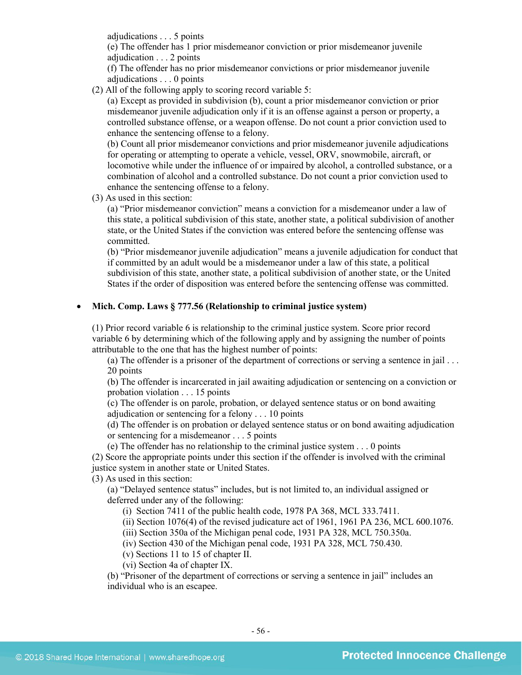adjudications . . . 5 points

(e) The offender has 1 prior misdemeanor conviction or prior misdemeanor juvenile adjudication . . . 2 points

(f) The offender has no prior misdemeanor convictions or prior misdemeanor juvenile adjudications . . . 0 points

(2) All of the following apply to scoring record variable 5:

(a) Except as provided in subdivision (b), count a prior misdemeanor conviction or prior misdemeanor juvenile adjudication only if it is an offense against a person or property, a controlled substance offense, or a weapon offense. Do not count a prior conviction used to enhance the sentencing offense to a felony.

(b) Count all prior misdemeanor convictions and prior misdemeanor juvenile adjudications for operating or attempting to operate a vehicle, vessel, ORV, snowmobile, aircraft, or locomotive while under the influence of or impaired by alcohol, a controlled substance, or a combination of alcohol and a controlled substance. Do not count a prior conviction used to enhance the sentencing offense to a felony.

(3) As used in this section:

(a) "Prior misdemeanor conviction" means a conviction for a misdemeanor under a law of this state, a political subdivision of this state, another state, a political subdivision of another state, or the United States if the conviction was entered before the sentencing offense was committed.

(b) "Prior misdemeanor juvenile adjudication" means a juvenile adjudication for conduct that if committed by an adult would be a misdemeanor under a law of this state, a political subdivision of this state, another state, a political subdivision of another state, or the United States if the order of disposition was entered before the sentencing offense was committed.

#### • **Mich. Comp. Laws § 777.56 (Relationship to criminal justice system)**

(1) Prior record variable 6 is relationship to the criminal justice system. Score prior record variable 6 by determining which of the following apply and by assigning the number of points attributable to the one that has the highest number of points:

(a) The offender is a prisoner of the department of corrections or serving a sentence in jail . . . 20 points

(b) The offender is incarcerated in jail awaiting adjudication or sentencing on a conviction or probation violation . . . 15 points

(c) The offender is on parole, probation, or delayed sentence status or on bond awaiting adjudication or sentencing for a felony . . . 10 points

(d) The offender is on probation or delayed sentence status or on bond awaiting adjudication or sentencing for a misdemeanor . . . 5 points

(e) The offender has no relationship to the criminal justice system . . . 0 points

(2) Score the appropriate points under this section if the offender is involved with the criminal justice system in another state or United States.

(3) As used in this section:

(a) "Delayed sentence status" includes, but is not limited to, an individual assigned or deferred under any of the following:

(i) Section 7411 of the public health code, 1978 PA 368, MCL 333.7411.

(ii) Section 1076(4) of the revised judicature act of 1961, 1961 PA 236, MCL 600.1076.

(iii) Section 350a of the Michigan penal code, 1931 PA 328, MCL 750.350a.

(iv) Section 430 of the Michigan penal code, 1931 PA 328, MCL 750.430.

(v) Sections 11 to 15 of chapter II.

(vi) Section 4a of chapter IX.

(b) "Prisoner of the department of corrections or serving a sentence in jail" includes an individual who is an escapee.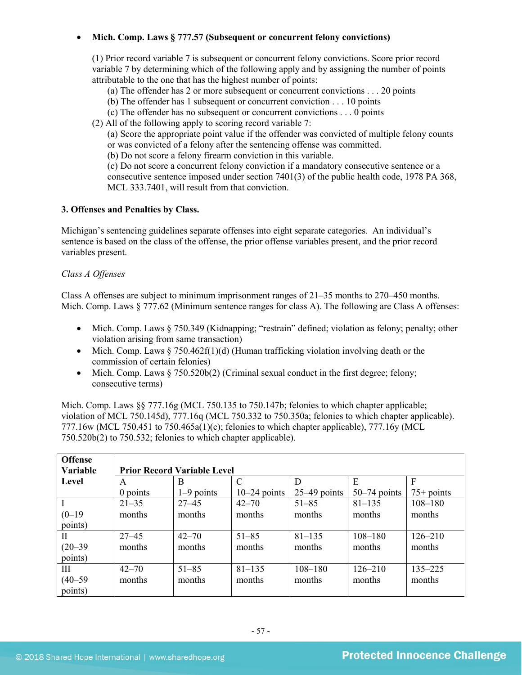## • **Mich. Comp. Laws § 777.57 (Subsequent or concurrent felony convictions)**

(1) Prior record variable 7 is subsequent or concurrent felony convictions. Score prior record variable 7 by determining which of the following apply and by assigning the number of points attributable to the one that has the highest number of points:

- (a) The offender has 2 or more subsequent or concurrent convictions . . . 20 points
- (b) The offender has 1 subsequent or concurrent conviction . . . 10 points
- (c) The offender has no subsequent or concurrent convictions . . . 0 points
- (2) All of the following apply to scoring record variable 7:

(a) Score the appropriate point value if the offender was convicted of multiple felony counts or was convicted of a felony after the sentencing offense was committed.

(b) Do not score a felony firearm conviction in this variable.

(c) Do not score a concurrent felony conviction if a mandatory consecutive sentence or a consecutive sentence imposed under section 7401(3) of the public health code, 1978 PA 368, MCL 333.7401, will result from that conviction.

#### **3. Offenses and Penalties by Class.**

Michigan's sentencing guidelines separate offenses into eight separate categories. An individual's sentence is based on the class of the offense, the prior offense variables present, and the prior record variables present.

## *Class A Offenses*

Class A offenses are subject to minimum imprisonment ranges of 21–35 months to 270–450 months. Mich. Comp. Laws § 777.62 (Minimum sentence ranges for class A). The following are Class A offenses:

- Mich. Comp. Laws § 750.349 (Kidnapping; "restrain" defined; violation as felony; penalty; other violation arising from same transaction)
- Mich. Comp. Laws  $\S 750.462f(1)(d)$  (Human trafficking violation involving death or the commission of certain felonies)
- Mich. Comp. Laws  $\S 750.520b(2)$  (Criminal sexual conduct in the first degree; felony; consecutive terms)

Mich. Comp. Laws §§ 777.16g (MCL 750.135 to 750.147b; felonies to which chapter applicable; violation of MCL 750.145d), 777.16q (MCL 750.332 to 750.350a; felonies to which chapter applicable). 777.16w (MCL 750.451 to 750.465a(1)(c); felonies to which chapter applicable), 777.16y (MCL 750.520b(2) to 750.532; felonies to which chapter applicable).

| <b>Offense</b> |           |                                    |                |                |                |              |  |  |  |
|----------------|-----------|------------------------------------|----------------|----------------|----------------|--------------|--|--|--|
| Variable       |           | <b>Prior Record Variable Level</b> |                |                |                |              |  |  |  |
| Level          | A         | B                                  | C              | D              | E              | F            |  |  |  |
|                | 0 points  | $1-9$ points                       | $10-24$ points | $25-49$ points | $50-74$ points | $75+$ points |  |  |  |
|                | $21 - 35$ | $27 - 45$                          | $42 - 70$      | $51 - 85$      | $81 - 135$     | $108 - 180$  |  |  |  |
| $(0-19)$       | months    | months                             | months         | months         | months         | months       |  |  |  |
| points)        |           |                                    |                |                |                |              |  |  |  |
| $\mathbf{I}$   | $27 - 45$ | $42 - 70$                          | $51 - 85$      | $81 - 135$     | $108 - 180$    | $126 - 210$  |  |  |  |
| $(20 - 39)$    | months    | months                             | months         | months         | months         | months       |  |  |  |
| points)        |           |                                    |                |                |                |              |  |  |  |
| III            | $42 - 70$ | $51 - 85$                          | $81 - 135$     | $108 - 180$    | $126 - 210$    | $135 - 225$  |  |  |  |
| $(40 - 59)$    | months    | months                             | months         | months         | months         | months       |  |  |  |
| points)        |           |                                    |                |                |                |              |  |  |  |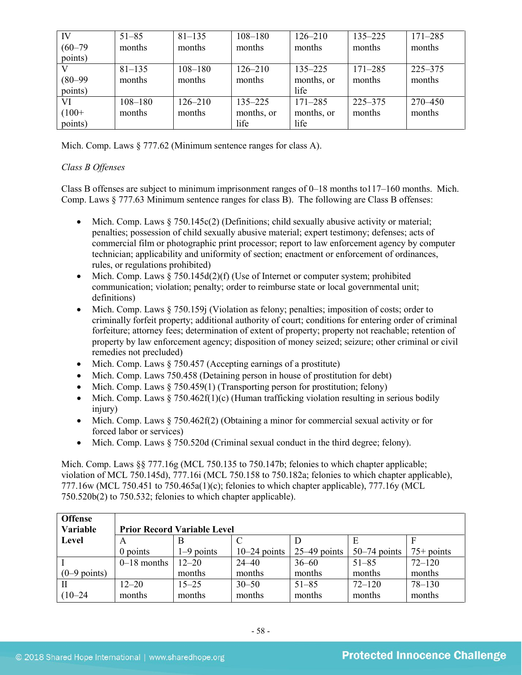| IV          | $51 - 85$   | $81 - 135$  | $108 - 180$ | $126 - 210$ | $135 - 225$ | $171 - 285$ |
|-------------|-------------|-------------|-------------|-------------|-------------|-------------|
| $(60 - 79)$ | months      | months      | months      | months      | months      | months      |
| points)     |             |             |             |             |             |             |
|             | $81 - 135$  | $108 - 180$ | $126 - 210$ | $135 - 225$ | $171 - 285$ | $225 - 375$ |
| $(80 - 99)$ | months      | months      | months      | months, or  | months      | months      |
| points)     |             |             |             | life        |             |             |
| VI          | $108 - 180$ | $126 - 210$ | $135 - 225$ | $171 - 285$ | $225 - 375$ | 270-450     |
| $(100+$     | months      | months      | months, or  | months, or  | months      | months      |
| points)     |             |             | life        | life        |             |             |

Mich. Comp. Laws § 777.62 (Minimum sentence ranges for class A).

## *Class B Offenses*

Class B offenses are subject to minimum imprisonment ranges of 0–18 months to117–160 months. Mich. Comp. Laws § 777.63 Minimum sentence ranges for class B). The following are Class B offenses:

- Mich. Comp. Laws  $\S 750.145c(2)$  (Definitions; child sexually abusive activity or material; penalties; possession of child sexually abusive material; expert testimony; defenses; acts of commercial film or photographic print processor; report to law enforcement agency by computer technician; applicability and uniformity of section; enactment or enforcement of ordinances, rules, or regulations prohibited)
- Mich. Comp. Laws  $\S 750.145d(2)(f)$  (Use of Internet or computer system; prohibited communication; violation; penalty; order to reimburse state or local governmental unit; definitions)
- Mich. Comp. Laws § 750.159j (Violation as felony; penalties; imposition of costs; order to criminally forfeit property; additional authority of court; conditions for entering order of criminal forfeiture; attorney fees; determination of extent of property; property not reachable; retention of property by law enforcement agency; disposition of money seized; seizure; other criminal or civil remedies not precluded)
- Mich. Comp. Laws § 750.457 (Accepting earnings of a prostitute)
- Mich. Comp. Laws 750.458 (Detaining person in house of prostitution for debt)
- Mich. Comp. Laws  $\S 750.459(1)$  (Transporting person for prostitution; felony)
- Mich. Comp. Laws  $\S 750.462f(1)(c)$  (Human trafficking violation resulting in serious bodily injury)
- Mich. Comp. Laws § 750.462f(2) (Obtaining a minor for commercial sexual activity or for forced labor or services)
- Mich. Comp. Laws  $§ 750.520d$  (Criminal sexual conduct in the third degree; felony).

Mich. Comp. Laws §§ 777.16g (MCL 750.135 to 750.147b; felonies to which chapter applicable; violation of MCL 750.145d), 777.16i (MCL 750.158 to 750.182a; felonies to which chapter applicable), 777.16w (MCL 750.451 to 750.465a(1)(c); felonies to which chapter applicable), 777.16y (MCL 750.520b(2) to 750.532; felonies to which chapter applicable).

| <b>Offense</b><br>Variable | <b>Prior Record Variable Level</b> |              |                |                |                |              |  |
|----------------------------|------------------------------------|--------------|----------------|----------------|----------------|--------------|--|
| Level                      | A                                  |              |                |                |                |              |  |
|                            | 0 points                           | $1-9$ points | $10-24$ points | $25-49$ points | $50-74$ points | $75+$ points |  |
|                            | $0-18$ months                      | $12 - 20$    | $24 - 40$      | $36 - 60$      | $51 - 85$      | $72 - 120$   |  |
| $(0-9$ points)             |                                    | months       | months         | months         | months         | months       |  |
|                            | $12 - 20$                          | $15 - 25$    | $30 - 50$      | $51 - 85$      | $72 - 120$     | $78 - 130$   |  |
| $(10 - 24)$                | months                             | months       | months         | months         | months         | months       |  |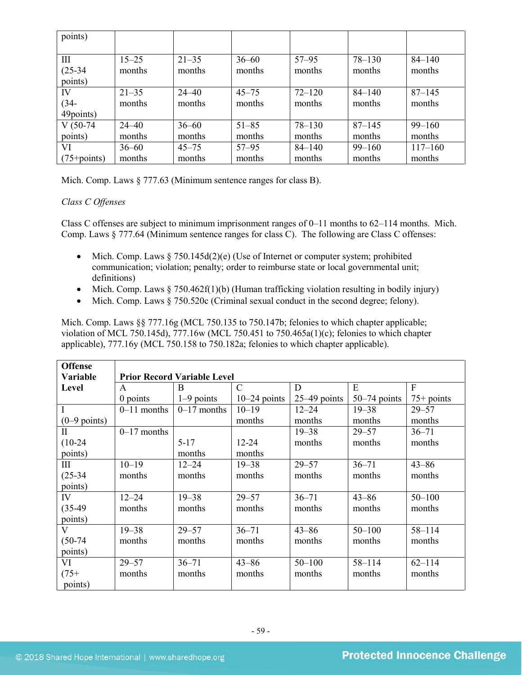| points)                     |                     |                     |                     |                      |                      |                       |
|-----------------------------|---------------------|---------------------|---------------------|----------------------|----------------------|-----------------------|
| III<br>$(25-34)$<br>points) | $15 - 25$<br>months | $21 - 35$<br>months | $36 - 60$<br>months | $57 - 95$<br>months  | $78 - 130$<br>months | $84 - 140$<br>months  |
| IV<br>$(34 -$<br>49points)  | $21 - 35$<br>months | $24 - 40$<br>months | $45 - 75$<br>months | $72 - 120$<br>months | $84 - 140$<br>months | $87 - 145$<br>months  |
| $V(50-74)$<br>points)       | $24 - 40$<br>months | $36 - 60$<br>months | $51 - 85$<br>months | $78 - 130$<br>months | $87 - 145$<br>months | $99 - 160$<br>months  |
| VI<br>$(75 + points)$       | $36 - 60$<br>months | $45 - 75$<br>months | $57 - 95$<br>months | $84 - 140$<br>months | $99 - 160$<br>months | $117 - 160$<br>months |

Mich. Comp. Laws § 777.63 (Minimum sentence ranges for class B).

## *Class C Offenses*

Class C offenses are subject to minimum imprisonment ranges of  $0-11$  months to  $62-114$  months. Mich. Comp. Laws § 777.64 (Minimum sentence ranges for class C). The following are Class C offenses:

- Mich. Comp. Laws  $\S 750.145d(2)(e)$  (Use of Internet or computer system; prohibited communication; violation; penalty; order to reimburse state or local governmental unit; definitions)
- Mich. Comp. Laws  $\S 750.462f(1)(b)$  (Human trafficking violation resulting in bodily injury)
- Mich. Comp. Laws  $§ 750.520c$  (Criminal sexual conduct in the second degree; felony).

Mich. Comp. Laws §§ 777.16g (MCL 750.135 to 750.147b; felonies to which chapter applicable; violation of MCL 750.145d), 777.16w (MCL 750.451 to 750.465a(1)(c); felonies to which chapter applicable), 777.16y (MCL 750.158 to 750.182a; felonies to which chapter applicable).

| <b>Offense</b>  |                                    |               |                |                |                |              |  |  |
|-----------------|------------------------------------|---------------|----------------|----------------|----------------|--------------|--|--|
| <b>Variable</b> | <b>Prior Record Variable Level</b> |               |                |                |                |              |  |  |
| Level           | A                                  | B             | $\mathcal{C}$  | D              | E              | $\mathbf{F}$ |  |  |
|                 | $0$ points                         | $1-9$ points  | $10-24$ points | $25-49$ points | $50-74$ points | $75+$ points |  |  |
| $\mathbf I$     | $0-11$ months                      | $0-17$ months | $10 - 19$      | $12 - 24$      | $19 - 38$      | $29 - 57$    |  |  |
| $(0-9$ points)  |                                    |               | months         | months         | months         | months       |  |  |
| $\mathbf{I}$    | $0-17$ months                      |               |                | $19 - 38$      | $29 - 57$      | $36 - 71$    |  |  |
| $(10-24)$       |                                    | $5 - 17$      | $12 - 24$      | months         | months         | months       |  |  |
| points)         |                                    | months        | months         |                |                |              |  |  |
| III             | $10 - 19$                          | $12 - 24$     | $19 - 38$      | $29 - 57$      | $36 - 71$      | $43 - 86$    |  |  |
| $(25-34)$       | months                             | months        | months         | months         | months         | months       |  |  |
| points)         |                                    |               |                |                |                |              |  |  |
| IV              | $12 - 24$                          | $19 - 38$     | $29 - 57$      | $36 - 71$      | $43 - 86$      | $50 - 100$   |  |  |
| $(35-49)$       | months                             | months        | months         | months         | months         | months       |  |  |
| points)         |                                    |               |                |                |                |              |  |  |
| V               | $19 - 38$                          | $29 - 57$     | $36 - 71$      | $43 - 86$      | $50 - 100$     | $58 - 114$   |  |  |
| $(50-74)$       | months                             | months        | months         | months         | months         | months       |  |  |
| points)         |                                    |               |                |                |                |              |  |  |
| VI              | $29 - 57$                          | $36 - 71$     | $43 - 86$      | $50 - 100$     | $58 - 114$     | $62 - 114$   |  |  |
| $(75+$          | months                             | months        | months         | months         | months         | months       |  |  |
| points)         |                                    |               |                |                |                |              |  |  |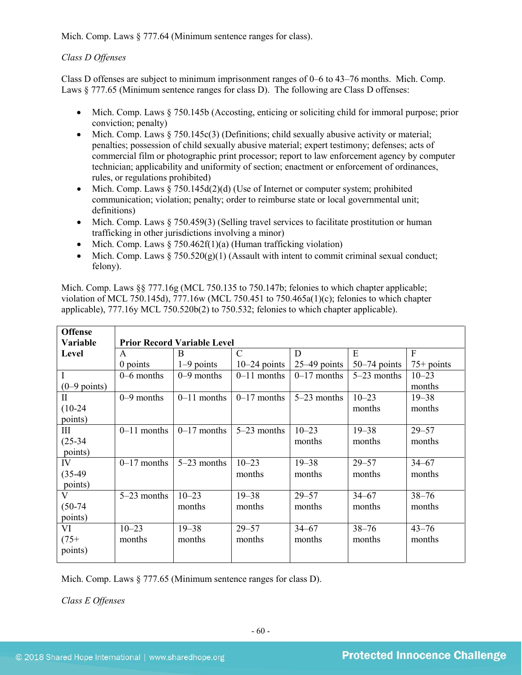Mich. Comp. Laws  $\S 777.64$  (Minimum sentence ranges for class).

## *Class D Offenses*

Class D offenses are subject to minimum imprisonment ranges of 0–6 to 43–76 months. Mich. Comp. Laws § 777.65 (Minimum sentence ranges for class D). The following are Class D offenses:

- Mich. Comp. Laws § 750.145b (Accosting, enticing or soliciting child for immoral purpose; prior conviction; penalty)
- Mich. Comp. Laws  $\S 750.145c(3)$  (Definitions; child sexually abusive activity or material; penalties; possession of child sexually abusive material; expert testimony; defenses; acts of commercial film or photographic print processor; report to law enforcement agency by computer technician; applicability and uniformity of section; enactment or enforcement of ordinances, rules, or regulations prohibited)
- Mich. Comp. Laws  $\S 750.145d(2)(d)$  (Use of Internet or computer system; prohibited communication; violation; penalty; order to reimburse state or local governmental unit; definitions)
- Mich. Comp. Laws § 750.459(3) (Selling travel services to facilitate prostitution or human trafficking in other jurisdictions involving a minor)
- Mich. Comp. Laws  $\S 750.462f(1)(a)$  (Human trafficking violation)
- Mich. Comp. Laws  $\S 750.520(g)(1)$  (Assault with intent to commit criminal sexual conduct; felony).

Mich. Comp. Laws §§ 777.16g (MCL 750.135 to 750.147b; felonies to which chapter applicable; violation of MCL 750.145d), 777.16w (MCL 750.451 to 750.465a(1)(c); felonies to which chapter applicable), 777.16y MCL 750.520b(2) to 750.532; felonies to which chapter applicable).

| <b>Offense</b> |               |                                    |                |                |                |              |  |  |  |
|----------------|---------------|------------------------------------|----------------|----------------|----------------|--------------|--|--|--|
| Variable       |               | <b>Prior Record Variable Level</b> |                |                |                |              |  |  |  |
| Level          | $\mathsf{A}$  | B                                  | $\mathcal{C}$  | D              | E              | F            |  |  |  |
|                | $0$ points    | $1-9$ points                       | $10-24$ points | $25-49$ points | $50-74$ points | $75+$ points |  |  |  |
| Ι              | $0-6$ months  | $0-9$ months                       | $0-11$ months  | $0-17$ months  | 5-23 months    | $10 - 23$    |  |  |  |
| $(0-9$ points) |               |                                    |                |                |                | months       |  |  |  |
| $\rm II$       | $0-9$ months  | $0-11$ months                      | $0-17$ months  | $5-23$ months  | $10 - 23$      | $19 - 38$    |  |  |  |
| $(10-24)$      |               |                                    |                |                | months         | months       |  |  |  |
| points)        |               |                                    |                |                |                |              |  |  |  |
| Ш              | $0-11$ months | $0-17$ months                      | $5-23$ months  | $10 - 23$      | $19 - 38$      | $29 - 57$    |  |  |  |
| $(25-34)$      |               |                                    |                | months         | months         | months       |  |  |  |
| points)        |               |                                    |                |                |                |              |  |  |  |
| IV             | $0-17$ months | $5-23$ months                      | $10 - 23$      | $19 - 38$      | $29 - 57$      | $34 - 67$    |  |  |  |
| $(35-49)$      |               |                                    | months         | months         | months         | months       |  |  |  |
| points)        |               |                                    |                |                |                |              |  |  |  |
| V              | $5-23$ months | $10 - 23$                          | $19 - 38$      | $29 - 57$      | $34 - 67$      | $38 - 76$    |  |  |  |
| $(50-74)$      |               | months                             | months         | months         | months         | months       |  |  |  |
| points)        |               |                                    |                |                |                |              |  |  |  |
| VI             | $10 - 23$     | $19 - 38$                          | $29 - 57$      | $34 - 67$      | $38 - 76$      | $43 - 76$    |  |  |  |
| $(75+$         | months        | months                             | months         | months         | months         | months       |  |  |  |
| points)        |               |                                    |                |                |                |              |  |  |  |

Mich. Comp. Laws § 777.65 (Minimum sentence ranges for class D).

*Class E Offenses*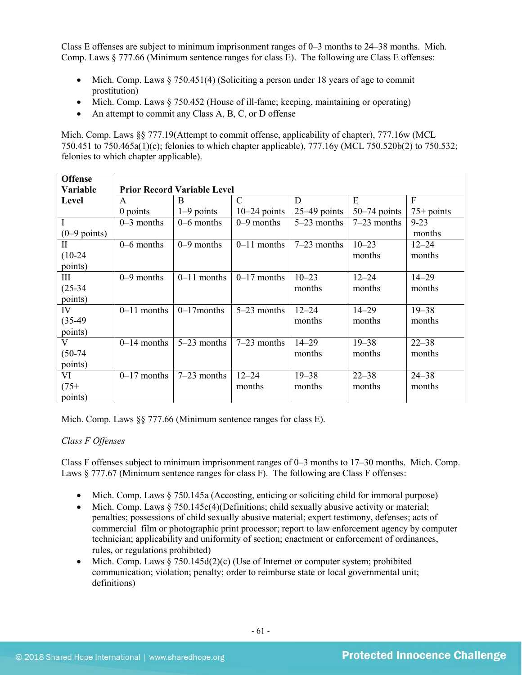Class E offenses are subject to minimum imprisonment ranges of 0–3 months to 24–38 months. Mich. Comp. Laws § 777.66 (Minimum sentence ranges for class E). The following are Class E offenses:

- Mich. Comp. Laws § 750.451(4) (Soliciting a person under 18 years of age to commit prostitution)
- Mich. Comp. Laws § 750.452 (House of ill-fame; keeping, maintaining or operating)
- An attempt to commit any Class A, B, C, or D offense

Mich. Comp. Laws §§ 777.19(Attempt to commit offense, applicability of chapter), 777.16w (MCL 750.451 to 750.465a(1)(c); felonies to which chapter applicable), 777.16y (MCL 750.520b(2) to 750.532; felonies to which chapter applicable).

| <b>Offense</b> |                                    |               |                |                |                |              |  |  |
|----------------|------------------------------------|---------------|----------------|----------------|----------------|--------------|--|--|
| Variable       | <b>Prior Record Variable Level</b> |               |                |                |                |              |  |  |
| Level          | A                                  | B             | $\mathcal{C}$  | D              | E              | F            |  |  |
|                | 0 points                           | $1-9$ points  | $10-24$ points | $25-49$ points | $50-74$ points | $75+$ points |  |  |
| $\mathbf I$    | $0-3$ months                       | $0-6$ months  | $0-9$ months   | $5-23$ months  | $7-23$ months  | $9 - 23$     |  |  |
| $(0-9$ points) |                                    |               |                |                |                | months       |  |  |
| $\mathbf{I}$   | $0 - 6$ months                     | $0-9$ months  | $0-11$ months  | $7-23$ months  | $10 - 23$      | $12 - 24$    |  |  |
| $(10-24)$      |                                    |               |                |                | months         | months       |  |  |
| points)        |                                    |               |                |                |                |              |  |  |
| III            | $0-9$ months                       | $0-11$ months | $0-17$ months  | $10 - 23$      | $12 - 24$      | $14 - 29$    |  |  |
| $(25-34)$      |                                    |               |                | months         | months         | months       |  |  |
| points)        |                                    |               |                |                |                |              |  |  |
| IV             | $0-11$ months                      | $0-17$ months | $5-23$ months  | $12 - 24$      | $14 - 29$      | $19 - 38$    |  |  |
| $(35-49)$      |                                    |               |                | months         | months         | months       |  |  |
| points)        |                                    |               |                |                |                |              |  |  |
| V              | $0-14$ months                      | $5-23$ months | $7-23$ months  | $14 - 29$      | $19 - 38$      | $22 - 38$    |  |  |
| $(50-74)$      |                                    |               |                | months         | months         | months       |  |  |
| points)        |                                    |               |                |                |                |              |  |  |
| VI             | $0-17$ months                      | $7-23$ months | $12 - 24$      | $19 - 38$      | $22 - 38$      | $24 - 38$    |  |  |
| $(75+$         |                                    |               | months         | months         | months         | months       |  |  |
| points)        |                                    |               |                |                |                |              |  |  |

Mich. Comp. Laws §§ 777.66 (Minimum sentence ranges for class E).

## *Class F Offenses*

Class F offenses subject to minimum imprisonment ranges of 0–3 months to 17–30 months. Mich. Comp. Laws § 777.67 (Minimum sentence ranges for class F). The following are Class F offenses:

- Mich. Comp. Laws § 750.145a (Accosting, enticing or soliciting child for immoral purpose)
- Mich. Comp. Laws  $§ 750.145c(4)$  (Definitions; child sexually abusive activity or material; penalties; possessions of child sexually abusive material; expert testimony, defenses; acts of commercial film or photographic print processor; report to law enforcement agency by computer technician; applicability and uniformity of section; enactment or enforcement of ordinances, rules, or regulations prohibited)
- Mich. Comp. Laws § 750.145d(2)(c) (Use of Internet or computer system; prohibited communication; violation; penalty; order to reimburse state or local governmental unit; definitions)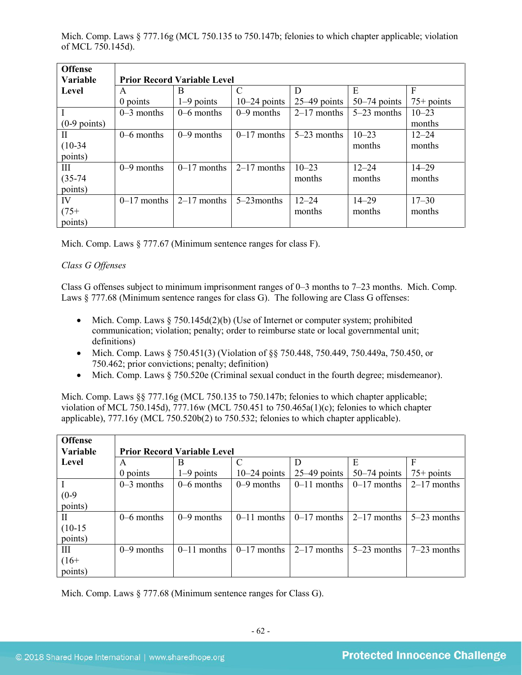Mich. Comp. Laws § 777.16g (MCL 750.135 to 750.147b; felonies to which chapter applicable; violation of MCL 750.145d).

| <b>Offense</b> |                                    |               |                |                |                |              |  |  |
|----------------|------------------------------------|---------------|----------------|----------------|----------------|--------------|--|--|
| Variable       | <b>Prior Record Variable Level</b> |               |                |                |                |              |  |  |
| Level          | A                                  | B             | C              | D              | E              | F            |  |  |
|                | 0 points                           | $1-9$ points  | $10-24$ points | $25-49$ points | $50-74$ points | $75+$ points |  |  |
| $\mathbf I$    | $0-3$ months                       | $0-6$ months  | $0-9$ months   | $2-17$ months  | $5-23$ months  | $10 - 23$    |  |  |
| $(0-9$ points) |                                    |               |                |                |                | months       |  |  |
| $\mathbf{I}$   | $0-6$ months                       | $0-9$ months  | $0-17$ months  | $5-23$ months  | $10 - 23$      | $12 - 24$    |  |  |
| $(10-34)$      |                                    |               |                |                | months         | months       |  |  |
| points)        |                                    |               |                |                |                |              |  |  |
| Ш              | $0-9$ months                       | $0-17$ months | $2-17$ months  | $10 - 23$      | $12 - 24$      | $14 - 29$    |  |  |
| $(35-74)$      |                                    |               |                | months         | months         | months       |  |  |
| points)        |                                    |               |                |                |                |              |  |  |
| IV             | $0-17$ months                      | $2-17$ months | $5-23$ months  | $12 - 24$      | $14 - 29$      | $17 - 30$    |  |  |
| $(75+)$        |                                    |               |                | months         | months         | months       |  |  |
| points)        |                                    |               |                |                |                |              |  |  |

Mich. Comp. Laws § 777.67 (Minimum sentence ranges for class F).

## *Class G Offenses*

Class G offenses subject to minimum imprisonment ranges of 0–3 months to 7–23 months. Mich. Comp. Laws § 777.68 (Minimum sentence ranges for class G). The following are Class G offenses:

- Mich. Comp. Laws  $\S 750.145d(2)(b)$  (Use of Internet or computer system; prohibited communication; violation; penalty; order to reimburse state or local governmental unit; definitions)
- Mich. Comp. Laws § 750.451(3) (Violation of §§ 750.448, 750.449, 750.449a, 750.450, or 750.462; prior convictions; penalty; definition)
- Mich. Comp. Laws § 750.520e (Criminal sexual conduct in the fourth degree; misdemeanor).

Mich. Comp. Laws §§ 777.16g (MCL 750.135 to 750.147b; felonies to which chapter applicable; violation of MCL 750.145d), 777.16w (MCL 750.451 to 750.465a(1)(c); felonies to which chapter applicable), 777.16y (MCL 750.520b(2) to 750.532; felonies to which chapter applicable).

| <b>Offense</b>  |                                    |               |                |                |                |               |  |
|-----------------|------------------------------------|---------------|----------------|----------------|----------------|---------------|--|
| <b>Variable</b> | <b>Prior Record Variable Level</b> |               |                |                |                |               |  |
| Level           | A                                  | B             | C              | D              | E              |               |  |
|                 | 0 points                           | $1-9$ points  | $10-24$ points | $25-49$ points | $50-74$ points | $75+$ points  |  |
|                 | $0-3$ months                       | $0-6$ months  | $0-9$ months   | $0-11$ months  | $0-17$ months  | $2-17$ months |  |
| $(0-9)$         |                                    |               |                |                |                |               |  |
| points)         |                                    |               |                |                |                |               |  |
| $\mathbf{I}$    | $0-6$ months                       | $0-9$ months  | $0-11$ months  | $0-17$ months  | $2-17$ months  | $5-23$ months |  |
| $(10-15)$       |                                    |               |                |                |                |               |  |
| points)         |                                    |               |                |                |                |               |  |
| Ш               | $0-9$ months                       | $0-11$ months | $0-17$ months  | $2-17$ months  | $5-23$ months  | $7-23$ months |  |
| $(16+$          |                                    |               |                |                |                |               |  |
| points)         |                                    |               |                |                |                |               |  |

Mich. Comp. Laws § 777.68 (Minimum sentence ranges for Class G).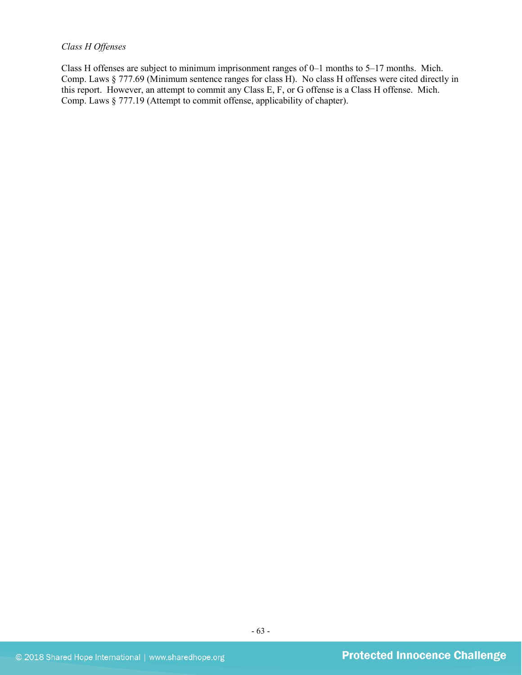## *Class H Offenses*

Class H offenses are subject to minimum imprisonment ranges of 0–1 months to 5–17 months. Mich. Comp. Laws § 777.69 (Minimum sentence ranges for class H). No class H offenses were cited directly in this report. However, an attempt to commit any Class E, F, or G offense is a Class H offense. Mich. Comp. Laws § 777.19 (Attempt to commit offense, applicability of chapter).